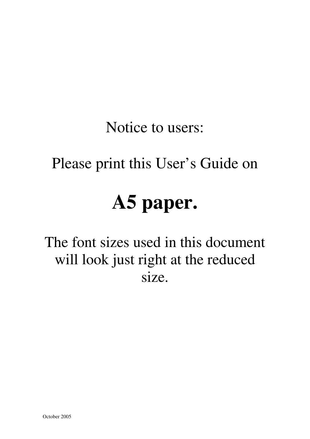Notice to users:

# Please print this User's Guide on

# **A5 paper.**

The font sizes used in this document will look just right at the reduced size.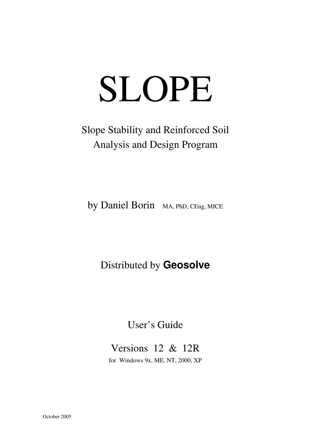# SLOPE

# Slope Stability and Reinforced Soil Analysis and Design Program

by Daniel Borin MA, PhD, CEng, MICE

### Distributed by **Geosolve**

#### User's Guide

# Versions 12 & 12R

for Windows 9x, ME, NT, 2000, XP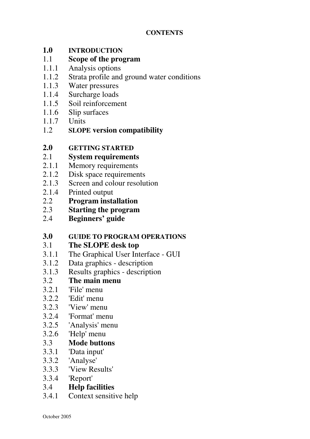#### **1.0 INTRODUCTION**

#### 1.1 **Scope of the program**

- 1.1.1 Analysis options
- 1.1.2 Strata profile and ground water conditions
- 1.1.3 Water pressures
- 1.1.4 Surcharge loads
- 1.1.5 Soil reinforcement
- 1.1.6 Slip surfaces
- 1.1.7 Units
- 1.2 **SLOPE version compatibility**

#### **2.0 GETTING STARTED**

- 2.1 **System requirements**
- 2.1.1 Memory requirements
- 2.1.2 Disk space requirements
- 2.1.3 Screen and colour resolution
- 2.1.4 Printed output
- 2.2 **Program installation**
- 2.3 **Starting the program**
- 2.4 **Beginners' guide**

#### **3.0 GUIDE TO PROGRAM OPERATIONS**

#### 3.1 **The SLOPE desk top**

- 3.1.1 The Graphical User Interface GUI
- 3.1.2 Data graphics description
- 3.1.3 Results graphics description

#### 3.2 **The main menu**

- 3.2.1 'File' menu
- 3.2.2 'Edit' menu
- 3.2.3 'View' menu
- 3.2.4 'Format' menu
- 3.2.5 'Analysis' menu
- 3.2.6 'Help' menu<br>3.3 **Mode butto**

#### 3.3 **Mode buttons**

- 3.3.1 'Data input'
- 3.3.2 'Analyse'
- 3.3.3 'View Results'
- 3.3.4 'Report'
- 3.4 **Help facilities**
- 3.4.1 Context sensitive help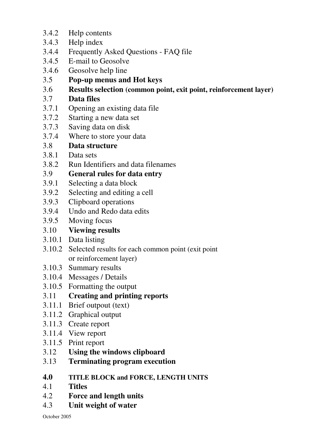- 3.4.2 Help contents
- 3.4.3 Help index
- 3.4.4 Frequently Asked Questions FAQ file
- 3.4.5 E-mail to Geosolve
- 3.4.6 Geosolve help line
- 3.5 **Pop-up menus and Hot keys**
- 3.6 **Results selection (common point, exit point, reinforcement layer)**
- 3.7 **Data files**
- 3.7.1 Opening an existing data file
- 3.7.2 Starting a new data set
- 3.7.3 Saving data on disk
- 3.7.4 Where to store your data
- 3.8 **Data structure**
- 3.8.1 Data sets
- 3.8.2 Run Identifiers and data filenames

#### 3.9 **General rules for data entry**

- 3.9.1 Selecting a data block
- 3.9.2 Selecting and editing a cell
- 3.9.3 Clipboard operations
- 3.9.4 Undo and Redo data edits
- 3.9.5 Moving focus

#### 3.10 **Viewing results**

- 3.10.1 Data listing
- 3.10.2 Selected results for each common point (exit point or reinforcement layer)
- 3.10.3 Summary results
- 3.10.4 Messages / Details
- 3.10.5 Formatting the output
- 3.11 **Creating and printing reports**
- 3.11.1 Brief outpout (text)
- 3.11.2 Graphical output
- 3.11.3 Create report
- 3.11.4 View report
- 3.11.5 Print report
- 3.12 **Using the windows clipboard**
- 3.13 **Terminating program execution**
- **4.0 TITLE BLOCK and FORCE, LENGTH UNITS**
- 4.1 **Titles**
- 4.2 **Force and length units**
- 4.3 **Unit weight of water**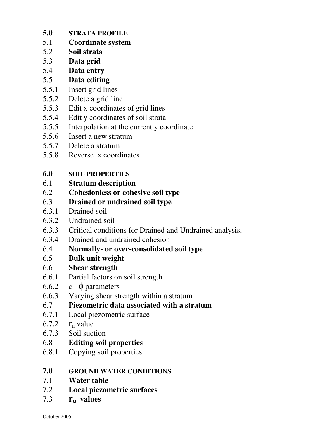- **5.0 STRATA PROFILE**
- 5.1 **Coordinate system**
- 5.2 **Soil strata**
- 5.3 **Data grid**
- 
- 5.4 **Data entry** 5.5 **Data editing**
- 5.5.1 Insert grid lines
- 5.5.2 Delete a grid line
- 5.5.3 Edit x coordinates of grid lines
- 5.5.4 Edit y coordinates of soil strata
- 5.5.5 Interpolation at the current y coordinate
- 5.5.6 Insert a new stratum
- 5.5.7 Delete a stratum
- 5.5.8 Reverse x coordinates
- **6.0 SOIL PROPERTIES**
- 6.1 **Stratum description**
- 6.2 **Cohesionless or cohesive soil type**
- 6.3 **Drained or undrained soil type**
- 6.3.1 Drained soil
- 6.3.2 Undrained soil
- 6.3.3 Critical conditions for Drained and Undrained analysis.
- 6.3.4 Drained and undrained cohesion
- 6.4 **Normally- or over-consolidated soil type**
- 6.5 **Bulk unit weight**
- 6.6 **Shear strength**
- 6.6.1 Partial factors on soil strength
- 6.6.2 c  $\phi$  parameters
- 6.6.3 Varying shear strength within a stratum
- 6.7 **Piezometric data associated with a stratum**
- 6.7.1 Local piezometric surface
- 6.7.2  $r_{\text{u}}$  value
- 6.7.3 Soil suction
- 6.8 **Editing soil properties**
- 6.8.1 Copying soil properties
- **7.0 GROUND WATER CONDITIONS**
- 7.1 **Water table**
- 7.2 **Local piezometric surfaces**
- 7.3 **ru values**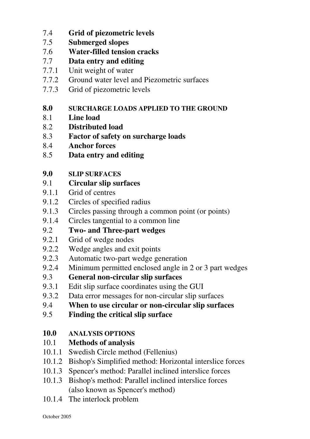- 7.4 **Grid of piezometric levels**
- 7.5 **Submerged slopes**
- 7.6 **Water-filled tension cracks**
- 7.7 **Data entry and editing**
- 7.7.1 Unit weight of water
- 7.7.2 Ground water level and Piezometric surfaces
- 7.7.3 Grid of piezometric levels
- **8.0 SURCHARGE LOADS APPLIED TO THE GROUND**
- 8.1 **Line load**
- 8.2 **Distributed load**
- 8.3 **Factor of safety on surcharge loads**
- 8.4 **Anchor forces**
- 8.5 **Data entry and editing**
- **9.0 SLIP SURFACES**
- 9.1 **Circular slip surfaces**
- 9.1.1 Grid of centres
- 9.1.2 Circles of specified radius
- 9.1.3 Circles passing through a common point (or points)
- 9.1.4 Circles tangential to a common line
- 9.2 **Two- and Three-part wedges**
- 9.2.1 Grid of wedge nodes
- 9.2.2 Wedge angles and exit points
- 9.2.3 Automatic two-part wedge generation
- 9.2.4 Minimum permitted enclosed angle in 2 or 3 part wedges
- 9.3 **General non-circular slip surfaces**
- 9.3.1 Edit slip surface coordinates using the GUI
- 9.3.2 Data error messages for non-circular slip surfaces
- 9.4 **When to use circular or non-circular slip surfaces**
- 9.5 **Finding the critical slip surface**

#### **10.0 ANALYSIS OPTIONS**

- 10.1 **Methods of analysis**
- 10.1.1 Swedish Circle method (Fellenius)
- 10.1.2 Bishop's Simplified method: Horizontal interslice forces
- 10.1.3 Spencer's method: Parallel inclined interslice forces
- 10.1.3 Bishop's method: Parallel inclined interslice forces (also known as Spencer's method)
- 10.1.4 The interlock problem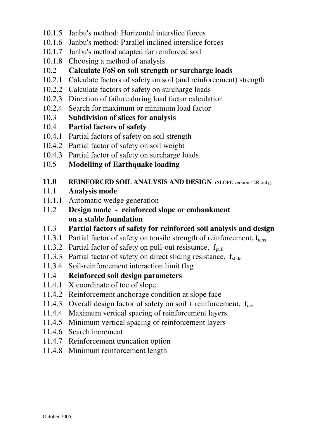- 10.1.5 Janbu's method: Horizontal interslice forces
- 10.1.6 Janbu's method: Parallel inclined interslice forces
- 10.1.7 Janbu's method adapted for reinforced soil
- 10.1.8 Choosing a method of analysis
- 10.2 **Calculate FoS on soil strength or surcharge loads**
- 10.2.1 Calculate factors of safety on soil (and reinforcement) strength
- 10.2.2 Calculate factors of safety on surcharge loads
- 10.2.3 Direction of failure during load factor calculation
- 10.2.4 Search for maximum or minimum load factor
- 10.3 **Subdivision of slices for analysis**

#### 10.4 **Partial factors of safety**

- 10.4.1 Partial factors of safety on soil strength
- 10.4.2 Partial factor of safety on soil weight
- 10.4.3 Partial factor of safety on surcharge loads
- 10.5 **Modelling of Earthquake loading**

#### 11.0 **REINFORCED SOIL ANALYSIS AND DESIGN** (SLOPE version 12R only)

- 11.1 **Analysis mode**
- 11.1.1 Automatic wedge generation
- 11.2 **Design mode reinforced slope or embankment on a stable foundation**
- 11.3 **Partial factors of safety for reinforced soil analysis and design**
- 11.3.1 Partial factor of safety on tensile strength of reinforcement,  $f_{tens}$
- 11.3.2 Partial factor of safety on pull-out resistance,  $f_{null}$
- 11.3.3 Partial factor of safety on direct sliding resistance,  $f_{\text{slide}}$
- 11.3.4 Soil-reinforcement interaction limit flag

#### 11.4 **Reinforced soil design parameters**

- 11.4.1 X coordinate of toe of slope
- 11.4.2 Reinforcement anchorage condition at slope face
- 11.4.3 Overall design factor of safety on soil + reinforcement,  $f_{des}$
- 11.4.4 Maximum vertical spacing of reinforcement layers
- 11.4.5 Minimum vertical spacing of reinforcement layers
- 11.4.6 Search increment
- 11.4.7 Reinforcement truncation option
- 11.4.8 Minimum reinforcement length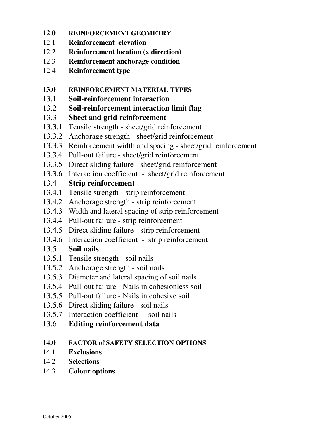- **12.0 REINFORCEMENT GEOMETRY**
- 12.1 **Reinforcement elevation**
- 12.2 **Reinforcement location (x direction)**
- 12.3 **Reinforcement anchorage condition**
- 12.4 **Reinforcement type**
- **13.0 REINFORCEMENT MATERIAL TYPES**
- 13.1 **Soil-reinforcement interaction**
- 13.2 **Soil-reinforcement interaction limit flag**
- 13.3 **Sheet and grid reinforcement**
- 13.3.1 Tensile strength sheet/grid reinforcement
- 13.3.2 Anchorage strength sheet/grid reinforcement
- 13.3.3 Reinforcement width and spacing sheet/grid reinforcement
- 13.3.4 Pull-out failure sheet/grid reinforcement
- 13.3.5 Direct sliding failure sheet/grid reinforcement
- 13.3.6 Interaction coefficient sheet/grid reinforcement

#### 13.4 **Strip reinforcement**

- 13.4.1 Tensile strength strip reinforcement
- 13.4.2 Anchorage strength strip reinforcement
- 13.4.3 Width and lateral spacing of strip reinforcement
- 13.4.4 Pull-out failure strip reinforcement
- 13.4.5 Direct sliding failure strip reinforcement
- 13.4.6 Interaction coefficient strip reinforcement

#### 13.5 **Soil nails**

- 13.5.1 Tensile strength soil nails
- 13.5.2 Anchorage strength soil nails
- 13.5.3 Diameter and lateral spacing of soil nails
- 13.5.4 Pull-out failure Nails in cohesionless soil
- 13.5.5 Pull-out failure Nails in cohesive soil
- 13.5.6 Direct sliding failure soil nails
- 13.5.7 Interaction coefficient soil nails
- 13.6 **Editing reinforcement data**

#### **14.0 FACTOR of SAFETY SELECTION OPTIONS**

- 14.1 **Exclusions**
- 14.2 **Selections**
- 14.3 **Colour options**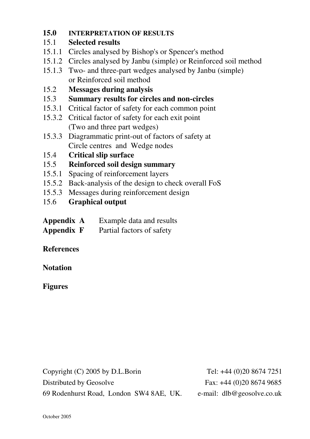#### **15.0 INTERPRETATION OF RESULTS**

#### 15.1 **Selected results**

- 15.1.1 Circles analysed by Bishop's or Spencer's method
- 15.1.2 Circles analysed by Janbu (simple) or Reinforced soil method
- 15.1.3 Two- and three-part wedges analysed by Janbu (simple) or Reinforced soil method
- 15.2 **Messages during analysis**
- 15.3 **Summary results for circles and non-circles**
- 15.3.1 Critical factor of safety for each common point
- 15.3.2 Critical factor of safety for each exit point (Two and three part wedges)
- 15.3.3 Diagrammatic print-out of factors of safety at Circle centres and Wedge nodes
- 15.4 **Critical slip surface**
- 15.5 **Reinforced soil design summary**
- 15.5.1 Spacing of reinforcement layers
- 15.5.2 Back-analysis of the design to check overall FoS
- 15.5.3 Messages during reinforcement design
- 15.6 **Graphical output**

| Appendix A | Example data and results                 |
|------------|------------------------------------------|
|            | $\mathbf{R}$ . The state of $\mathbf{R}$ |

**Appendix F** Partial factors of safety

#### **References**

#### **Notation**

#### **Figures**

Copyright (C) 2005 by D.L.Borin Tel: +44 (0)20 8674 7251 Distributed by Geosolve Fax: +44 (0)20 8674 9685 69 Rodenhurst Road, London SW4 8AE, UK. e-mail: dlb@geosolve.co.uk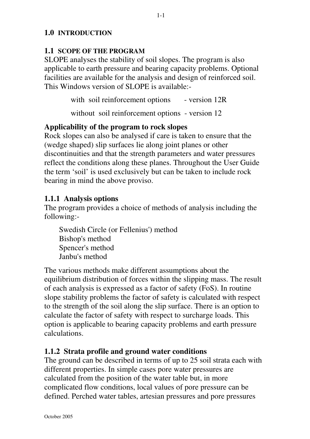#### **1.0 INTRODUCTION**

#### **1.1 SCOPE OF THE PROGRAM**

SLOPE analyses the stability of soil slopes. The program is also applicable to earth pressure and bearing capacity problems. Optional facilities are available for the analysis and design of reinforced soil. This Windows version of SLOPE is available:-

with soil reinforcement options - version 12R

without soil reinforcement options - version 12

#### **Applicability of the program to rock slopes**

Rock slopes can also be analysed if care is taken to ensure that the (wedge shaped) slip surfaces lie along joint planes or other discontinuities and that the strength parameters and water pressures reflect the conditions along these planes. Throughout the User Guide the term 'soil' is used exclusively but can be taken to include rock bearing in mind the above proviso.

#### **1.1.1 Analysis options**

The program provides a choice of methods of analysis including the following:-

Swedish Circle (or Fellenius') method Bishop's method Spencer's method Janbu's method

The various methods make different assumptions about the equilibrium distribution of forces within the slipping mass. The result of each analysis is expressed as a factor of safety (FoS). In routine slope stability problems the factor of safety is calculated with respect to the strength of the soil along the slip surface. There is an option to calculate the factor of safety with respect to surcharge loads. This option is applicable to bearing capacity problems and earth pressure calculations.

#### **1.1.2 Strata profile and ground water conditions**

The ground can be described in terms of up to 25 soil strata each with different properties. In simple cases pore water pressures are calculated from the position of the water table but, in more complicated flow conditions, local values of pore pressure can be defined. Perched water tables, artesian pressures and pore pressures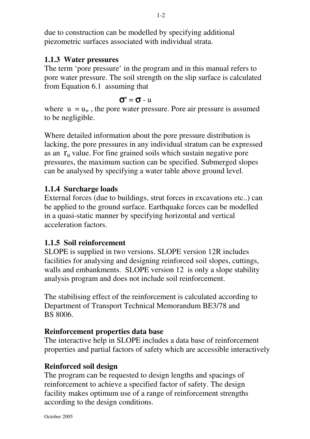due to construction can be modelled by specifying additional piezometric surfaces associated with individual strata.

#### **1.1.3 Water pressures**

The term 'pore pressure' in the program and in this manual refers to pore water pressure. The soil strength on the slip surface is calculated from Equation 6.1 assuming that

#### $σ' = σ - u$

where  $u = u_w$ , the pore water pressure. Pore air pressure is assumed to be negligible.

Where detailed information about the pore pressure distribution is lacking, the pore pressures in any individual stratum can be expressed as an  $r_u$  value. For fine grained soils which sustain negative pore pressures, the maximum suction can be specified. Submerged slopes can be analysed by specifying a water table above ground level.

#### **1.1.4 Surcharge loads**

External forces (due to buildings, strut forces in excavations etc..) can be applied to the ground surface. Earthquake forces can be modelled in a quasi-static manner by specifying horizontal and vertical acceleration factors.

#### **1.1.5 Soil reinforcement**

SLOPE is supplied in two versions. SLOPE version 12R includes facilities for analysing and designing reinforced soil slopes, cuttings, walls and embankments. SLOPE version 12 is only a slope stability analysis program and does not include soil reinforcement.

The stabilising effect of the reinforcement is calculated according to Department of Transport Technical Memorandum BE3/78 and BS 8006.

#### **Reinforcement properties data base**

The interactive help in SLOPE includes a data base of reinforcement properties and partial factors of safety which are accessible interactively

#### **Reinforced soil design**

The program can be requested to design lengths and spacings of reinforcement to achieve a specified factor of safety. The design facility makes optimum use of a range of reinforcement strengths according to the design conditions.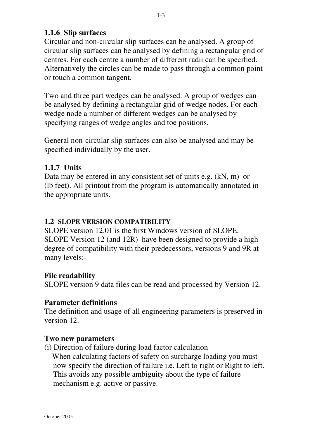#### **1.1.6 Slip surfaces**

Circular and non-circular slip surfaces can be analysed. A group of circular slip surfaces can be analysed by defining a rectangular grid of centres. For each centre a number of different radii can be specified. Alternatively the circles can be made to pass through a common point or touch a common tangent.

Two and three part wedges can be analysed. A group of wedges can be analysed by defining a rectangular grid of wedge nodes. For each wedge node a number of different wedges can be analysed by specifying ranges of wedge angles and toe positions.

General non-circular slip surfaces can also be analysed and may be specified individually by the user.

#### **1.1.7 Units**

Data may be entered in any consistent set of units e.g. (kN, m) or (lb feet). All printout from the program is automatically annotated in the appropriate units.

#### **1.2 SLOPE VERSION COMPATIBILITY**

SLOPE version 12.01 is the first Windows version of SLOPE. SLOPE Version 12 (and 12R) have been designed to provide a high degree of compatibility with their predecessors, versions 9 and 9R at many levels:-

#### **File readability**

SLOPE version 9 data files can be read and processed by Version 12.

#### **Parameter definitions**

The definition and usage of all engineering parameters is preserved in version 12.

#### **Two new parameters**

(i) Direction of failure during load factor calculation When calculating factors of safety on surcharge loading you must now specify the direction of failure i.e. Left to right or Right to left. This avoids any possible ambiguity about the type of failure mechanism e.g. active or passive.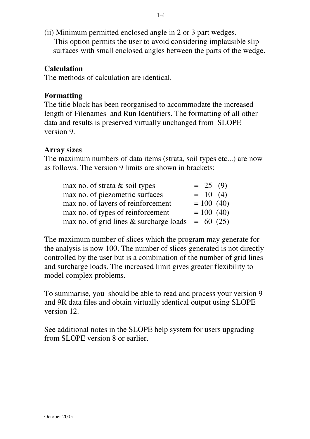(ii) Minimum permitted enclosed angle in 2 or 3 part wedges. This option permits the user to avoid considering implausible slip surfaces with small enclosed angles between the parts of the wedge.

#### **Calculation**

The methods of calculation are identical.

#### **Formatting**

The title block has been reorganised to accommodate the increased length of Filenames and Run Identifiers. The formatting of all other data and results is preserved virtually unchanged from SLOPE version 9.

#### **Array sizes**

The maximum numbers of data items (strata, soil types etc...) are now as follows. The version 9 limits are shown in brackets:

| max no. of strata $&$ soil types                    | $= 25 (9)$   |
|-----------------------------------------------------|--------------|
| max no. of piezometric surfaces                     | $= 10 (4)$   |
| max no. of layers of reinforcement                  | $= 100 (40)$ |
| max no. of types of reinforcement                   | $= 100(40)$  |
| max no. of grid lines & surcharge loads = $60$ (25) |              |

The maximum number of slices which the program may generate for the analysis is now 100. The number of slices generated is not directly controlled by the user but is a combination of the number of grid lines and surcharge loads. The increased limit gives greater flexibility to model complex problems.

To summarise, you should be able to read and process your version 9 and 9R data files and obtain virtually identical output using SLOPE version 12.

See additional notes in the SLOPE help system for users upgrading from SLOPE version 8 or earlier.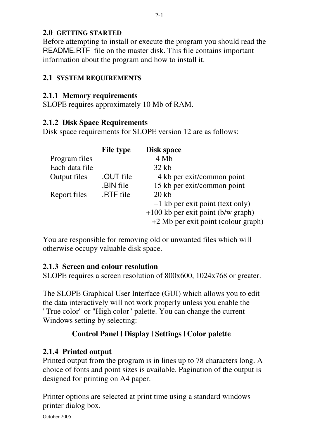#### **2.0 GETTING STARTED**

Before attempting to install or execute the program you should read the README.RTF file on the master disk. This file contains important information about the program and how to install it.

#### **2.1 SYSTEM REQUIREMENTS**

#### **2.1.1 Memory requirements**

SLOPE requires approximately 10 Mb of RAM.

#### **2.1.2 Disk Space Requirements**

Disk space requirements for SLOPE version 12 are as follows:

|                | <b>File type</b> | <b>Disk space</b>                   |
|----------------|------------------|-------------------------------------|
| Program files  |                  | 4 Mb                                |
| Each data file |                  | $32$ kb                             |
| Output files   | .OUT file        | 4 kb per exit/common point          |
|                | .BIN file        | 15 kb per exit/common point         |
| Report files   | .RTF file        | $20$ kb                             |
|                |                  | +1 kb per exit point (text only)    |
|                |                  | +100 kb per exit point (b/w graph)  |
|                |                  | +2 Mb per exit point (colour graph) |

You are responsible for removing old or unwanted files which will otherwise occupy valuable disk space.

#### **2.1.3 Screen and colour resolution**

SLOPE requires a screen resolution of 800x600, 1024x768 or greater.

The SLOPE Graphical User Interface (GUI) which allows you to edit the data interactively will not work properly unless you enable the "True color" or "High color" palette. You can change the current Windows setting by selecting:

#### **Control Panel | Display | Settings | Color palette**

#### **2.1.4 Printed output**

Printed output from the program is in lines up to 78 characters long. A choice of fonts and point sizes is available. Pagination of the output is designed for printing on A4 paper.

Printer options are selected at print time using a standard windows printer dialog box.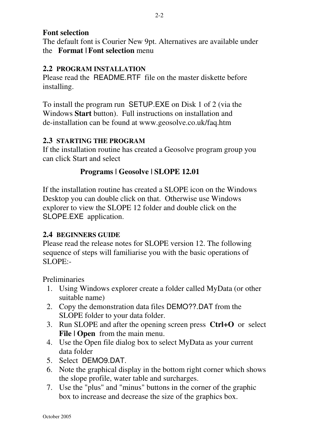#### **Font selection**

The default font is Courier New 9pt. Alternatives are available under the **Format | Font selection** menu

#### **2.2 PROGRAM INSTALLATION**

Please read the README.RTF file on the master diskette before installing.

To install the program run SETUP.EXE on Disk 1 of 2 (via the Windows **Start** button). Full instructions on installation and de-installation can be found at www.geosolve.co.uk/faq.htm

#### **2.3 STARTING THE PROGRAM**

If the installation routine has created a Geosolve program group you can click Start and select

#### **Programs | Geosolve | SLOPE 12.01**

If the installation routine has created a SLOPE icon on the Windows Desktop you can double click on that. Otherwise use Windows explorer to view the SLOPE 12 folder and double click on the SLOPE.EXE application.

#### **2.4 BEGINNERS GUIDE**

Please read the release notes for SLOPE version 12. The following sequence of steps will familiarise you with the basic operations of SLOPE:-

Preliminaries

- 1. Using Windows explorer create a folder called MyData (or other suitable name)
- 2. Copy the demonstration data files DEMO??.DAT from the SLOPE folder to your data folder.
- 3. Run SLOPE and after the opening screen press **Ctrl+O** or select **File | Open** from the main menu.
- 4. Use the Open file dialog box to select MyData as your current data folder
- 5. Select DEMO9.DAT.
- 6. Note the graphical display in the bottom right corner which shows the slope profile, water table and surcharges.
- 7. Use the "plus" and "minus" buttons in the corner of the graphic box to increase and decrease the size of the graphics box.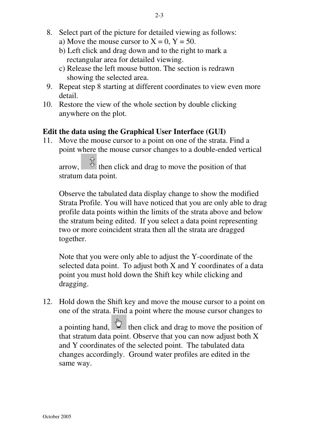- a) Move the mouse cursor to  $X = 0$ ,  $Y = 50$ .
- b) Left click and drag down and to the right to mark a rectangular area for detailed viewing.
- c) Release the left mouse button. The section is redrawn showing the selected area.
- 9. Repeat step 8 starting at different coordinates to view even more detail.
- 10. Restore the view of the whole section by double clicking anywhere on the plot.

#### **Edit the data using the Graphical User Interface (GUI)**

11. Move the mouse cursor to a point on one of the strata. Find a point where the mouse cursor changes to a double-ended vertical

arrow,  $\hat{\mathbb{E}}$  then click and drag to move the position of that stratum data point.

Observe the tabulated data display change to show the modified Strata Profile. You will have noticed that you are only able to drag profile data points within the limits of the strata above and below the stratum being edited. If you select a data point representing two or more coincident strata then all the strata are dragged together.

Note that you were only able to adjust the Y-coordinate of the selected data point. To adjust both X and Y coordinates of a data point you must hold down the Shift key while clicking and dragging.

12. Hold down the Shift key and move the mouse cursor to a point on one of the strata. Find a point where the mouse cursor changes to

a pointing hand,  $\frac{d\theta}{dx}$  then click and drag to move the position of that stratum data point. Observe that you can now adjust both X and Y coordinates of the selected point. The tabulated data changes accordingly. Ground water profiles are edited in the same way.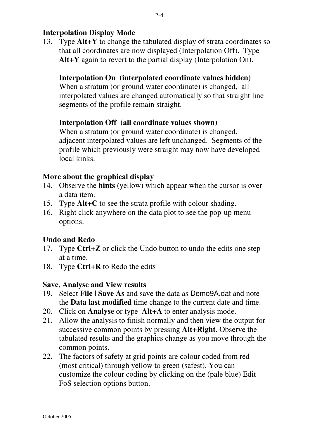#### **Interpolation Display Mode**

13. Type **Alt+Y** to change the tabulated display of strata coordinates so that all coordinates are now displayed (Interpolation Off). Type **Alt+Y** again to revert to the partial display (Interpolation On).

#### **Interpolation On (interpolated coordinate values hidden)**

When a stratum (or ground water coordinate) is changed, all interpolated values are changed automatically so that straight line segments of the profile remain straight.

#### **Interpolation Off (all coordinate values shown)**

When a stratum (or ground water coordinate) is changed, adjacent interpolated values are left unchanged. Segments of the profile which previously were straight may now have developed local kinks.

#### **More about the graphical display**

- 14. Observe the **hints** (yellow) which appear when the cursor is over a data item.
- 15. Type **Alt+C** to see the strata profile with colour shading.
- 16. Right click anywhere on the data plot to see the pop-up menu options.

#### **Undo and Redo**

- 17. Type **Ctrl+Z** or click the Undo button to undo the edits one step at a time.
- 18. Type **Ctrl+R** to Redo the edits

#### **Save, Analyse and View results**

- 19. Select **File | Save As** and save the data as Demo9A.dat and note the **Data last modified** time change to the current date and time.
- 20. Click on **Analyse** or type **Alt+A** to enter analysis mode.
- 21. Allow the analysis to finish normally and then view the output for successive common points by pressing **Alt+Right**. Observe the tabulated results and the graphics change as you move through the common points.
- 22. The factors of safety at grid points are colour coded from red (most critical) through yellow to green (safest). You can customize the colour coding by clicking on the (pale blue) Edit FoS selection options button.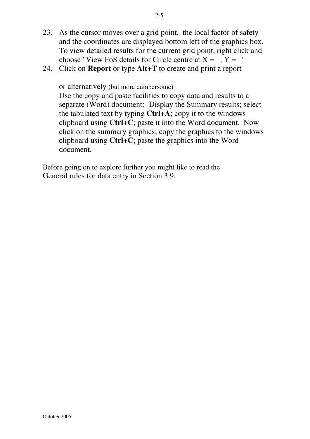- 23. As the cursor moves over a grid point, the local factor of safety and the coordinates are displayed bottom left of the graphics box. To view detailed results for the current grid point, right click and choose "View FoS details for Circle centre at  $X = 7$ ,  $Y = 7$ "
- 24. Click on **Report** or type **Alt+T** to create and print a report

or alternatively (but more cumbersome)

Use the copy and paste facilities to copy data and results to a separate (Word) document:- Display the Summary results; select the tabulated text by typing **Ctrl+A**; copy it to the windows clipboard using **Ctrl+C**; paste it into the Word document. Now click on the summary graphics; copy the graphics to the windows clipboard using **Ctrl+C**; paste the graphics into the Word document.

Before going on to explore further you might like to read the General rules for data entry in Section 3.9.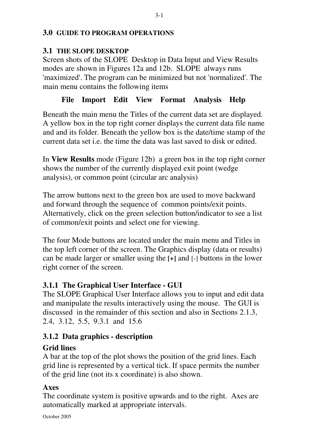#### **3.0 GUIDE TO PROGRAM OPERATIONS**

#### **3.1 THE SLOPE DESKTOP**

Screen shots of the SLOPE Desktop in Data Input and View Results modes are shown in Figures 12a and 12b. SLOPE always runs 'maximized'. The program can be minimized but not 'normalized'. The main menu contains the following items

#### **File Import Edit View Format Analysis Help**

Beneath the main menu the Titles of the current data set are displayed. A yellow box in the top right corner displays the current data file name and and its folder. Beneath the yellow box is the date/time stamp of the current data set i.e. the time the data was last saved to disk or edited.

In **View Results** mode (Figure 12b) a green box in the top right corner shows the number of the currently displayed exit point (wedge analysis), or common point (circular arc analysis)

The arrow buttons next to the green box are used to move backward and forward through the sequence of common points/exit points. Alternatively, click on the green selection button/indicator to see a list of common/exit points and select one for viewing.

The four Mode buttons are located under the main menu and Titles in the top left corner of the screen. The Graphics display (data or results) can be made larger or smaller using the **[+]** and [-] buttons in the lower right corner of the screen.

#### **3.1.1 The Graphical User Interface - GUI**

The SLOPE Graphical User Interface allows you to input and edit data and manipulate the results interactively using the mouse. The GUI is discussed in the remainder of this section and also in Sections 2.1.3, 2.4, 3.12, 5.5, 9.3.1 and 15.6

#### **3.1.2 Data graphics - description**

#### **Grid lines**

A bar at the top of the plot shows the position of the grid lines. Each grid line is represented by a vertical tick. If space permits the number of the grid line (not its x coordinate) is also shown.

#### **Axes**

The coordinate system is positive upwards and to the right. Axes are automatically marked at appropriate intervals.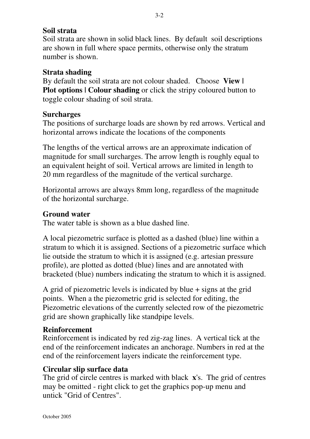#### **Soil strata**

Soil strata are shown in solid black lines. By default soil descriptions are shown in full where space permits, otherwise only the stratum number is shown.

#### **Strata shading**

By default the soil strata are not colour shaded. Choose **View | Plot options | Colour shading** or click the stripy coloured button to toggle colour shading of soil strata.

#### **Surcharges**

The positions of surcharge loads are shown by red arrows. Vertical and horizontal arrows indicate the locations of the components

The lengths of the vertical arrows are an approximate indication of magnitude for small surcharges. The arrow length is roughly equal to an equivalent height of soil. Vertical arrows are limited in length to 20 mm regardless of the magnitude of the vertical surcharge.

Horizontal arrows are always 8mm long, regardless of the magnitude of the horizontal surcharge.

#### **Ground water**

The water table is shown as a blue dashed line.

A local piezometric surface is plotted as a dashed (blue) line within a stratum to which it is assigned. Sections of a piezometric surface which lie outside the stratum to which it is assigned (e.g. artesian pressure profile), are plotted as dotted (blue) lines and are annotated with bracketed (blue) numbers indicating the stratum to which it is assigned.

A grid of piezometric levels is indicated by blue + signs at the grid points. When a the piezometric grid is selected for editing, the Piezometric elevations of the currently selected row of the piezometric grid are shown graphically like standpipe levels.

#### **Reinforcement**

Reinforcement is indicated by red zig-zag lines. A vertical tick at the end of the reinforcement indicates an anchorage. Numbers in red at the end of the reinforcement layers indicate the reinforcement type.

#### **Circular slip surface data**

The grid of circle centres is marked with black **x**'s. The grid of centres may be omitted - right click to get the graphics pop-up menu and untick "Grid of Centres".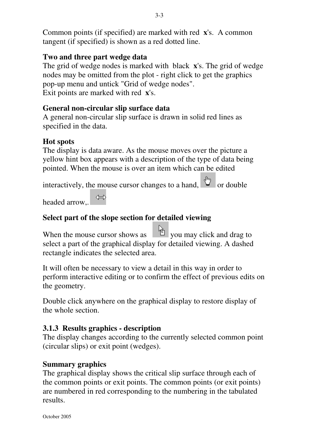Common points (if specified) are marked with red **x**'s. A common tangent (if specified) is shown as a red dotted line.

#### **Two and three part wedge data**

The grid of wedge nodes is marked with black **x**'s. The grid of wedge nodes may be omitted from the plot - right click to get the graphics pop-up menu and untick "Grid of wedge nodes". Exit points are marked with red **x**'s.

#### **General non-circular slip surface data**

A general non-circular slip surface is drawn in solid red lines as specified in the data.

#### **Hot spots**

The display is data aware. As the mouse moves over the picture a yellow hint box appears with a description of the type of data being pointed. When the mouse is over an item which can be edited

interactively, the mouse cursor changes to a hand,  $\sqrt[n]{\ }$  or double

headed arrow,

#### **Select part of the slope section for detailed viewing**

When the mouse cursor shows as you may click and drag to you may click and drag to select a part of the graphical display for detailed viewing. A dashed rectangle indicates the selected area.

It will often be necessary to view a detail in this way in order to perform interactive editing or to confirm the effect of previous edits on the geometry.

Double click anywhere on the graphical display to restore display of the whole section.

#### **3.1.3 Results graphics - description**

The display changes according to the currently selected common point (circular slips) or exit point (wedges).

#### **Summary graphics**

The graphical display shows the critical slip surface through each of the common points or exit points. The common points (or exit points) are numbered in red corresponding to the numbering in the tabulated results.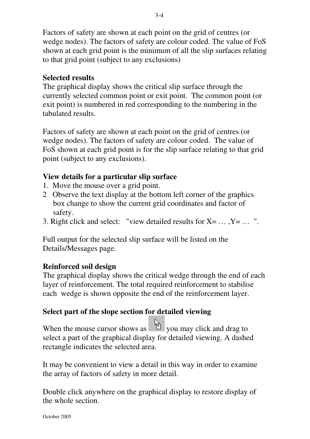Factors of safety are shown at each point on the grid of centres (or wedge nodes). The factors of safety are colour coded. The value of FoS shown at each grid point is the minimum of all the slip surfaces relating to that grid point (subject to any exclusions)

#### **Selected results**

The graphical display shows the critical slip surface through the currently selected common point or exit point. The common point (or exit point) is numbered in red corresponding to the numbering in the tabulated results.

Factors of safety are shown at each point on the grid of centres (or wedge nodes). The factors of safety are colour coded. The value of FoS shown at each grid point is for the slip surface relating to that grid point (subject to any exclusions).

#### **View details for a particular slip surface**

- 1. Move the mouse over a grid point.
- 2 Observe the text display at the bottom left corner of the graphics box change to show the current grid coordinates and factor of safety.
- 3. Right click and select: "view detailed results for  $X = \ldots, Y = \ldots$  ".

Full output for the selected slip surface will be listed on the Details/Messages page.

#### **Reinforced soil design**

The graphical display shows the critical wedge through the end of each layer of reinforcement. The total required reinforcement to stabilise each wedge is shown opposite the end of the reinforcement layer.

#### **Select part of the slope section for detailed viewing**

When the mouse cursor shows as you may click and drag to you may click and drag to select a part of the graphical display for detailed viewing. A dashed rectangle indicates the selected area.

It may be convenient to view a detail in this way in order to examine the array of factors of safety in more detail.

Double click anywhere on the graphical display to restore display of the whole section.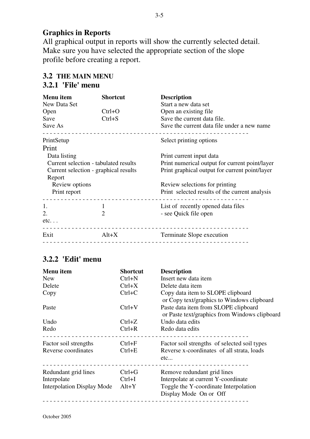#### **Graphics in Reports**

All graphical output in reports will show the currently selected detail. Make sure you have selected the appropriate section of the slope profile before creating a report.

#### **3.2 THE MAIN MENU 3.2.1 'File' menu**

| <b>Menu</b> item<br>New Data Set                                                                         | <b>Shortcut</b> | <b>Description</b><br>Start a new data set                                                                                   |                |  |                                                |
|----------------------------------------------------------------------------------------------------------|-----------------|------------------------------------------------------------------------------------------------------------------------------|----------------|--|------------------------------------------------|
| Open                                                                                                     | $Ctrl + O$      | Open an existing file.                                                                                                       |                |  |                                                |
| Save                                                                                                     | $Ctrl + S$      | Save the current data file.                                                                                                  |                |  |                                                |
| Save As                                                                                                  |                 | Save the current data file under a new name.                                                                                 |                |  |                                                |
| PrintSetup                                                                                               |                 | Select printing options                                                                                                      |                |  |                                                |
| Print                                                                                                    |                 |                                                                                                                              |                |  |                                                |
| Data listing<br>Current selection - tabulated results<br>Current selection - graphical results<br>Report |                 | Print current input data<br>Print numerical output for current point/layer<br>Print graphical output for current point/layer |                |  |                                                |
|                                                                                                          |                 |                                                                                                                              | Review options |  | Review selections for printing                 |
|                                                                                                          |                 |                                                                                                                              | Print report   |  | Print selected results of the current analysis |
|                                                                                                          |                 |                                                                                                                              | 1.             |  | List of recently opened data files             |
| 2.                                                                                                       | 2               | - see Quick file open                                                                                                        |                |  |                                                |
| etc.                                                                                                     |                 |                                                                                                                              |                |  |                                                |
| Exit                                                                                                     | $Alt+X$         | Terminate Slope execution                                                                                                    |                |  |                                                |
|                                                                                                          |                 |                                                                                                                              |                |  |                                                |

#### **3.2.2 'Edit' menu**

| Menu item                                                                | <b>Shortcut</b>                   | <b>Description</b>                                                                                                                    |
|--------------------------------------------------------------------------|-----------------------------------|---------------------------------------------------------------------------------------------------------------------------------------|
| <b>New</b>                                                               | $Ctrl + N$                        | Insert new data item                                                                                                                  |
| Delete                                                                   | $Ctrl+X$                          | Delete data item                                                                                                                      |
| Copy                                                                     | $Ctrl+C$                          | Copy data item to SLOPE clipboard<br>or Copy text/graphics to Windows clipboard                                                       |
| Paste                                                                    | $Ctrl+V$                          | Paste data item from SLOPE clipboard<br>or Paste text/graphics from Windows clipboard                                                 |
| Undo                                                                     | $Ctrl+Z$                          | Undo data edits                                                                                                                       |
| Redo                                                                     | $Ctrl + R$                        | Redo data edits                                                                                                                       |
| Factor soil strengths<br>Reverse coordinates                             | $Ctrl + F$<br>$Ctrl + E$          | Factor soil strengths of selected soil types<br>Reverse x-coordinates of all strata, loads<br>etc                                     |
| Redundant grid lines<br>Interpolate<br><b>Interpolation Display Mode</b> | $Ctrl + G$<br>$Ctrl+I$<br>$Alt+Y$ | Remove redundant grid lines<br>Interpolate at current Y-coordinate<br>Toggle the Y-coordinate Interpolation<br>Display Mode On or Off |
|                                                                          |                                   |                                                                                                                                       |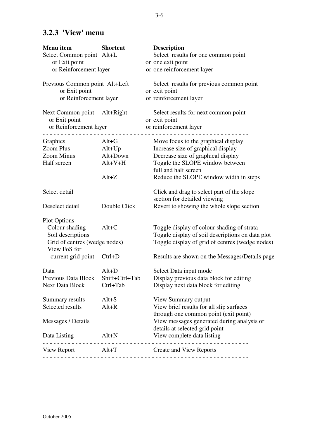#### **3.2.3 'View' menu**

| Menu item<br>Select Common point Alt+L<br>or Exit point<br>or Reinforcement layer                                                        | <b>Shortcut</b>                                       | <b>Description</b><br>Select results for one common point<br>or one exit point<br>or one reinforcement layer                                                                                                           |
|------------------------------------------------------------------------------------------------------------------------------------------|-------------------------------------------------------|------------------------------------------------------------------------------------------------------------------------------------------------------------------------------------------------------------------------|
| Previous Common point Alt+Left<br>or Exit point<br>or Reinforcement layer                                                                |                                                       | Select results for previous common point<br>or exit point<br>or reinforcement layer                                                                                                                                    |
| Next Common point Alt+Right<br>or Exit point<br>or Reinforcement layer                                                                   |                                                       | Select results for next common point<br>or exit point<br>or reinforcement layer                                                                                                                                        |
| Graphics<br>Zoom Plus<br>Zoom Minus<br>Half screen                                                                                       | $Alt+G$<br>Alt+Up<br>Alt+Down<br>$Alt+V+H$<br>$Alt+Z$ | Move focus to the graphical display<br>Increase size of graphical display<br>Decrease size of graphical display<br>Toggle the SLOPE window between<br>full and half screen<br>Reduce the SLOPE window width in steps   |
| Select detail<br>Deselect detail                                                                                                         | Double Click                                          | Click and drag to select part of the slope<br>section for detailed viewing<br>Revert to showing the whole slope section                                                                                                |
| <b>Plot Options</b><br>Colour shading<br>Soil descriptions<br>Grid of centres (wedge nodes)<br>View FoS for<br>current grid point Ctrl+D | $Alt+C$                                               | Toggle display of colour shading of strata<br>Toggle display of soil descriptions on data plot<br>Toggle display of grid of centres (wedge nodes)<br>Results are shown on the Messages/Details page                    |
| Data<br>Next Data Block Ctrl+Tab                                                                                                         | $Alt+D$                                               | Select Data input mode<br>Previous Data Block Shift+Ctrl+Tab Display previous data block for editing<br>Display next data block for editing                                                                            |
| ______________________________<br>Summary results Alt+S<br>Selected results<br>Messages / Details<br>Data Listing                        | $Alt+R$<br>$Alt+N$                                    | View Summary output<br>View brief results for all slip surfaces<br>through one common point (exit point)<br>View messages generated during analysis or<br>details at selected grid point<br>View complete data listing |
| . <u>.</u> .                                                                                                                             | . <u>.</u>                                            | View Report Alt+T Create and View Reports                                                                                                                                                                              |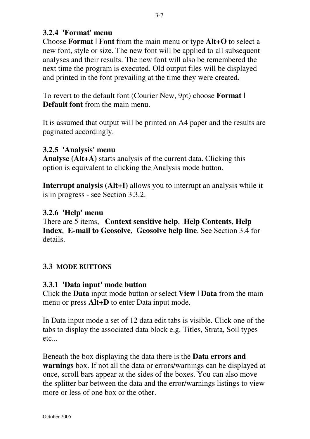#### **3.2.4 'Format' menu**

Choose **Format | Font** from the main menu or type **Alt+O** to select a new font, style or size. The new font will be applied to all subsequent analyses and their results. The new font will also be remembered the next time the program is executed. Old output files will be displayed and printed in the font prevailing at the time they were created.

To revert to the default font (Courier New, 9pt) choose **Format | Default font** from the main menu.

It is assumed that output will be printed on A4 paper and the results are paginated accordingly.

#### **3.2.5 'Analysis' menu**

**Analyse (Alt+A)** starts analysis of the current data. Clicking this option is equivalent to clicking the Analysis mode button.

**Interrupt analysis (Alt+I)** allows you to interrupt an analysis while it is in progress - see Section 3.3.2.

#### **3.2.6 'Help' menu**

There are 5 items, **Context sensitive help**, **Help Contents**, **Help Index**, **E-mail to Geosolve**, **Geosolve help line**. See Section 3.4 for details.

#### **3.3 MODE BUTTONS**

#### **3.3.1 'Data input' mode button**

Click the **Data** input mode button or select **View | Data** from the main menu or press **Alt+D** to enter Data input mode.

In Data input mode a set of 12 data edit tabs is visible. Click one of the tabs to display the associated data block e.g. Titles, Strata, Soil types etc...

Beneath the box displaying the data there is the **Data errors and warnings** box. If not all the data or errors/warnings can be displayed at once, scroll bars appear at the sides of the boxes. You can also move the splitter bar between the data and the error/warnings listings to view more or less of one box or the other.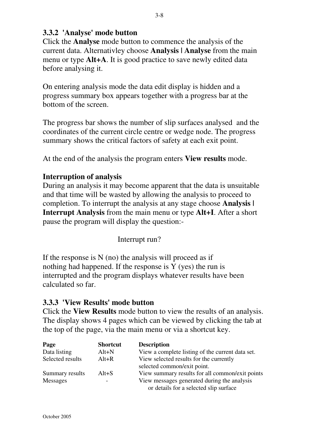Click the **Analyse** mode button to commence the analysis of the current data. Alternativley choose **Analysis | Analyse** from the main menu or type **Alt+A**. It is good practice to save newly edited data before analysing it.

On entering analysis mode the data edit display is hidden and a progress summary box appears together with a progress bar at the bottom of the screen.

The progress bar shows the number of slip surfaces analysed and the coordinates of the current circle centre or wedge node. The progress summary shows the critical factors of safety at each exit point.

At the end of the analysis the program enters **View results** mode.

#### **Interruption of analysis**

During an analysis it may become apparent that the data is unsuitable and that time will be wasted by allowing the analysis to proceed to completion. To interrupt the analysis at any stage choose **Analysis | Interrupt Analysis** from the main menu or type **Alt+I**. After a short pause the program will display the question:-

Interrupt run?

If the response is  $N$  (no) the analysis will proceed as if nothing had happened. If the response is Y (yes) the run is interrupted and the program displays whatever results have been calculated so far.

#### **3.3.3 'View Results' mode button**

Click the **View Results** mode button to view the results of an analysis. The display shows 4 pages which can be viewed by clicking the tab at the top of the page, via the main menu or via a shortcut key.

| Page             | <b>Shortcut</b> | <b>Description</b>                                                                    |
|------------------|-----------------|---------------------------------------------------------------------------------------|
| Data listing     | $Alt+N$         | View a complete listing of the current data set.                                      |
| Selected results | $Alt+R$         | View selected results for the currently<br>selected common/exit point.                |
| Summary results  | $Alt + S$       | View summary results for all common/exit points                                       |
| <b>Messages</b>  |                 | View messages generated during the analysis<br>or details for a selected slip surface |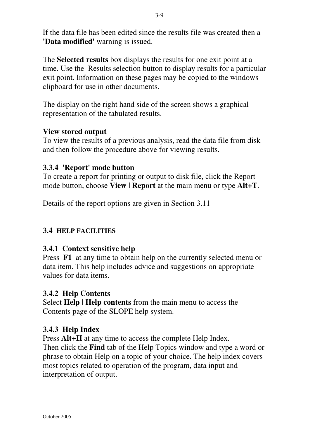If the data file has been edited since the results file was created then a **'Data modified'** warning is issued.

The **Selected results** box displays the results for one exit point at a time. Use the Results selection button to display results for a particular exit point. Information on these pages may be copied to the windows clipboard for use in other documents.

The display on the right hand side of the screen shows a graphical representation of the tabulated results.

#### **View stored output**

To view the results of a previous analysis, read the data file from disk and then follow the procedure above for viewing results.

#### **3.3.4 'Report' mode button**

To create a report for printing or output to disk file, click the Report mode button, choose **View | Report** at the main menu or type **Alt+T**.

Details of the report options are given in Section 3.11

#### **3.4 HELP FACILITIES**

#### **3.4.1 Context sensitive help**

Press **F1** at any time to obtain help on the currently selected menu or data item. This help includes advice and suggestions on appropriate values for data items.

#### **3.4.2 Help Contents**

Select **Help | Help contents** from the main menu to access the Contents page of the SLOPE help system.

#### **3.4.3 Help Index**

Press **Alt+H** at any time to access the complete Help Index. Then click the **Find** tab of the Help Topics window and type a word or phrase to obtain Help on a topic of your choice. The help index covers most topics related to operation of the program, data input and interpretation of output.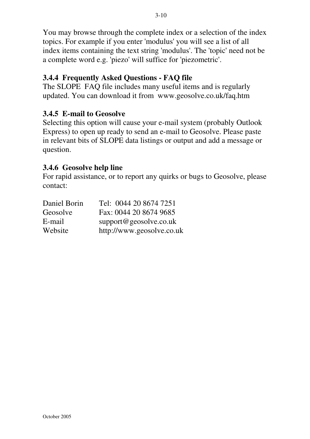You may browse through the complete index or a selection of the index topics. For example if you enter 'modulus' you will see a list of all index items containing the text string 'modulus'. The 'topic' need not be a complete word e.g. 'piezo' will suffice for 'piezometric'.

#### **3.4.4 Frequently Asked Questions - FAQ file**

The SLOPE FAQ file includes many useful items and is regularly updated. You can download it from www.geosolve.co.uk/faq.htm

#### **3.4.5 E-mail to Geosolve**

Selecting this option will cause your e-mail system (probably Outlook Express) to open up ready to send an e-mail to Geosolve. Please paste in relevant bits of SLOPE data listings or output and add a message or question.

#### **3.4.6 Geosolve help line**

For rapid assistance, or to report any quirks or bugs to Geosolve, please contact:

| Daniel Borin | Tel: 0044 20 8674 7251    |
|--------------|---------------------------|
| Geosolve     | Fax: 0044 20 8674 9685    |
| E-mail       | support@geosolve.co.uk    |
| Website      | http://www.geosolve.co.uk |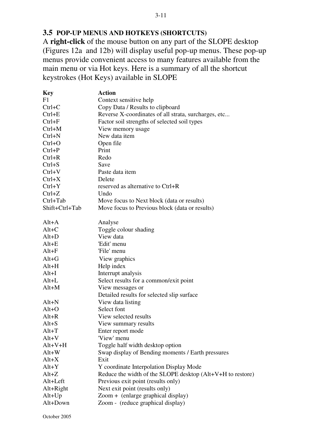#### **3.5 POP-UP MENUS AND HOTKEYS (SHORTCUTS)**

A **right-click** of the mouse button on any part of the SLOPE desktop (Figures 12a and 12b) will display useful pop-up menus. These pop-up menus provide convenient access to many features available from the main menu or via Hot keys. Here is a summary of all the shortcut keystrokes (Hot Keys) available in SLOPE

| <b>Key</b>     | <b>Action</b>                                              |  |  |
|----------------|------------------------------------------------------------|--|--|
| F1             | Context sensitive help                                     |  |  |
| $Ctrl+C$       | Copy Data / Results to clipboard                           |  |  |
| $Ctrl + E$     | Reverse X-coordinates of all strata, surcharges, etc       |  |  |
| $Ctrl + F$     | Factor soil strengths of selected soil types               |  |  |
| $Ctrl+M$       | View memory usage                                          |  |  |
| $Ctrl + N$     | New data item                                              |  |  |
| $Ctrl + O$     | Open file                                                  |  |  |
| $Ctrl + P$     | Print                                                      |  |  |
| $Ctrl + R$     | Redo                                                       |  |  |
| $Ctrl + S$     | Save                                                       |  |  |
| $Ctrl+V$       | Paste data item                                            |  |  |
| $Ctrl+X$       | Delete                                                     |  |  |
| $Ctrl+Y$       | reserved as alternative to Ctrl+R                          |  |  |
| $Ctrl+Z$       | Undo                                                       |  |  |
| Ctrl+Tab       | Move focus to Next block (data or results)                 |  |  |
| Shift+Ctrl+Tab | Move focus to Previous block (data or results)             |  |  |
|                |                                                            |  |  |
| $Alt+A$        | Analyse                                                    |  |  |
| $Alt+C$        | Toggle colour shading                                      |  |  |
| $Alt+D$        | View data                                                  |  |  |
| $Alt+E$        | 'Edit' menu                                                |  |  |
| $Alt + F$      | 'File' menu                                                |  |  |
| $Alt + G$      | View graphics                                              |  |  |
| $Alt+H$        | Help index                                                 |  |  |
| $Alt+I$        | Interrupt analysis                                         |  |  |
| $Alt+L$        | Select results for a common/exit point                     |  |  |
| $Alt+M$        | View messages or                                           |  |  |
|                | Detailed results for selected slip surface                 |  |  |
| $Alt+N$        | View data listing                                          |  |  |
| $Alt+O$        | Select font                                                |  |  |
| $Alt+R$        | View selected results                                      |  |  |
| Alt+S          | View summary results                                       |  |  |
| $Alt+T$        | Enter report mode                                          |  |  |
| $Alt+V$        | 'View' menu                                                |  |  |
| $Alt+V+H$      | Toggle half width desktop option                           |  |  |
| $Alt+W$        | Swap display of Bending moments / Earth pressures          |  |  |
| $Alt+X$        | Exit                                                       |  |  |
| $Alt+Y$        | Y coordinate Interpolation Display Mode                    |  |  |
| $Alt+Z$        | Reduce the width of the SLOPE desktop (Alt+V+H to restore) |  |  |
| Alt+Left       | Previous exit point (results only)                         |  |  |
| $Alt+Right$    | Next exit point (results only)                             |  |  |
| $Alt+Up$       | Zoom + (enlarge graphical display)                         |  |  |
| Alt+Down       | Zoom - (reduce graphical display)                          |  |  |
|                |                                                            |  |  |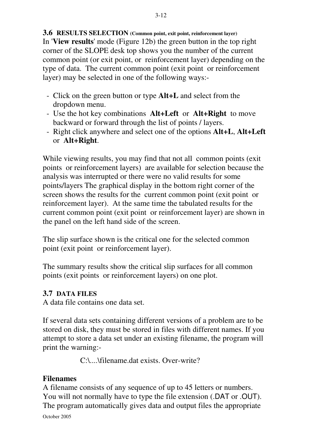**3.6 RESULTS SELECTION (Common point, exit point, reinforcement layer)** In '**View results**' mode (Figure 12b) the green button in the top right corner of the SLOPE desk top shows you the number of the current common point (or exit point, or reinforcement layer) depending on the type of data. The current common point (exit point or reinforcement layer) may be selected in one of the following ways:-

- Click on the green button or type **Alt+L** and select from the dropdown menu.
- Use the hot key combinations **Alt+Left** or **Alt+Right** to move backward or forward through the list of points / layers.
- Right click anywhere and select one of the options **Alt+L**, **Alt+Left** or **Alt+Right**.

While viewing results, you may find that not all common points (exit points or reinforcement layers) are available for selection because the analysis was interrupted or there were no valid results for some points/layers The graphical display in the bottom right corner of the screen shows the results for the current common point (exit point or reinforcement layer). At the same time the tabulated results for the current common point (exit point or reinforcement layer) are shown in the panel on the left hand side of the screen.

The slip surface shown is the critical one for the selected common point (exit point or reinforcement layer).

The summary results show the critical slip surfaces for all common points (exit points or reinforcement layers) on one plot.

#### **3.7 DATA FILES**

A data file contains one data set.

If several data sets containing different versions of a problem are to be stored on disk, they must be stored in files with different names. If you attempt to store a data set under an existing filename, the program will print the warning:-

C:\....\filename.dat exists. Over-write?

#### **Filenames**

A filename consists of any sequence of up to 45 letters or numbers. You will not normally have to type the file extension (.DAT or .OUT). The program automatically gives data and output files the appropriate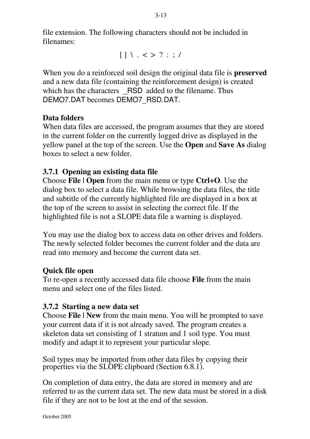file extension. The following characters should not be included in filenames:

 $[ ] \ \ . \ < \ > \ ? \ : \ ; \ /$ 

When you do a reinforced soil design the original data file is **preserved** and a new data file (containing the reinforcement design) is created which has the characters  $\overline{RSD}$  added to the filename. Thus DEMO7.DAT becomes DEMO7\_RSD.DAT.

#### **Data folders**

When data files are accessed, the program assumes that they are stored in the current folder on the currently logged drive as displayed in the yellow panel at the top of the screen. Use the **Open** and **Save As** dialog boxes to select a new folder.

#### **3.7.1 Opening an existing data file**

Choose **File | Open** from the main menu or type **Ctrl+O**. Use the dialog box to select a data file. While browsing the data files, the title and subtitle of the currently highlighted file are displayed in a box at the top of the screen to assist in selecting the correct file. If the highlighted file is not a SLOPE data file a warning is displayed.

You may use the dialog box to access data on other drives and folders. The newly selected folder becomes the current folder and the data are read into memory and become the current data set.

#### **Quick file open**

To re-open a recently accessed data file choose **File** from the main menu and select one of the files listed.

#### **3.7.2 Starting a new data set**

Choose **File | New** from the main menu. You will be prompted to save your current data if it is not already saved. The program creates a skeleton data set consisting of 1 stratum and 1 soil type. You must modify and adapt it to represent your particular slope.

Soil types may be imported from other data files by copying their properties via the SLOPE clipboard (Section 6.8.1).

On completion of data entry, the data are stored in memory and are referred to as the current data set. The new data must be stored in a disk file if they are not to be lost at the end of the session.

3-13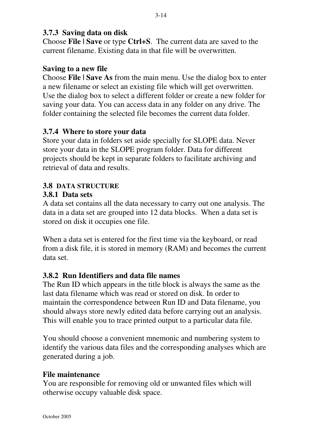#### **3.7.3 Saving data on disk**

Choose **File | Save** or type **Ctrl+S**. The current data are saved to the current filename. Existing data in that file will be overwritten.

#### **Saving to a new file**

Choose **File | Save As** from the main menu. Use the dialog box to enter a new filename or select an existing file which will get overwritten. Use the dialog box to select a different folder or create a new folder for saving your data. You can access data in any folder on any drive. The folder containing the selected file becomes the current data folder.

#### **3.7.4 Where to store your data**

Store your data in folders set aside specially for SLOPE data. Never store your data in the SLOPE program folder. Data for different projects should be kept in separate folders to facilitate archiving and retrieval of data and results.

#### **3.8 DATA STRUCTURE**

#### **3.8.1 Data sets**

A data set contains all the data necessary to carry out one analysis. The data in a data set are grouped into 12 data blocks. When a data set is stored on disk it occupies one file.

When a data set is entered for the first time via the keyboard, or read from a disk file, it is stored in memory (RAM) and becomes the current data set.

#### **3.8.2 Run Identifiers and data file names**

The Run ID which appears in the title block is always the same as the last data filename which was read or stored on disk. In order to maintain the correspondence between Run ID and Data filename, you should always store newly edited data before carrying out an analysis. This will enable you to trace printed output to a particular data file.

You should choose a convenient mnemonic and numbering system to identify the various data files and the corresponding analyses which are generated during a job.

#### **File maintenance**

You are responsible for removing old or unwanted files which will otherwise occupy valuable disk space.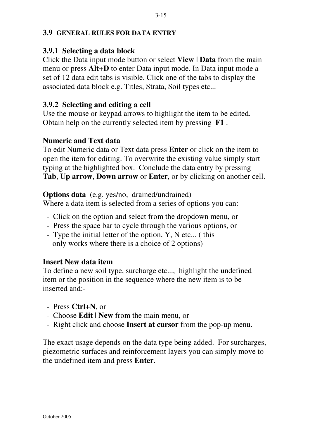#### **3.9 GENERAL RULES FOR DATA ENTRY**

#### **3.9.1 Selecting a data block**

Click the Data input mode button or select **View | Data** from the main menu or press **Alt+D** to enter Data input mode. In Data input mode a set of 12 data edit tabs is visible. Click one of the tabs to display the associated data block e.g. Titles, Strata, Soil types etc...

#### **3.9.2 Selecting and editing a cell**

Use the mouse or keypad arrows to highlight the item to be edited. Obtain help on the currently selected item by pressing **F1** .

#### **Numeric and Text data**

To edit Numeric data or Text data press **Enter** or click on the item to open the item for editing. To overwrite the existing value simply start typing at the highlighted box. Conclude the data entry by pressing **Tab**, **Up arrow**, **Down arrow** or **Enter**, or by clicking on another cell.

#### **Options data** (e.g. yes/no, drained/undrained)

Where a data item is selected from a series of options you can:-

- Click on the option and select from the dropdown menu, or
- Press the space bar to cycle through the various options, or
- Type the initial letter of the option, Y, N etc... ( this only works where there is a choice of 2 options)

#### **Insert New data item**

To define a new soil type, surcharge etc..., highlight the undefined item or the position in the sequence where the new item is to be inserted and:-

- Press **Ctrl+N**, or
- Choose **Edit | New** from the main menu, or
- Right click and choose **Insert at cursor** from the pop-up menu.

The exact usage depends on the data type being added. For surcharges, piezometric surfaces and reinforcement layers you can simply move to the undefined item and press **Enter**.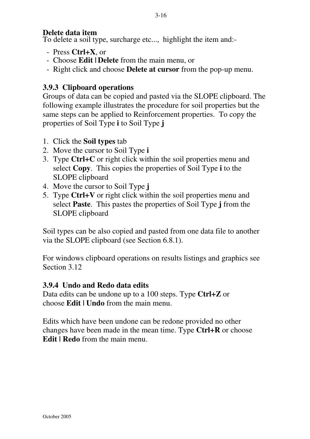#### **Delete data item**

To delete a soil type, surcharge etc..., highlight the item and:-

- Press **Ctrl+X**, or
- Choose **Edit | Delete** from the main menu, or
- Right click and choose **Delete at cursor** from the pop-up menu.

#### **3.9.3 Clipboard operations**

Groups of data can be copied and pasted via the SLOPE clipboard. The following example illustrates the procedure for soil properties but the same steps can be applied to Reinforcement properties. To copy the properties of Soil Type **i** to Soil Type **j**

- 1. Click the **Soil types** tab
- 2. Move the cursor to Soil Type **i**
- 3. Type **Ctrl+C** or right click within the soil properties menu and select **Copy**. This copies the properties of Soil Type **i** to the SLOPE clipboard
- 4. Move the cursor to Soil Type **j**
- 5. Type **Ctrl+V** or right click within the soil properties menu and select **Paste**. This pastes the properties of Soil Type **j** from the SLOPE clipboard

Soil types can be also copied and pasted from one data file to another via the SLOPE clipboard (see Section 6.8.1).

For windows clipboard operations on results listings and graphics see Section 3.12

#### **3.9.4 Undo and Redo data edits**

Data edits can be undone up to a 100 steps. Type **Ctrl+Z** or choose **Edit | Undo** from the main menu.

Edits which have been undone can be redone provided no other changes have been made in the mean time. Type **Ctrl+R** or choose **Edit | Redo** from the main menu.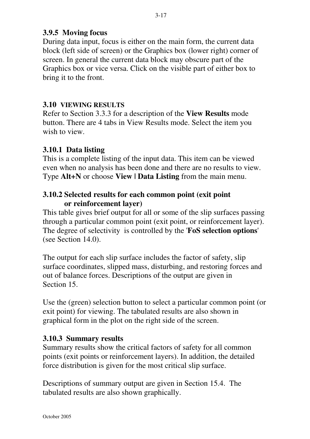#### **3.9.5 Moving focus**

During data input, focus is either on the main form, the current data block (left side of screen) or the Graphics box (lower right) corner of screen. In general the current data block may obscure part of the Graphics box or vice versa. Click on the visible part of either box to bring it to the front.

#### **3.10 VIEWING RESULTS**

Refer to Section 3.3.3 for a description of the **View Results** mode button. There are 4 tabs in View Results mode. Select the item you wish to view.

#### **3.10.1 Data listing**

This is a complete listing of the input data. This item can be viewed even when no analysis has been done and there are no results to view. Type **Alt+N** or choose **View | Data Listing** from the main menu.

#### **3.10.2 Selected results for each common point (exit point or reinforcement layer)**

This table gives brief output for all or some of the slip surfaces passing through a particular common point (exit point, or reinforcement layer). The degree of selectivity is controlled by the '**FoS selection options**' (see Section 14.0).

The output for each slip surface includes the factor of safety, slip surface coordinates, slipped mass, disturbing, and restoring forces and out of balance forces. Descriptions of the output are given in Section 15.

Use the (green) selection button to select a particular common point (or exit point) for viewing. The tabulated results are also shown in graphical form in the plot on the right side of the screen.

#### **3.10.3 Summary results**

Summary results show the critical factors of safety for all common points (exit points or reinforcement layers). In addition, the detailed force distribution is given for the most critical slip surface.

Descriptions of summary output are given in Section 15.4. The tabulated results are also shown graphically.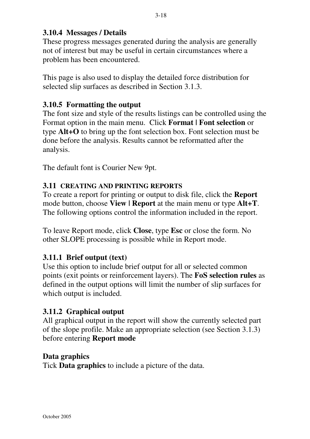#### **3.10.4 Messages / Details**

These progress messages generated during the analysis are generally not of interest but may be useful in certain circumstances where a problem has been encountered.

This page is also used to display the detailed force distribution for selected slip surfaces as described in Section 3.1.3.

#### **3.10.5 Formatting the output**

The font size and style of the results listings can be controlled using the Format option in the main menu. Click **Format | Font selection** or type **Alt+O** to bring up the font selection box. Font selection must be done before the analysis. Results cannot be reformatted after the analysis.

The default font is Courier New 9pt.

#### **3.11 CREATING AND PRINTING REPORTS**

To create a report for printing or output to disk file, click the **Report** mode button, choose **View | Report** at the main menu or type **Alt+T**. The following options control the information included in the report.

To leave Report mode, click **Close**, type **Esc** or close the form. No other SLOPE processing is possible while in Report mode.

#### **3.11.1 Brief output (text)**

Use this option to include brief output for all or selected common points (exit points or reinforcement layers). The **FoS selection rules** as defined in the output options will limit the number of slip surfaces for which output is included.

#### **3.11.2 Graphical output**

All graphical output in the report will show the currently selected part of the slope profile. Make an appropriate selection (see Section 3.1.3) before entering **Report mode**

#### **Data graphics**

Tick **Data graphics** to include a picture of the data.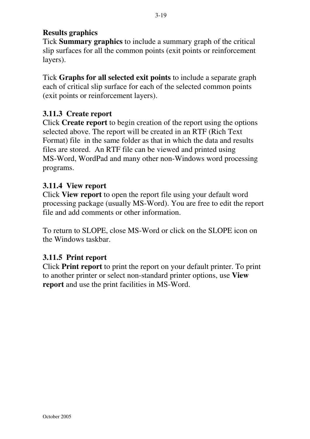# **Results graphics**

Tick **Summary graphics** to include a summary graph of the critical slip surfaces for all the common points (exit points or reinforcement layers).

Tick **Graphs for all selected exit points** to include a separate graph each of critical slip surface for each of the selected common points (exit points or reinforcement layers).

# **3.11.3 Create report**

Click **Create report** to begin creation of the report using the options selected above. The report will be created in an RTF (Rich Text Format) file in the same folder as that in which the data and results files are stored. An RTF file can be viewed and printed using MS-Word, WordPad and many other non-Windows word processing programs.

## **3.11.4 View report**

Click **View report** to open the report file using your default word processing package (usually MS-Word). You are free to edit the report file and add comments or other information.

To return to SLOPE, close MS-Word or click on the SLOPE icon on the Windows taskbar.

# **3.11.5 Print report**

Click **Print report** to print the report on your default printer. To print to another printer or select non-standard printer options, use **View report** and use the print facilities in MS-Word.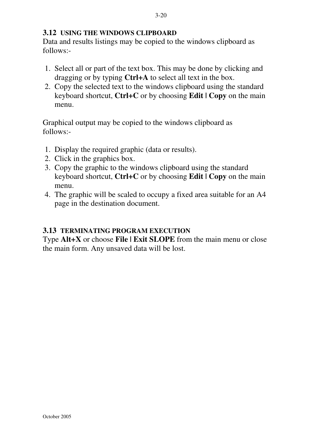#### **3.12 USING THE WINDOWS CLIPBOARD**

Data and results listings may be copied to the windows clipboard as follows:-

- 1. Select all or part of the text box. This may be done by clicking and dragging or by typing **Ctrl+A** to select all text in the box.
- 2. Copy the selected text to the windows clipboard using the standard keyboard shortcut, **Ctrl+C** or by choosing **Edit | Copy** on the main menu.

Graphical output may be copied to the windows clipboard as follows:-

- 1. Display the required graphic (data or results).
- 2. Click in the graphics box.
- 3. Copy the graphic to the windows clipboard using the standard keyboard shortcut, **Ctrl+C** or by choosing **Edit | Copy** on the main menu.
- 4. The graphic will be scaled to occupy a fixed area suitable for an A4 page in the destination document.

#### **3.13 TERMINATING PROGRAM EXECUTION**

Type **Alt+X** or choose **File | Exit SLOPE** from the main menu or close the main form. Any unsaved data will be lost.

October 2005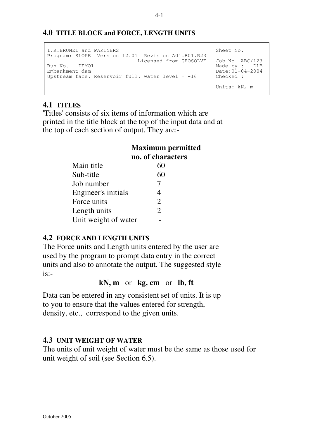#### **4.0 TITLE BLOCK and FORCE, LENGTH UNITS**

```
I.K.BRUNEL and PARTNERS | Sheet No.
Program: SLOPE Version 12.01 Revision A01.B01.R23 |
 Licensed from GEOSOLVE | Job No. ABC/123
Run No. DEMO1 | Made by : DLB
Embankment dam | Date:01-04-2004
Upstream face. Reservoir full. water level = +16 | Checked :
---------------------------------------------------------------------
                                      Units: kN, m
```
#### **4.1 TITLES**

'Titles' consists of six items of information which are printed in the title block at the top of the input data and at the top of each section of output. They are:-

## **Maximum permitted no. of characters**

| Main title           | 60                    |
|----------------------|-----------------------|
| Sub-title            | 60                    |
| Job number           | 7                     |
| Engineer's initials  | 4                     |
| Force units          | $\mathfrak{D}$        |
| Length units         | $\mathcal{D}_{\cdot}$ |
| Unit weight of water |                       |

#### **4.2 FORCE AND LENGTH UNITS**

The Force units and Length units entered by the user are used by the program to prompt data entry in the correct units and also to annotate the output. The suggested style  $is:-$ 

**kN, m** or **kg, cm** or **lb, ft**

Data can be entered in any consistent set of units. It is up to you to ensure that the values entered for strength, density, etc., correspond to the given units.

#### **4.3 UNIT WEIGHT OF WATER**

The units of unit weight of water must be the same as those used for unit weight of soil (see Section 6.5).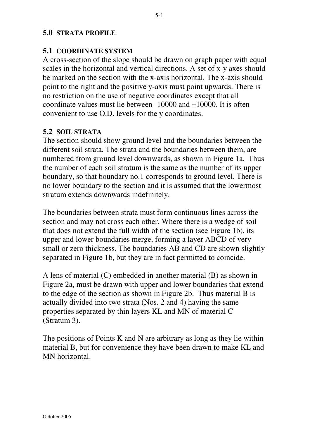#### **5.0 STRATA PROFILE**

#### **5.1 COORDINATE SYSTEM**

A cross-section of the slope should be drawn on graph paper with equal scales in the horizontal and vertical directions. A set of x-y axes should be marked on the section with the x-axis horizontal. The x-axis should point to the right and the positive y-axis must point upwards. There is no restriction on the use of negative coordinates except that all coordinate values must lie between -10000 and +10000. It is often convenient to use O.D. levels for the y coordinates.

#### **5.2 SOIL STRATA**

The section should show ground level and the boundaries between the different soil strata. The strata and the boundaries between them, are numbered from ground level downwards, as shown in Figure 1a. Thus the number of each soil stratum is the same as the number of its upper boundary, so that boundary no.1 corresponds to ground level. There is no lower boundary to the section and it is assumed that the lowermost stratum extends downwards indefinitely.

The boundaries between strata must form continuous lines across the section and may not cross each other. Where there is a wedge of soil that does not extend the full width of the section (see Figure 1b), its upper and lower boundaries merge, forming a layer ABCD of very small or zero thickness. The boundaries AB and CD are shown slightly separated in Figure 1b, but they are in fact permitted to coincide.

A lens of material (C) embedded in another material (B) as shown in Figure 2a, must be drawn with upper and lower boundaries that extend to the edge of the section as shown in Figure 2b. Thus material B is actually divided into two strata (Nos. 2 and 4) having the same properties separated by thin layers KL and MN of material C (Stratum 3).

The positions of Points K and N are arbitrary as long as they lie within material B, but for convenience they have been drawn to make KL and MN horizontal.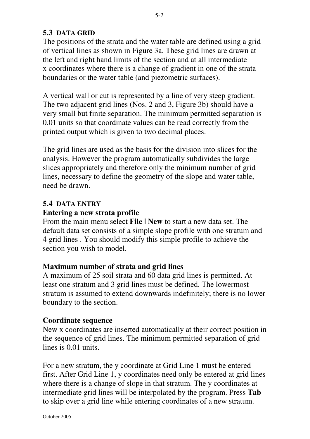### **5.3 DATA GRID**

The positions of the strata and the water table are defined using a grid of vertical lines as shown in Figure 3a. These grid lines are drawn at the left and right hand limits of the section and at all intermediate x coordinates where there is a change of gradient in one of the strata boundaries or the water table (and piezometric surfaces).

A vertical wall or cut is represented by a line of very steep gradient. The two adjacent grid lines (Nos. 2 and 3, Figure 3b) should have a very small but finite separation. The minimum permitted separation is 0.01 units so that coordinate values can be read correctly from the printed output which is given to two decimal places.

The grid lines are used as the basis for the division into slices for the analysis. However the program automatically subdivides the large slices appropriately and therefore only the minimum number of grid lines, necessary to define the geometry of the slope and water table, need be drawn.

#### **5.4 DATA ENTRY**

### **Entering a new strata profile**

From the main menu select **File | New** to start a new data set. The default data set consists of a simple slope profile with one stratum and 4 grid lines . You should modify this simple profile to achieve the section you wish to model.

#### **Maximum number of strata and grid lines**

A maximum of 25 soil strata and 60 data grid lines is permitted. At least one stratum and 3 grid lines must be defined. The lowermost stratum is assumed to extend downwards indefinitely; there is no lower boundary to the section.

#### **Coordinate sequence**

New x coordinates are inserted automatically at their correct position in the sequence of grid lines. The minimum permitted separation of grid lines is 0.01 units.

For a new stratum, the y coordinate at Grid Line 1 must be entered first. After Grid Line 1, y coordinates need only be entered at grid lines where there is a change of slope in that stratum. The y coordinates at intermediate grid lines will be interpolated by the program. Press **Tab** to skip over a grid line while entering coordinates of a new stratum.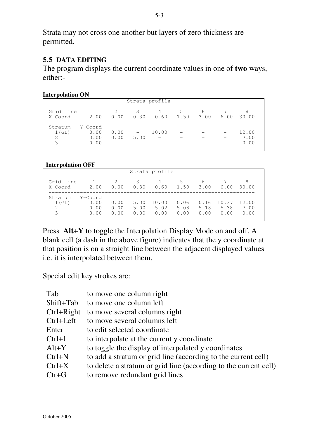Strata may not cross one another but layers of zero thickness are permitted.

#### **5.5 DATA EDITING**

The program displays the current coordinate values in one of **two** ways, either:-

| <b>Interpolation ON</b> |
|-------------------------|
|-------------------------|

|                                        |                                    |                                          |                                  | Strata profile |            |           |      |                       |  |
|----------------------------------------|------------------------------------|------------------------------------------|----------------------------------|----------------|------------|-----------|------|-----------------------|--|
| Grid line<br>X-Coord                   | $\sim$ 1<br>$-2.00$                | 2<br>0.00                                | 3<br>0.30                        | 4<br>0.60      | .5<br>1.50 | 6<br>3.00 | 6.00 | 8<br>30.00            |  |
| Stratum<br>1(GL)<br>$\mathcal{L}$<br>3 | Y-Coord<br>0.00<br>0.00<br>$-0.00$ | 0.00<br>0.00<br>$\overline{\phantom{m}}$ | $\overline{\phantom{m}}$<br>5.00 | 10.00          |            |           |      | 12.00<br>7.00<br>0.00 |  |

#### **Interpolation OFF**

|                                        |                                    |                         |                         | Strata profile        |                       |                       |                       |                       |
|----------------------------------------|------------------------------------|-------------------------|-------------------------|-----------------------|-----------------------|-----------------------|-----------------------|-----------------------|
| Grid line<br>X-Coord                   | $\frac{1}{2}$<br>$-2.00$           | 2<br>0.00               | 3<br>0.30               | 4<br>0.60             | 5<br>1.50             | 6<br>3.00             | 6.00                  | 8<br>30.00            |
| Stratum<br>1(GL)<br>$\mathcal{L}$<br>3 | Y-Coord<br>0.00<br>0.00<br>$-0.00$ | 0.00<br>0.00<br>$-0.00$ | 5.00<br>5.00<br>$-0.00$ | 10.00<br>5.02<br>0.00 | 10.06<br>5.08<br>0.00 | 10.16<br>5.18<br>0.00 | 10.37<br>5.38<br>0.00 | 12.00<br>7.00<br>0.00 |

Press **Alt+Y** to toggle the Interpolation Display Mode on and off. A blank cell (a dash in the above figure) indicates that the y coordinate at that position is on a straight line between the adjacent displayed values i.e. it is interpolated between them.

Special edit key strokes are:

| Tab          | to move one column right                                         |
|--------------|------------------------------------------------------------------|
| Shift+Tab    | to move one column left                                          |
| $Ctrl+Right$ | to move several columns right                                    |
| Ctrl+Left    | to move several columns left                                     |
| Enter        | to edit selected coordinate                                      |
| $Ctrl+I$     | to interpolate at the current y coordinate                       |
| $Alt+Y$      | to toggle the display of interpolated y coordinates              |
| $Ctrl + N$   | to add a stratum or grid line (according to the current cell)    |
| $Ctrl+X$     | to delete a stratum or grid line (according to the current cell) |
| $Ctr+G$      | to remove redundant grid lines                                   |
|              |                                                                  |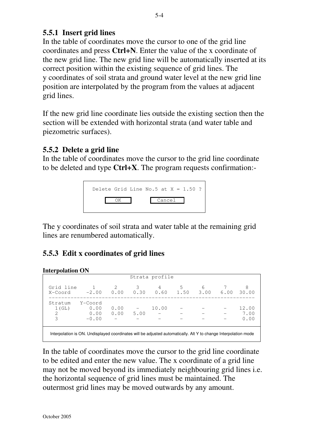## **5.5.1 Insert grid lines**

In the table of coordinates move the cursor to one of the grid line coordinates and press **Ctrl+N**. Enter the value of the x coordinate of the new grid line. The new grid line will be automatically inserted at its correct position within the existing sequence of grid lines. The y coordinates of soil strata and ground water level at the new grid line position are interpolated by the program from the values at adjacent grid lines.

If the new grid line coordinate lies outside the existing section then the section will be extended with horizontal strata (and water table and piezometric surfaces).

# **5.5.2 Delete a grid line**

In the table of coordinates move the cursor to the grid line coordinate to be deleted and type **Ctrl+X**. The program requests confirmation:-



The y coordinates of soil strata and water table at the remaining grid lines are renumbered automatically.

# **5.5.3 Edit x coordinates of grid lines**

**Interpolation ON**

| unu polation Ory     |                                                                                                                 |           |           |                |                |   |      |              |
|----------------------|-----------------------------------------------------------------------------------------------------------------|-----------|-----------|----------------|----------------|---|------|--------------|
|                      |                                                                                                                 |           |           | Strata profile |                |   |      |              |
| Grid line<br>X-Coord | $-2.00$                                                                                                         | 2<br>0.00 | 3<br>0.30 | 4<br>0.60      | 5<br>1.50 3.00 | 6 | 6.00 | 8<br>30.00   |
| Stratum<br>1(GL)     | Y-Coord<br>0.00                                                                                                 | 0.00      |           | 10.00          |                |   |      | 12.00        |
| $\mathcal{L}$<br>3   | 0.00<br>$-0.00$                                                                                                 | 0.00      | 5.00      |                |                |   |      | 7.00<br>0.00 |
|                      | Interpolation is ON. Undisplayed coordinates will be adjusted automatically. Alt Y to change Interpolation mode |           |           |                |                |   |      |              |

In the table of coordinates move the cursor to the grid line coordinate to be edited and enter the new value. The x coordinate of a grid line may not be moved beyond its immediately neighbouring grid lines i.e. the horizontal sequence of grid lines must be maintained. The outermost grid lines may be moved outwards by any amount.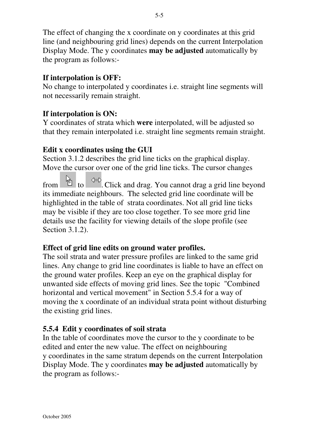The effect of changing the x coordinate on y coordinates at this grid line (and neighbouring grid lines) depends on the current Interpolation Display Mode. The y coordinates **may be adjusted** automatically by the program as follows:-

### **If interpolation is OFF:**

No change to interpolated y coordinates i.e. straight line segments will not necessarily remain straight.

### **If interpolation is ON:**

Y coordinates of strata which **were** interpolated, will be adjusted so that they remain interpolated i.e. straight line segments remain straight.

### **Edit x coordinates using the GUI**

Section 3.1.2 describes the grid line ticks on the graphical display. Move the cursor over one of the grid line ticks. The cursor changes

from to  $\left| \begin{array}{c} \hline \mathbb{R} \\ \hline \end{array} \right|$  to  $\left| \begin{array}{c} \hline \text{div}{\mathbb{R}} \\ \hline \end{array} \right|$ . Click and drag. You cannot drag a grid line beyond its immediate neighbours. The selected grid line coordinate will be highlighted in the table of strata coordinates. Not all grid line ticks may be visible if they are too close together. To see more grid line details use the facility for viewing details of the slope profile (see Section 3.1.2).

#### **Effect of grid line edits on ground water profiles.**

The soil strata and water pressure profiles are linked to the same grid lines. Any change to grid line coordinates is liable to have an effect on the ground water profiles. Keep an eye on the graphical display for unwanted side effects of moving grid lines. See the topic "Combined horizontal and vertical movement" in Section 5.5.4 for a way of moving the x coordinate of an individual strata point without disturbing the existing grid lines.

#### **5.5.4 Edit y coordinates of soil strata**

In the table of coordinates move the cursor to the y coordinate to be edited and enter the new value. The effect on neighbouring y coordinates in the same stratum depends on the current Interpolation Display Mode. The y coordinates **may be adjusted** automatically by the program as follows:-

5-5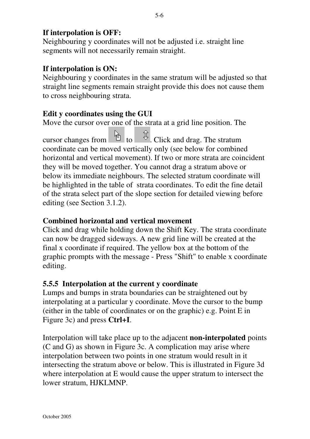## **If interpolation is OFF:**

Neighbouring y coordinates will not be adjusted i.e. straight line segments will not necessarily remain straight.

### **If interpolation is ON:**

Neighbouring y coordinates in the same stratum will be adjusted so that straight line segments remain straight provide this does not cause them to cross neighbouring strata.

### **Edit y coordinates using the GUI**

Move the cursor over one of the strata at a grid line position. The

cursor changes from to  $\frac{1}{\sqrt{2}}$  to . Click and drag. The stratum coordinate can be moved vertically only (see below for combined horizontal and vertical movement). If two or more strata are coincident they will be moved together. You cannot drag a stratum above or below its immediate neighbours. The selected stratum coordinate will be highlighted in the table of strata coordinates. To edit the fine detail of the strata select part of the slope section for detailed viewing before editing (see Section 3.1.2).

#### **Combined horizontal and vertical movement**

Click and drag while holding down the Shift Key. The strata coordinate can now be dragged sideways. A new grid line will be created at the final x coordinate if required. The yellow box at the bottom of the graphic prompts with the message - Press "Shift" to enable x coordinate editing.

#### **5.5.5 Interpolation at the current y coordinate**

Lumps and bumps in strata boundaries can be straightened out by interpolating at a particular y coordinate. Move the cursor to the bump (either in the table of coordinates or on the graphic) e.g. Point E in Figure 3c) and press **Ctrl+I**.

Interpolation will take place up to the adjacent **non-interpolated** points (C and G) as shown in Figure 3c. A complication may arise where interpolation between two points in one stratum would result in it intersecting the stratum above or below. This is illustrated in Figure 3d where interpolation at E would cause the upper stratum to intersect the lower stratum, HJKLMNP.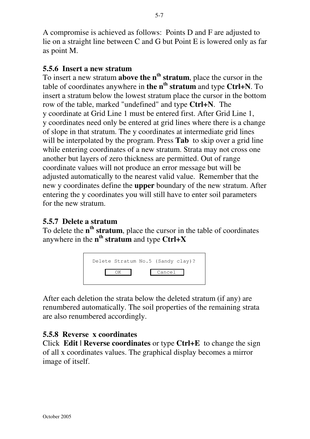A compromise is achieved as follows: Points D and F are adjusted to lie on a straight line between C and G but Point E is lowered only as far as point M.

### **5.5.6 Insert a new stratum**

To insert a new stratum **above the nth stratum**, place the cursor in the table of coordinates anywhere in **the nth stratum** and type **Ctrl+N**. To insert a stratum below the lowest stratum place the cursor in the bottom row of the table, marked "undefined" and type **Ctrl+N**. The y coordinate at Grid Line 1 must be entered first. After Grid Line 1, y coordinates need only be entered at grid lines where there is a change of slope in that stratum. The y coordinates at intermediate grid lines will be interpolated by the program. Press **Tab** to skip over a grid line while entering coordinates of a new stratum. Strata may not cross one another but layers of zero thickness are permitted. Out of range coordinate values will not produce an error message but will be adjusted automatically to the nearest valid value. Remember that the new y coordinates define the **upper** boundary of the new stratum. After entering the y coordinates you will still have to enter soil parameters for the new stratum.

### **5.5.7 Delete a stratum**

To delete the **nth stratum**, place the cursor in the table of coordinates anywhere in the **n<sup>th</sup> stratum** and type **Ctrl+X** 



After each deletion the strata below the deleted stratum (if any) are renumbered automatically. The soil properties of the remaining strata are also renumbered accordingly.

## **5.5.8 Reverse x coordinates**

Click **Edit | Reverse coordinates** or type **Ctrl+E** to change the sign of all x coordinates values. The graphical display becomes a mirror image of itself.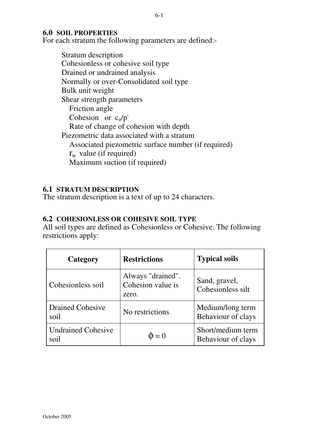#### **6.0 SOIL PROPERTIES**

For each stratum the following parameters are defined:-

Stratum description Cohesionless or cohesive soil type Drained or undrained analysis Normally or over-Consolidated soil type Bulk unit weight Shear strength parameters Friction angle Cohesion or  $c<sub>u</sub>/p'$  Rate of change of cohesion with depth Piezometric data associated with a stratum Associated piezometric surface number (if required)  $r_{\rm u}$  value (if required) Maximum suction (if required)

#### **6.1 STRATUM DESCRIPTION**

The stratum description is a text of up to 24 characters.

#### **6.2 COHESIONLESS OR COHESIVE SOIL TYPE**

All soil types are defined as Cohesionless or Cohesive. The following restrictions apply:

| Category                          | <b>Restrictions</b>                             | <b>Typical soils</b>                    |
|-----------------------------------|-------------------------------------------------|-----------------------------------------|
| Cohesionless soil                 | Always "drained".<br>Cohesion value is<br>zero. | Sand, gravel,<br>Cohesionless silt      |
| <b>Drained Cohesive</b><br>soil   | No restrictions                                 | Medium/long term<br>Behaviour of clays  |
| <b>Undrained Cohesive</b><br>soil | $\Phi = 0$                                      | Short/medium term<br>Behaviour of clays |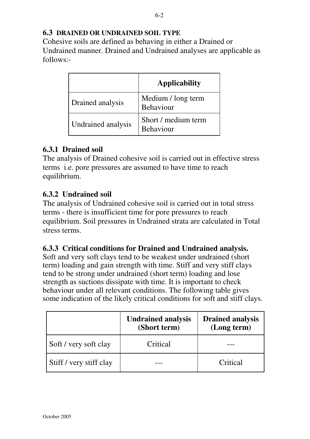### **6.3 DRAINED OR UNDRAINED SOIL TYPE**

Cohesive soils are defined as behaving in either a Drained or Undrained manner. Drained and Undrained analyses are applicable as follows:-

|                    | <b>Applicability</b>                    |
|--------------------|-----------------------------------------|
| Drained analysis   | Medium / long term<br><b>Behaviour</b>  |
| Undrained analysis | Short / medium term<br><b>Behaviour</b> |

### **6.3.1 Drained soil**

The analysis of Drained cohesive soil is carried out in effective stress terms i.e. pore pressures are assumed to have time to reach equilibrium.

### **6.3.2 Undrained soil**

The analysis of Undrained cohesive soil is carried out in total stress terms - there is insufficient time for pore pressures to reach equilibrium. Soil pressures in Undrained strata are calculated in Total stress terms.

#### **6.3.3 Critical conditions for Drained and Undrained analysis.**

Soft and very soft clays tend to be weakest under undrained (short term) loading and gain strength with time. Stiff and very stiff clays tend to be strong under undrained (short term) loading and lose strength as suctions dissipate with time. It is important to check behaviour under all relevant conditions. The following table gives some indication of the likely critical conditions for soft and stiff clays.

|                         | <b>Undrained analysis</b><br>(Short term) | <b>Drained analysis</b><br>(Long term) |
|-------------------------|-------------------------------------------|----------------------------------------|
| Soft / very soft clay   | Critical                                  |                                        |
| Stiff / very stiff clay |                                           | Critical                               |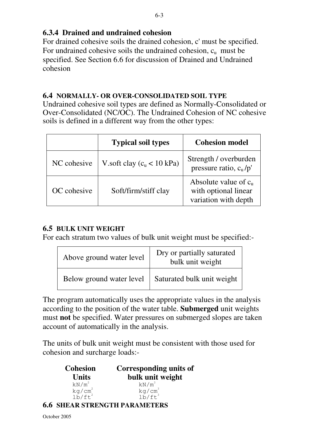## **6.3.4 Drained and undrained cohesion**

For drained cohesive soils the drained cohesion, c' must be specified. For undrained cohesive soils the undrained cohesion,  $c<sub>u</sub>$  must be specified. See Section 6.6 for discussion of Drained and Undrained cohesion

#### **6.4 NORMALLY- OR OVER-CONSOLIDATED SOIL TYPE**

Undrained cohesive soil types are defined as Normally-Consolidated or Over-Consolidated (NC/OC). The Undrained Cohesion of NC cohesive soils is defined in a different way from the other types:

|             | <b>Typical soil types</b>   | <b>Cohesion model</b>                                                  |
|-------------|-----------------------------|------------------------------------------------------------------------|
| NC cohesive | V.soft clay $(cu < 10$ kPa) | Strength / overburden<br>pressure ratio, $c_u/p'$                      |
| OC cohesive | Soft/firm/stiff clay        | Absolute value of $cu$<br>with optional linear<br>variation with depth |

## **6.5 BULK UNIT WEIGHT**

For each stratum two values of bulk unit weight must be specified:-

| Above ground water level | Dry or partially saturated<br>bulk unit weight |
|--------------------------|------------------------------------------------|
| Below ground water level | Saturated bulk unit weight                     |

The program automatically uses the appropriate values in the analysis according to the position of the water table. **Submerged** unit weights must **not** be specified. Water pressures on submerged slopes are taken account of automatically in the analysis.

The units of bulk unit weight must be consistent with those used for cohesion and surcharge loads:-

| <b>Cohesion</b>      | Corresponding units of |
|----------------------|------------------------|
| <b>Units</b>         | bulk unit weight       |
| $kN/m^2$             | $kN/m^3$               |
| $kg/cm2$<br>$1b/ft2$ | $kg/cm3$<br>$1b/ft3$   |
|                      |                        |

#### **6.6 SHEAR STRENGTH PARAMETERS**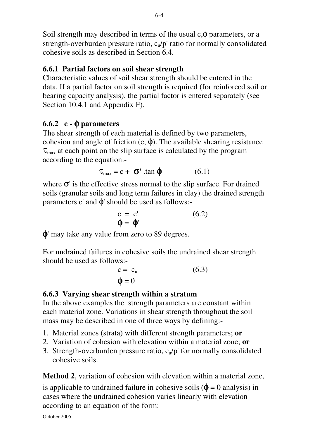Soil strength may described in terms of the usual  $c, \phi$  parameters, or a strength-overburden pressure ratio,  $c<sub>u</sub>/p'$  ratio for normally consolidated cohesive soils as described in Section 6.4.

## **6.6.1 Partial factors on soil shear strength**

Characteristic values of soil shear strength should be entered in the data. If a partial factor on soil strength is required (for reinforced soil or bearing capacity analysis), the partial factor is entered separately (see Section 10.4.1 and Appendix F).

# **6.6.2 c -** φ **parameters**

The shear strength of each material is defined by two parameters, cohesion and angle of friction  $(c, \phi)$ . The available shearing resistance  $\tau_{\text{max}}$  at each point on the slip surface is calculated by the program according to the equation:-

$$
\tau_{\text{max}} = c + \sigma' \cdot \tan \phi \tag{6.1}
$$

where  $\sigma'$  is the effective stress normal to the slip surface. For drained soils (granular soils and long term failures in clay) the drained strength parameters c' and  $\phi$ ' should be used as follows:-

$$
c = c'\n\Phi = \Phi' \tag{6.2}
$$

φ' may take any value from zero to 89 degrees.

For undrained failures in cohesive soils the undrained shear strength should be used as follows:-

$$
c = cu \t\t(6.3)
$$
  

$$
\phi = 0
$$

# **6.6.3 Varying shear strength within a stratum**

In the above examples the strength parameters are constant within each material zone. Variations in shear strength throughout the soil mass may be described in one of three ways by defining:-

- 1. Material zones (strata) with different strength parameters; **or**
- 2. Variation of cohesion with elevation within a material zone; **or**
- 3. Strength-overburden pressure ratio,  $c<sub>u</sub>/p'$  for normally consolidated cohesive soils.

**Method 2**, variation of cohesion with elevation within a material zone,

is applicable to undrained failure in cohesive soils ( $\phi = 0$  analysis) in cases where the undrained cohesion varies linearly with elevation according to an equation of the form:

October 2005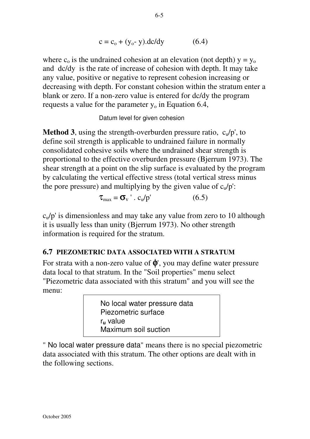$$
c = c_o + (y_o - y).dc/dy \t\t(6.4)
$$

where  $c_0$  is the undrained cohesion at an elevation (not depth)  $y = y_0$ and dc/dy is the rate of increase of cohesion with depth. It may take any value, positive or negative to represent cohesion increasing or decreasing with depth. For constant cohesion within the stratum enter a blank or zero. If a non-zero value is entered for dc/dy the program requests a value for the parameter  $y_0$  in Equation 6.4,

Datum level for given cohesion

**Method 3**, using the strength-overburden pressure ratio,  $c_y/p'$ , to define soil strength is applicable to undrained failure in normally consolidated cohesive soils where the undrained shear strength is proportional to the effective overburden pressure (Bjerrum 1973). The shear strength at a point on the slip surface is evaluated by the program by calculating the vertical effective stress (total vertical stress minus the pore pressure) and multiplying by the given value of  $c<sub>u</sub>/p'$ :

$$
\tau_{\text{max}} = \sigma_v' \cdot c_u / p' \tag{6.5}
$$

 $c<sub>u</sub>/p'$  is dimensionless and may take any value from zero to 10 although it is usually less than unity (Bjerrum 1973). No other strength information is required for the stratum.

#### **6.7 PIEZOMETRIC DATA ASSOCIATED WITH A STRATUM**

For strata with a non-zero value of  $\phi'$ , you may define water pressure data local to that stratum. In the "Soil properties" menu select "Piezometric data associated with this stratum" and you will see the menu:

> No local water pressure data Piezometric surface r**u** value Maximum soil suction

" No local water pressure data" means there is no special piezometric data associated with this stratum. The other options are dealt with in the following sections.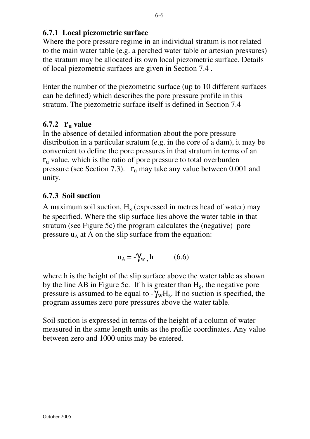## **6.7.1 Local piezometric surface**

Where the pore pressure regime in an individual stratum is not related to the main water table (e.g. a perched water table or artesian pressures) the stratum may be allocated its own local piezometric surface. Details of local piezometric surfaces are given in Section 7.4 .

Enter the number of the piezometric surface (up to 10 different surfaces can be defined) which describes the pore pressure profile in this stratum. The piezometric surface itself is defined in Section 7.4

# **6.7.2 ru value**

In the absence of detailed information about the pore pressure distribution in a particular stratum (e.g. in the core of a dam), it may be convenient to define the pore pressures in that stratum in terms of an  $r_{\rm u}$  value, which is the ratio of pore pressure to total overburden pressure (see Section 7.3).  $r_u$  may take any value between 0.001 and unity.

# **6.7.3 Soil suction**

A maximum soil suction,  $H_s$  (expressed in metres head of water) may be specified. Where the slip surface lies above the water table in that stratum (see Figure 5c) the program calculates the (negative) pore pressure  $u_A$  at A on the slip surface from the equation:-

$$
u_A = -\gamma_w \cdot h \qquad (6.6)
$$

where h is the height of the slip surface above the water table as shown by the line AB in Figure 5c. If h is greater than  $H_s$ , the negative pore pressure is assumed to be equal to  $-\tilde{\gamma}_w H_s$ . If no suction is specified, the program assumes zero pore pressures above the water table.

Soil suction is expressed in terms of the height of a column of water measured in the same length units as the profile coordinates. Any value between zero and 1000 units may be entered.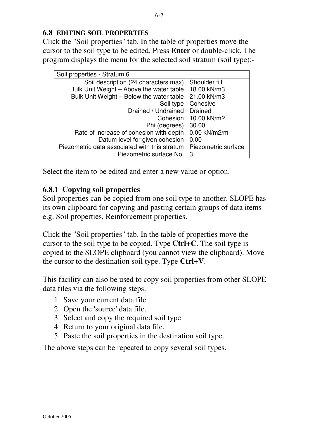#### **6.8 EDITING SOIL PROPERTIES**

Click the "Soil properties" tab. In the table of properties move the cursor to the soil type to be edited. Press **Enter** or double-click. The program displays the menu for the selected soil stratum (soil type):-

| Soil properties - Stratum 6                   |                     |
|-----------------------------------------------|---------------------|
| Soil description (24 characters max)          | Shoulder fill       |
| Bulk Unit Weight - Above the water table      | 18.00 kN/m3         |
| Bulk Unit Weight - Below the water table      | 21.00 kN/m3         |
| Soil type                                     | Cohesive            |
| Drained / Undrained                           | <b>Drained</b>      |
| Cohesion                                      | 10.00 kN/m2         |
| Phi (degrees)                                 | 30.00               |
| Rate of increase of cohesion with depth       | 0.00 kN/m2/m        |
| Datum level for given cohesion                | 0.00                |
| Piezometric data associated with this stratum | Piezometric surface |
| Piezometric surface No.                       | -3                  |

Select the item to be edited and enter a new value or option.

### **6.8.1 Copying soil properties**

Soil properties can be copied from one soil type to another. SLOPE has its own clipboard for copying and pasting certain groups of data items e.g. Soil properties, Reinforcement properties.

Click the "Soil properties" tab. In the table of properties move the cursor to the soil type to be copied. Type **Ctrl+C**. The soil type is copied to the SLOPE clipboard (you cannot view the clipboard). Move the cursor to the destination soil type. Type **Ctrl+V**.

This facility can also be used to copy soil properties from other SLOPE data files via the following steps.

- 1. Save your current data file
- 2. Open the 'source' data file.
- 3. Select and copy the required soil type
- 4. Return to your original data file.
- 5. Paste the soil properties in the destination soil type.

The above steps can be repeated to copy several soil types.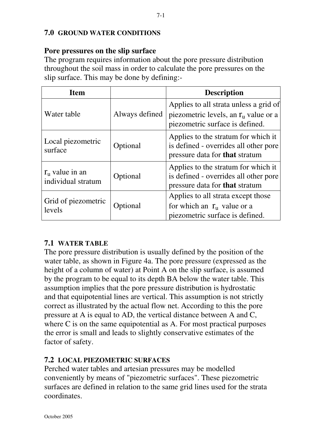#### **7.0 GROUND WATER CONDITIONS**

#### **Pore pressures on the slip surface**

The program requires information about the pore pressure distribution throughout the soil mass in order to calculate the pore pressures on the slip surface. This may be done by defining:-

| <b>Item</b>                                   |                | <b>Description</b>                                                                                                    |
|-----------------------------------------------|----------------|-----------------------------------------------------------------------------------------------------------------------|
| Water table                                   | Always defined | Applies to all strata unless a grid of<br>piezometric levels, an $r_u$ value or a<br>piezometric surface is defined.  |
| Local piezometric<br>surface                  | Optional       | Applies to the stratum for which it<br>is defined - overrides all other pore<br>pressure data for <b>that</b> stratum |
| $r_{\rm u}$ value in an<br>individual stratum | Optional       | Applies to the stratum for which it<br>is defined - overrides all other pore<br>pressure data for <b>that</b> stratum |
| Grid of piezometric<br>levels                 | Optional       | Applies to all strata except those<br>for which an $r_u$ value or a<br>piezometric surface is defined.                |

#### **7.1 WATER TABLE**

The pore pressure distribution is usually defined by the position of the water table, as shown in Figure 4a. The pore pressure (expressed as the height of a column of water) at Point A on the slip surface, is assumed by the program to be equal to its depth BA below the water table. This assumption implies that the pore pressure distribution is hydrostatic and that equipotential lines are vertical. This assumption is not strictly correct as illustrated by the actual flow net. According to this the pore pressure at A is equal to AD, the vertical distance between A and C, where C is on the same equipotential as A. For most practical purposes the error is small and leads to slightly conservative estimates of the factor of safety.

#### **7.2 LOCAL PIEZOMETRIC SURFACES**

Perched water tables and artesian pressures may be modelled conveniently by means of "piezometric surfaces". These piezometric surfaces are defined in relation to the same grid lines used for the strata coordinates.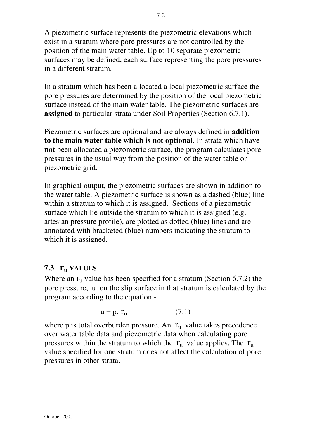A piezometric surface represents the piezometric elevations which exist in a stratum where pore pressures are not controlled by the position of the main water table. Up to 10 separate piezometric surfaces may be defined, each surface representing the pore pressures in a different stratum.

In a stratum which has been allocated a local piezometric surface the pore pressures are determined by the position of the local piezometric surface instead of the main water table. The piezometric surfaces are **assigned** to particular strata under Soil Properties (Section 6.7.1).

Piezometric surfaces are optional and are always defined in **addition to the main water table which is not optional**. In strata which have **not** been allocated a piezometric surface, the program calculates pore pressures in the usual way from the position of the water table or piezometric grid.

In graphical output, the piezometric surfaces are shown in addition to the water table. A piezometric surface is shown as a dashed (blue) line within a stratum to which it is assigned. Sections of a piezometric surface which lie outside the stratum to which it is assigned (e.g. artesian pressure profile), are plotted as dotted (blue) lines and are annotated with bracketed (blue) numbers indicating the stratum to which it is assigned.

## **7.3 r<sup>u</sup> VALUES**

Where an  $r_u$  value has been specified for a stratum (Section 6.7.2) the pore pressure, u on the slip surface in that stratum is calculated by the program according to the equation:-

$$
u = p. r_u \tag{7.1}
$$

where p is total overburden pressure. An  $r_{\text{u}}$  value takes precedence over water table data and piezometric data when calculating pore pressures within the stratum to which the  $r_{\text{u}}$  value applies. The  $r_{\text{u}}$ value specified for one stratum does not affect the calculation of pore pressures in other strata.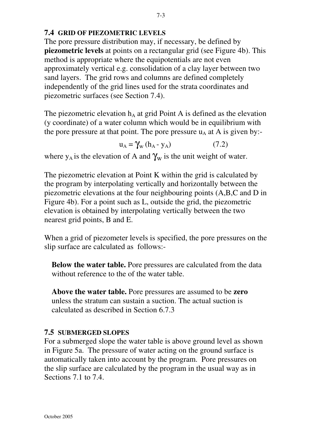### **7.4 GRID OF PIEZOMETRIC LEVELS**

The pore pressure distribution may, if necessary, be defined by **piezometric levels** at points on a rectangular grid (see Figure 4b). This method is appropriate where the equipotentials are not even approximately vertical e.g. consolidation of a clay layer between two sand layers. The grid rows and columns are defined completely independently of the grid lines used for the strata coordinates and piezometric surfaces (see Section 7.4).

The piezometric elevation  $h_A$  at grid Point A is defined as the elevation (y coordinate) of a water column which would be in equilibrium with the pore pressure at that point. The pore pressure  $u_A$  at A is given by:-

$$
u_A = \gamma_w (h_A - y_A) \tag{7.2}
$$

where  $y_A$  is the elevation of A and  $\gamma_w$  is the unit weight of water.

The piezometric elevation at Point K within the grid is calculated by the program by interpolating vertically and horizontally between the piezometric elevations at the four neighbouring points (A,B,C and D in Figure 4b). For a point such as L, outside the grid, the piezometric elevation is obtained by interpolating vertically between the two nearest grid points, B and E.

When a grid of piezometer levels is specified, the pore pressures on the slip surface are calculated as follows:-

**Below the water table.** Pore pressures are calculated from the data without reference to the of the water table.

**Above the water table.** Pore pressures are assumed to be **zero** unless the stratum can sustain a suction. The actual suction is calculated as described in Section 6.7.3

## **7.5 SUBMERGED SLOPES**

For a submerged slope the water table is above ground level as shown in Figure 5a. The pressure of water acting on the ground surface is automatically taken into account by the program. Pore pressures on the slip surface are calculated by the program in the usual way as in Sections 7.1 to 7.4.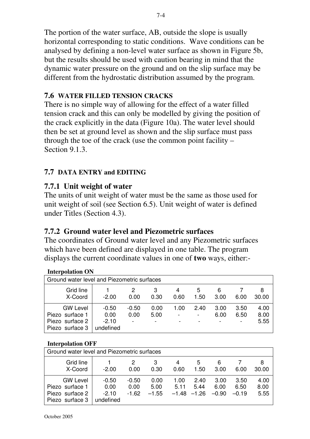The portion of the water surface, AB, outside the slope is usually horizontal corresponding to static conditions. Wave conditions can be analysed by defining a non-level water surface as shown in Figure 5b, but the results should be used with caution bearing in mind that the dynamic water pressure on the ground and on the slip surface may be different from the hydrostatic distribution assumed by the program.

### **7.6 WATER FILLED TENSION CRACKS**

There is no simple way of allowing for the effect of a water filled tension crack and this can only be modelled by giving the position of the crack explicitly in the data (Figure 10a). The water level should then be set at ground level as shown and the slip surface must pass through the toe of the crack (use the common point facility – Section 9.1.3.

## **7.7 DATA ENTRY and EDITING**

## **7.7.1 Unit weight of water**

The units of unit weight of water must be the same as those used for unit weight of soil (see Section 6.5). Unit weight of water is defined under Titles (Section 4.3).

# **7.7.2 Ground water level and Piezometric surfaces**

The coordinates of Ground water level and any Piezometric surfaces which have been defined are displayed in one table. The program displays the current coordinate values in one of **two** ways, either:-

| <b>Interpolation ON</b>                                                  |                                         |                 |                                          |           |           |              |              |                      |
|--------------------------------------------------------------------------|-----------------------------------------|-----------------|------------------------------------------|-----------|-----------|--------------|--------------|----------------------|
| Ground water level and Piezometric surfaces                              |                                         |                 |                                          |           |           |              |              |                      |
| Grid line<br>X-Coord                                                     | $-2.00$                                 | 2<br>0.00       | 3<br>0.30                                | 4<br>0.60 | 5<br>1.50 | 6<br>3.00    | 6.00         | 8<br>30.00           |
| <b>GW Level</b><br>Piezo surface 1<br>Piezo surface 2<br>Piezo surface 3 | $-0.50$<br>0.00<br>$-2.10$<br>undefined | $-0.50$<br>0.00 | 0.00<br>5.00<br>$\overline{\phantom{0}}$ | 1.00      | 2.40<br>- | 3.00<br>6.00 | 3.50<br>6.50 | 4.00<br>8.00<br>5.55 |

#### **Interpolation OFF**

| Ground water level and Piezometric surfaces                              |                                         |                            |                         |                                 |              |                         |                         |                      |
|--------------------------------------------------------------------------|-----------------------------------------|----------------------------|-------------------------|---------------------------------|--------------|-------------------------|-------------------------|----------------------|
| <b>Grid line</b><br>X-Coord                                              | $-2.00$                                 | 0.00                       | 0.30                    | 4<br>0.60                       | 5<br>1.50    | 6<br>3.00               | 6.00                    | 8<br>30.00           |
| <b>GW Level</b><br>Piezo surface 1<br>Piezo surface 2<br>Piezo surface 3 | $-0.50$<br>0.00<br>$-2.10$<br>undefined | $-0.50$<br>0.00<br>$-1.62$ | 0.00<br>5.00<br>$-1.55$ | 1.00<br>5.11<br>$-1.48$ $-1.26$ | 2.40<br>5.44 | 3.00<br>6.00<br>$-0.90$ | 3.50<br>6.50<br>$-0.19$ | 4.00<br>8.00<br>5.55 |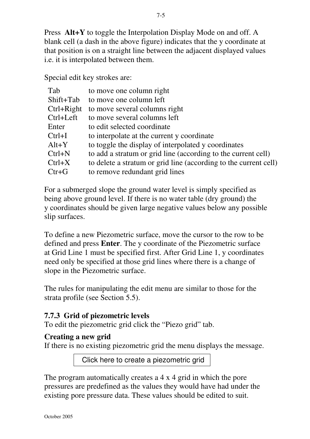Press **Alt+Y** to toggle the Interpolation Display Mode on and off. A blank cell (a dash in the above figure) indicates that the y coordinate at that position is on a straight line between the adjacent displayed values i.e. it is interpolated between them.

Special edit key strokes are:

| Tab          | to move one column right                                         |
|--------------|------------------------------------------------------------------|
| Shift+Tab    | to move one column left                                          |
| $Ctrl+Right$ | to move several columns right                                    |
| Ctrl+Left    | to move several columns left                                     |
| Enter        | to edit selected coordinate                                      |
| $Ctrl+I$     | to interpolate at the current y coordinate                       |
| $Alt+Y$      | to toggle the display of interpolated y coordinates              |
| $Ctrl+N$     | to add a stratum or grid line (according to the current cell)    |
| $Ctrl+X$     | to delete a stratum or grid line (according to the current cell) |
| $Ctr+G$      | to remove redundant grid lines                                   |

For a submerged slope the ground water level is simply specified as being above ground level. If there is no water table (dry ground) the y coordinates should be given large negative values below any possible slip surfaces.

To define a new Piezometric surface, move the cursor to the row to be defined and press **Enter**. The y coordinate of the Piezometric surface at Grid Line 1 must be specified first. After Grid Line 1, y coordinates need only be specified at those grid lines where there is a change of slope in the Piezometric surface.

The rules for manipulating the edit menu are similar to those for the strata profile (see Section 5.5).

# **7.7.3 Grid of piezometric levels**

To edit the piezometric grid click the "Piezo grid" tab.

# **Creating a new grid**

If there is no existing piezometric grid the menu displays the message.

Click here to create a piezometric grid

The program automatically creates a 4 x 4 grid in which the pore pressures are predefined as the values they would have had under the existing pore pressure data. These values should be edited to suit.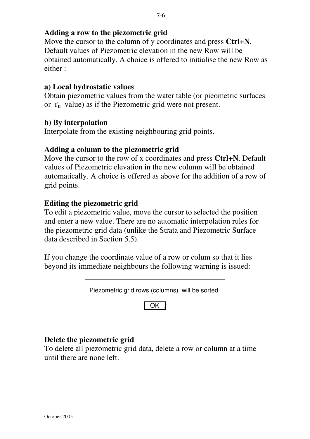## **Adding a row to the piezometric grid**

Move the cursor to the column of y coordinates and press **Ctrl+N**. Default values of Piezometric elevation in the new Row will be obtained automatically. A choice is offered to initialise the new Row as either :

#### **a) Local hydrostatic values**

Obtain piezometric values from the water table (or pieometric surfaces or  $r_u$  value) as if the Piezometric grid were not present.

#### **b) By interpolation**

Interpolate from the existing neighbouring grid points.

### **Adding a column to the piezometric grid**

Move the cursor to the row of x coordinates and press **Ctrl+N**. Default values of Piezometric elevation in the new column will be obtained automatically. A choice is offered as above for the addition of a row of grid points.

### **Editing the piezometric grid**

To edit a piezometric value, move the cursor to selected the position and enter a new value. There are no automatic interpolation rules for the piezometric grid data (unlike the Strata and Piezometric Surface data described in Section 5.5).

If you change the coordinate value of a row or colum so that it lies beyond its immediate neighbours the following warning is issued:



## **Delete the piezometric grid**

To delete all piezometric grid data, delete a row or column at a time until there are none left.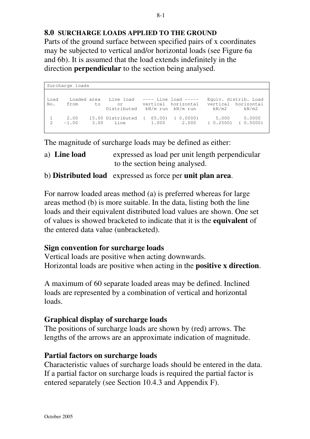### **8.0 SURCHARGE LOADS APPLIED TO THE GROUND**

Parts of the ground surface between specified pairs of x coordinates may be subjected to vertical and/or horizontal loads (see Figure 6a and 6b). It is assumed that the load extends indefinitely in the direction **perpendicular** to the section being analysed.

Surcharge loads Load Loaded area Line load ---- Line load ----- Equiv. distrib. Load No. from to or vertical horizontal vertical horizontal Distributed kN/m run kN/m run kN/m2 kN/m2 1 2.00 15.00 Distributed ( 65.00) ( 0.0000) 5.000 0.0000 2 -1.00 3.00 Line 1.000 2.000 ( 0.2500) ( 0.5000)

The magnitude of surcharge loads may be defined as either:

- a) **Line load** expressed as load per unit length perpendicular to the section being analysed.
- b) **Distributed load** expressed as force per **unit plan area**.

For narrow loaded areas method (a) is preferred whereas for large areas method (b) is more suitable. In the data, listing both the line loads and their equivalent distributed load values are shown. One set of values is showed bracketed to indicate that it is the **equivalent** of the entered data value (unbracketed).

#### **Sign convention for surcharge loads**

Vertical loads are positive when acting downwards. Horizontal loads are positive when acting in the **positive x direction**.

A maximum of 60 separate loaded areas may be defined. Inclined loads are represented by a combination of vertical and horizontal loads.

#### **Graphical display of surcharge loads**

The positions of surcharge loads are shown by (red) arrows. The lengths of the arrows are an approximate indication of magnitude.

#### **Partial factors on surcharge loads**

Characteristic values of surcharge loads should be entered in the data. If a partial factor on surcharge loads is required the partial factor is entered separately (see Section 10.4.3 and Appendix F).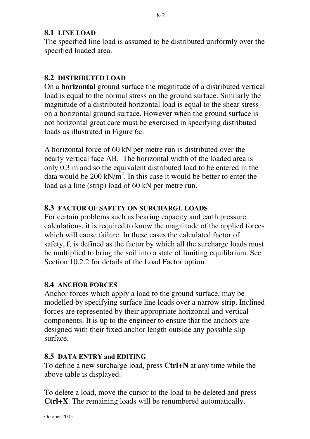### **8.1 LINE LOAD**

The specified line load is assumed to be distributed uniformly over the specified loaded area.

## **8.2 DISTRIBUTED LOAD**

On a **horizontal** ground surface the magnitude of a distributed vertical load is equal to the normal stress on the ground surface. Similarly the magnitude of a distributed horizontal load is equal to the shear stress on a horizontal ground surface. However when the ground surface is not horizontal great care must be exercised in specifying distributed loads as illustrated in Figure 6c.

A horizontal force of 60 kN per metre run is distributed over the nearly vertical face AB. The horizontal width of the loaded area is only 0.3 m and so the equivalent distributed load to be entered in the data would be 200 kN/ $m^2$ . In this case it would be better to enter the load as a line (strip) load of 60 kN per metre run.

#### **8.3 FACTOR OF SAFETY ON SURCHARGE LOADS**

For certain problems such as bearing capacity and earth pressure calculations, it is required to know the magnitude of the applied forces which will cause failure. In these cases the calculated factor of safety, **f**, is defined as the factor by which all the surcharge loads must be multiplied to bring the soil into a state of limiting equilibrium. See Section 10.2.2 for details of the Load Factor option.

#### **8.4 ANCHOR FORCES**

Anchor forces which apply a load to the ground surface, may be modelled by specifying surface line loads over a narrow strip. Inclined forces are represented by their appropriate horizontal and vertical components. It is up to the engineer to ensure that the anchors are designed with their fixed anchor length outside any possible slip surface.

#### **8.5 DATA ENTRY and EDITING**

To define a new surcharge load, press **Ctrl+N** at any time while the above table is displayed.

To delete a load, move the cursor to the load to be deleted and press **Ctrl+X**. The remaining loads will be renumbered automatically.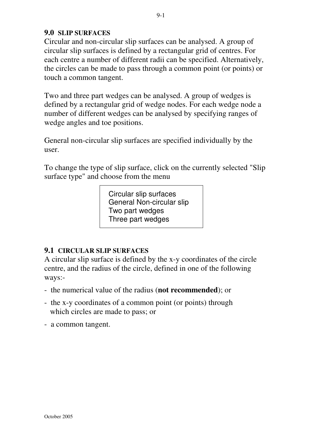### **9.0 SLIP SURFACES**

Circular and non-circular slip surfaces can be analysed. A group of circular slip surfaces is defined by a rectangular grid of centres. For each centre a number of different radii can be specified. Alternatively, the circles can be made to pass through a common point (or points) or touch a common tangent.

Two and three part wedges can be analysed. A group of wedges is defined by a rectangular grid of wedge nodes. For each wedge node a number of different wedges can be analysed by specifying ranges of wedge angles and toe positions.

General non-circular slip surfaces are specified individually by the user.

To change the type of slip surface, click on the currently selected "Slip surface type" and choose from the menu

> Circular slip surfaces General Non-circular slip Two part wedges Three part wedges

#### **9.1 CIRCULAR SLIP SURFACES**

A circular slip surface is defined by the x-y coordinates of the circle centre, and the radius of the circle, defined in one of the following ways:-

- the numerical value of the radius (**not recommended**); or
- the x-y coordinates of a common point (or points) through which circles are made to pass; or
- a common tangent.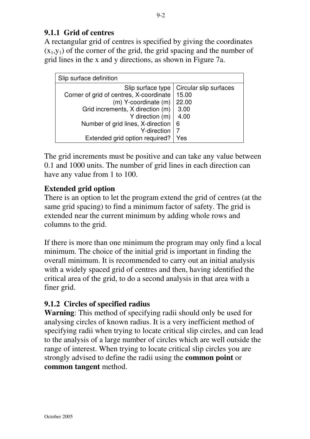# **9.1.1 Grid of centres**

A rectangular grid of centres is specified by giving the coordinates  $(x_1,y_1)$  of the corner of the grid, the grid spacing and the number of grid lines in the x and y directions, as shown in Figure 7a.

| Slip surface definition                 |                        |
|-----------------------------------------|------------------------|
| Slip surface type                       | Circular slip surfaces |
| Corner of grid of centres, X-coordinate | 15.00                  |
| $(m)$ Y-coordinate $(m)$                | 22.00                  |
| Grid increments, X direction (m)        | 3.00                   |
| Y direction (m)                         | 4.00                   |
| Number of grid lines, X-direction       | 6                      |
| Y-direction                             |                        |
| Extended grid option required?          | Yes                    |

The grid increments must be positive and can take any value between 0.1 and 1000 units. The number of grid lines in each direction can have any value from 1 to 100.

# **Extended grid option**

There is an option to let the program extend the grid of centres (at the same grid spacing) to find a minimum factor of safety. The grid is extended near the current minimum by adding whole rows and columns to the grid.

If there is more than one minimum the program may only find a local minimum. The choice of the initial grid is important in finding the overall minimum. It is recommended to carry out an initial analysis with a widely spaced grid of centres and then, having identified the critical area of the grid, to do a second analysis in that area with a finer grid.

## **9.1.2 Circles of specified radius**

**Warning**: This method of specifying radii should only be used for analysing circles of known radius. It is a very inefficient method of specifying radii when trying to locate critical slip circles, and can lead to the analysis of a large number of circles which are well outside the range of interest. When trying to locate critical slip circles you are strongly advised to define the radii using the **common point** or **common tangent** method.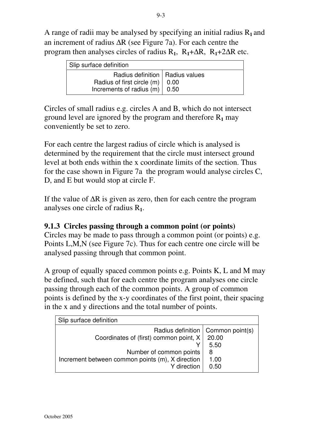A range of radii may be analysed by specifying an initial radius R**<sup>1</sup>** and an increment of radius ∆R (see Figure 7a). For each centre the program then analyses circles of radius R**1**, R**1**+∆R, R**1**+2∆R etc.

| Slip surface definition                                                                                     |  |
|-------------------------------------------------------------------------------------------------------------|--|
| Radius definition   Radius values<br>Radius of first circle (m)   0.00<br>Increments of radius $(m)$   0.50 |  |

Circles of small radius e.g. circles A and B, which do not intersect ground level are ignored by the program and therefore R**1** may conveniently be set to zero.

For each centre the largest radius of circle which is analysed is determined by the requirement that the circle must intersect ground level at both ends within the x coordinate limits of the section. Thus for the case shown in Figure 7a the program would analyse circles C, D, and E but would stop at circle F.

If the value of ∆R is given as zero, then for each centre the program analyses one circle of radius R**1**.

## **9.1.3 Circles passing through a common point (or points)**

Circles may be made to pass through a common point (or points) e.g. Points L,M,N (see Figure 7c). Thus for each centre one circle will be analysed passing through that common point.

A group of equally spaced common points e.g. Points K, L and M may be defined, such that for each centre the program analyses one circle passing through each of the common points. A group of common points is defined by the x-y coordinates of the first point, their spacing in the x and y directions and the total number of points.

| Slip surface definition                          |                                     |
|--------------------------------------------------|-------------------------------------|
|                                                  | Radius definition   Common point(s) |
| Coordinates of (first) common point, X           | 20.00                               |
|                                                  | 5.50                                |
| Number of common points                          | 8                                   |
| Increment between common points (m), X direction | 1.00                                |
| Y direction                                      | 0.50                                |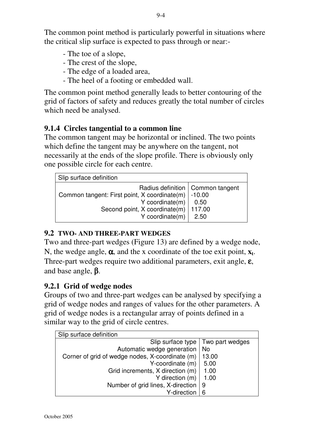The common point method is particularly powerful in situations where the critical slip surface is expected to pass through or near:-

- The toe of a slope,
- The crest of the slope,
- The edge of a loaded area,
- The heel of a footing or embedded wall.

The common point method generally leads to better contouring of the grid of factors of safety and reduces greatly the total number of circles which need be analysed.

# **9.1.4 Circles tangential to a common line**

The common tangent may be horizontal or inclined. The two points which define the tangent may be anywhere on the tangent, not necessarily at the ends of the slope profile. There is obviously only one possible circle for each centre.

| Slip surface definition                                                                                                                                         |                                    |
|-----------------------------------------------------------------------------------------------------------------------------------------------------------------|------------------------------------|
| Common tangent: First point, X coordinate(m)   -10.00<br>Y coordinate(m) $\vert$ 0.50<br>Second point, X coordinate(m)   117.00<br>Y coordinate(m) $\vert$ 2.50 | Radius definition   Common tangent |

# **9.2 TWO- AND THREE-PART WEDGES**

Two and three-part wedges (Figure 13) are defined by a wedge node, N, the wedge angle, α, and the x coordinate of the toe exit point, **x<sup>t</sup>** . Three-part wedges require two additional parameters, exit angle, ε, and base angle, β.

# **9.2.1 Grid of wedge nodes**

Groups of two and three-part wedges can be analysed by specifying a grid of wedge nodes and ranges of values for the other parameters. A grid of wedge nodes is a rectangular array of points defined in a similar way to the grid of circle centres.

| Slip surface definition                         |                 |
|-------------------------------------------------|-----------------|
| Slip surface type                               | Two part wedges |
| Automatic wedge generation                      | No              |
| Corner of grid of wedge nodes, X-coordinate (m) | 13.00           |
| Y-coordinate (m)                                | 5.00            |
| Grid increments, X direction (m)                | 1.00            |
| Y direction (m)                                 | 1.00            |
| Number of grid lines, X-direction               | 9               |
| Y-direction                                     | 6               |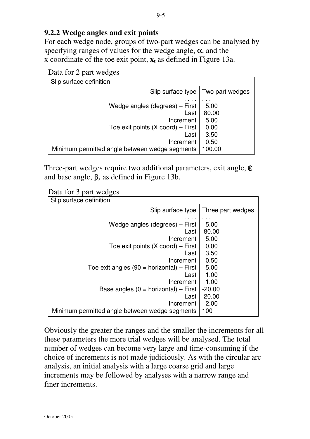### **9.2.2 Wedge angles and exit points**

For each wedge node, groups of two-part wedges can be analysed by specifying ranges of values for the wedge angle,  $\alpha$ , and the x coordinate of the toe exit point,  $x_t$  as defined in Figure 13a.

| Slip surface definition                                                                                                                                                   |                                                         |
|---------------------------------------------------------------------------------------------------------------------------------------------------------------------------|---------------------------------------------------------|
| Slip surface type I                                                                                                                                                       | Two part wedges                                         |
| Wedge angles (degrees) – First<br>Last<br>Increment<br>Toe exit points $(X \text{ coord})$ – First<br>Last<br>Increment<br>Minimum permitted angle between wedge segments | 5.00<br>80.00<br>5.00<br>0.00<br>3.50<br>0.50<br>100.00 |

Three-part wedges require two additional parameters, exit angle,  $\epsilon$ and base angle, β, as defined in Figure 13b.

| Slip surface definition                        |                   |
|------------------------------------------------|-------------------|
| Slip surface type                              | Three part wedges |
| Wedge angles (degrees) – First                 | 5.00              |
| Last                                           | 80.00             |
| Increment                                      | 5.00              |
| Toe exit points $(X \text{ coord})$ – First    | 0.00              |
| Last                                           | 3.50              |
| Increment                                      | 0.50              |
| Toe exit angles $(90 =$ horizontal) – First    | 5.00              |
| Last                                           | 1.00              |
| Increment                                      | 1.00              |
| Base angles $(0 = horizontal) - First$         | $-20.00$          |
| Last                                           | 20.00             |
| Increment                                      | 2.00              |
| Minimum permitted angle between wedge segments | 100               |

Obviously the greater the ranges and the smaller the increments for all these parameters the more trial wedges will be analysed. The total number of wedges can become very large and time-consuming if the choice of increments is not made judiciously. As with the circular arc analysis, an initial analysis with a large coarse grid and large increments may be followed by analyses with a narrow range and finer increments.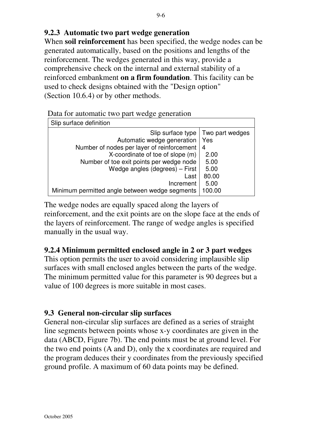# **9.2.3 Automatic two part wedge generation**

When **soil reinforcement** has been specified, the wedge nodes can be generated automatically, based on the positions and lengths of the reinforcement. The wedges generated in this way, provide a comprehensive check on the internal and external stability of a reinforced embankment **on a firm foundation**. This facility can be used to check designs obtained with the "Design option" (Section 10.6.4) or by other methods.

|  |  |  |  |  |  | Data for automatic two part wedge generation |
|--|--|--|--|--|--|----------------------------------------------|
|--|--|--|--|--|--|----------------------------------------------|

| Slip surface definition                        |                 |
|------------------------------------------------|-----------------|
| Slip surface type                              | Two part wedges |
| Automatic wedge generation                     | Yes             |
| Number of nodes per layer of reinforcement     | 4               |
| X-coordinate of toe of slope (m)               | 2.00            |
| Number of toe exit points per wedge node       | 5.00            |
| Wedge angles (degrees) – First                 | 5.00            |
| Last                                           | 80.00           |
| Increment                                      | 5.00            |
| Minimum permitted angle between wedge segments | 100.00          |

The wedge nodes are equally spaced along the layers of reinforcement, and the exit points are on the slope face at the ends of the layers of reinforcement. The range of wedge angles is specified manually in the usual way.

## **9.2.4 Minimum permitted enclosed angle in 2 or 3 part wedges**

This option permits the user to avoid considering implausible slip surfaces with small enclosed angles between the parts of the wedge. The minimum permitted value for this parameter is 90 degrees but a value of 100 degrees is more suitable in most cases.

#### **9.3 General non-circular slip surfaces**

General non-circular slip surfaces are defined as a series of straight line segments between points whose x-y coordinates are given in the data (ABCD, Figure 7b). The end points must be at ground level. For the two end points (A and D), only the x coordinates are required and the program deduces their y coordinates from the previously specified ground profile. A maximum of 60 data points may be defined.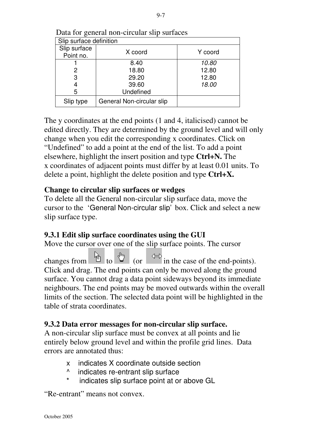| Slip surface definition |                           |         |  |
|-------------------------|---------------------------|---------|--|
| Slip surface            | X coord                   | Y coord |  |
| Point no.               |                           |         |  |
|                         | 8.40                      | 10.80   |  |
| 2                       | 18.80                     | 12.80   |  |
| 3                       | 29.20                     | 12.80   |  |
| 4                       | 39.60                     | 18.00   |  |
| 5                       | Undefined                 |         |  |
| Slip type               | General Non-circular slip |         |  |

Data for general non-circular slip surfaces

The y coordinates at the end points (1 and 4, italicised) cannot be edited directly. They are determined by the ground level and will only change when you edit the corresponding x coordinates. Click on "Undefined" to add a point at the end of the list. To add a point elsewhere, highlight the insert position and type **Ctrl+N.** The x coordinates of adjacent points must differ by at least 0.01 units. To delete a point, highlight the delete position and type **Ctrl+X.**

## **Change to circular slip surfaces or wedges**

To delete all the General non-circular slip surface data, move the cursor to the 'General Non-circular slip'box. Click and select a new slip surface type.

## **9.3.1 Edit slip surface coordinates using the GUI**

Move the cursor over one of the slip surface points. The cursor

changes from  $\theta$  to  $\theta$  (or  $\theta$  in the case of the end-points). Click and drag. The end points can only be moved along the ground surface. You cannot drag a data point sideways beyond its immediate neighbours. The end points may be moved outwards within the overall limits of the section. The selected data point will be highlighted in the table of strata coordinates.

## **9.3.2 Data error messages for non-circular slip surface.**

A non-circular slip surface must be convex at all points and lie entirely below ground level and within the profile grid lines. Data errors are annotated thus:

- x indicates X coordinate outside section
- ^ indicates re-entrant slip surface
- \* indicates slip surface point at or above GL

"Re-entrant" means not convex.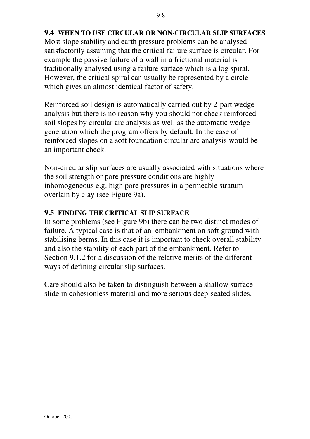## **9.4 WHEN TO USE CIRCULAR OR NON-CIRCULAR SLIP SURFACES** Most slope stability and earth pressure problems can be analysed satisfactorily assuming that the critical failure surface is circular. For example the passive failure of a wall in a frictional material is traditionally analysed using a failure surface which is a log spiral. However, the critical spiral can usually be represented by a circle which gives an almost identical factor of safety.

Reinforced soil design is automatically carried out by 2-part wedge analysis but there is no reason why you should not check reinforced soil slopes by circular arc analysis as well as the automatic wedge generation which the program offers by default. In the case of reinforced slopes on a soft foundation circular arc analysis would be an important check.

Non-circular slip surfaces are usually associated with situations where the soil strength or pore pressure conditions are highly inhomogeneous e.g. high pore pressures in a permeable stratum overlain by clay (see Figure 9a).

## **9.5 FINDING THE CRITICAL SLIP SURFACE**

In some problems (see Figure 9b) there can be two distinct modes of failure. A typical case is that of an embankment on soft ground with stabilising berms. In this case it is important to check overall stability and also the stability of each part of the embankment. Refer to Section 9.1.2 for a discussion of the relative merits of the different ways of defining circular slip surfaces.

Care should also be taken to distinguish between a shallow surface slide in cohesionless material and more serious deep-seated slides.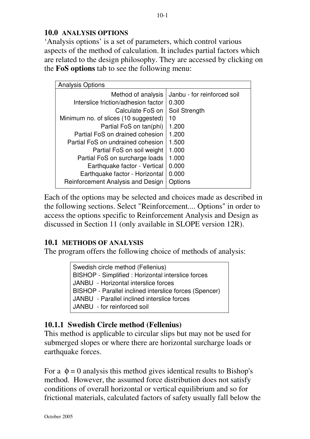### **10.0 ANALYSIS OPTIONS**

'Analysis options' is a set of parameters, which control various aspects of the method of calculation. It includes partial factors which are related to the design philosophy. They are accessed by clicking on the **FoS options** tab to see the following menu:

| <b>Analysis Options</b>              |                             |
|--------------------------------------|-----------------------------|
| Method of analysis                   | Janbu - for reinforced soil |
| Interslice friction/adhesion factor  | 0.300                       |
| Calculate FoS on                     | Soil Strength               |
| Minimum no. of slices (10 suggested) | 10                          |
| Partial FoS on tan(phi)              | 1.200                       |
| Partial FoS on drained cohesion      | 1.200                       |
| Partial FoS on undrained cohesion    | 1.500                       |
| Partial FoS on soil weight           | 1.000                       |
| Partial FoS on surcharge loads       | 1.000                       |
| Earthquake factor - Vertical         | 0.000                       |
| Earthquake factor - Horizontal       | 0.000                       |
| Reinforcement Analysis and Design    | Options                     |

Each of the options may be selected and choices made as described in the following sections. Select "Reinforcement.... Options" in order to access the options specific to Reinforcement Analysis and Design as discussed in Section 11 (only available in SLOPE version 12R).

## **10.1 METHODS OF ANALYSIS**

The program offers the following choice of methods of analysis:

Swedish circle method (Fellenius) BISHOP - Simplified : Horizontal interslice forces JANBU - Horizontal interslice forces BISHOP - Parallel inclined interslice forces (Spencer) JANBU - Parallel inclined interslice forces JANBU - for reinforced soil

## **10.1.1 Swedish Circle method (Fellenius)**

This method is applicable to circular slips but may not be used for submerged slopes or where there are horizontal surcharge loads or earthquake forces.

For a  $\phi = 0$  analysis this method gives identical results to Bishop's method. However, the assumed force distribution does not satisfy conditions of overall horizontal or vertical equilibrium and so for frictional materials, calculated factors of safety usually fall below the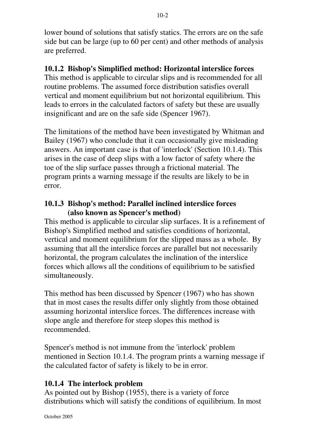lower bound of solutions that satisfy statics. The errors are on the safe side but can be large (up to 60 per cent) and other methods of analysis are preferred.

# **10.1.2 Bishop's Simplified method: Horizontal interslice forces**

This method is applicable to circular slips and is recommended for all routine problems. The assumed force distribution satisfies overall vertical and moment equilibrium but not horizontal equilibrium. This leads to errors in the calculated factors of safety but these are usually insignificant and are on the safe side (Spencer 1967).

The limitations of the method have been investigated by Whitman and Bailey (1967) who conclude that it can occasionally give misleading answers. An important case is that of 'interlock' (Section 10.1.4). This arises in the case of deep slips with a low factor of safety where the toe of the slip surface passes through a frictional material. The program prints a warning message if the results are likely to be in error.

### **10.1.3 Bishop's method: Parallel inclined interslice forces (also known as Spencer's method)**

This method is applicable to circular slip surfaces. It is a refinement of Bishop's Simplified method and satisfies conditions of horizontal, vertical and moment equilibrium for the slipped mass as a whole. By assuming that all the interslice forces are parallel but not necessarily horizontal, the program calculates the inclination of the interslice forces which allows all the conditions of equilibrium to be satisfied simultaneously.

This method has been discussed by Spencer (1967) who has shown that in most cases the results differ only slightly from those obtained assuming horizontal interslice forces. The differences increase with slope angle and therefore for steep slopes this method is recommended.

Spencer's method is not immune from the 'interlock' problem mentioned in Section 10.1.4. The program prints a warning message if the calculated factor of safety is likely to be in error.

## **10.1.4 The interlock problem**

As pointed out by Bishop (1955), there is a variety of force distributions which will satisfy the conditions of equilibrium. In most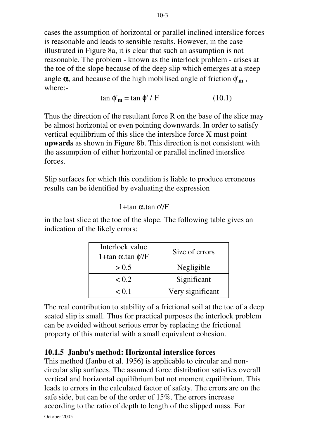cases the assumption of horizontal or parallel inclined interslice forces is reasonable and leads to sensible results. However, in the case illustrated in Figure 8a, it is clear that such an assumption is not reasonable. The problem - known as the interlock problem - arises at the toe of the slope because of the deep slip which emerges at a steep angle α, and because of the high mobilised angle of friction φ'**m** , where:-

$$
\tan \phi'_{\mathbf{m}} = \tan \phi' / F \tag{10.1}
$$

Thus the direction of the resultant force R on the base of the slice may be almost horizontal or even pointing downwards. In order to satisfy vertical equilibrium of this slice the interslice force X must point **upwards** as shown in Figure 8b. This direction is not consistent with the assumption of either horizontal or parallel inclined interslice forces.

Slip surfaces for which this condition is liable to produce erroneous results can be identified by evaluating the expression

## 1+tan α.tan φ'/F

in the last slice at the toe of the slope. The following table gives an indication of the likely errors:

| Interlock value<br>1+tan $\alpha$ tan $\phi$ '/F | Size of errors   |
|--------------------------------------------------|------------------|
| > 0.5                                            | Negligible       |
| < 0.2                                            | Significant      |
| < 0.1                                            | Very significant |

The real contribution to stability of a frictional soil at the toe of a deep seated slip is small. Thus for practical purposes the interlock problem can be avoided without serious error by replacing the frictional property of this material with a small equivalent cohesion.

## **10.1.5 Janbu's method: Horizontal interslice forces**

This method (Janbu et al. 1956) is applicable to circular and noncircular slip surfaces. The assumed force distribution satisfies overall vertical and horizontal equilibrium but not moment equilibrium. This leads to errors in the calculated factor of safety. The errors are on the safe side, but can be of the order of 15%. The errors increase according to the ratio of depth to length of the slipped mass. For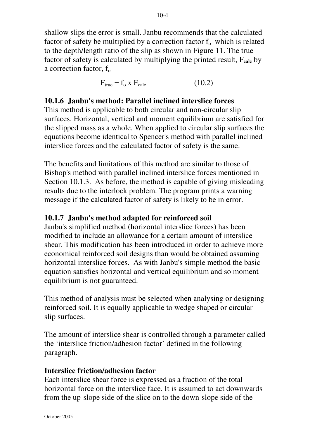shallow slips the error is small. Janbu recommends that the calculated factor of safety be multiplied by a correction factor  $f_0$  which is related to the depth/length ratio of the slip as shown in Figure 11. The true factor of safety is calculated by multiplying the printed result, F**calc** by a correction factor,  $f_0$ 

$$
F_{true} = f_o \times F_{calc}
$$
 (10.2)

#### **10.1.6 Janbu's method: Parallel inclined interslice forces**

This method is applicable to both circular and non-circular slip surfaces. Horizontal, vertical and moment equilibrium are satisfied for the slipped mass as a whole. When applied to circular slip surfaces the equations become identical to Spencer's method with parallel inclined interslice forces and the calculated factor of safety is the same.

The benefits and limitations of this method are similar to those of Bishop's method with parallel inclined interslice forces mentioned in Section 10.1.3. As before, the method is capable of giving misleading results due to the interlock problem. The program prints a warning message if the calculated factor of safety is likely to be in error.

#### **10.1.7 Janbu's method adapted for reinforced soil**

Janbu's simplified method (horizontal interslice forces) has been modified to include an allowance for a certain amount of interslice shear. This modification has been introduced in order to achieve more economical reinforced soil designs than would be obtained assuming horizontal interslice forces. As with Janbu's simple method the basic equation satisfies horizontal and vertical equilibrium and so moment equilibrium is not guaranteed.

This method of analysis must be selected when analysing or designing reinforced soil. It is equally applicable to wedge shaped or circular slip surfaces.

The amount of interslice shear is controlled through a parameter called the 'interslice friction/adhesion factor' defined in the following paragraph.

#### **Interslice friction/adhesion factor**

Each interslice shear force is expressed as a fraction of the total horizontal force on the interslice face. It is assumed to act downwards from the up-slope side of the slice on to the down-slope side of the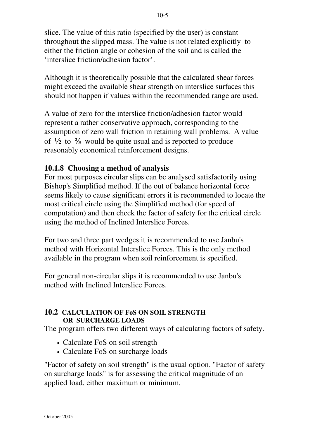slice. The value of this ratio (specified by the user) is constant throughout the slipped mass. The value is not related explicitly to either the friction angle or cohesion of the soil and is called the 'interslice friction/adhesion factor'.

Although it is theoretically possible that the calculated shear forces might exceed the available shear strength on interslice surfaces this should not happen if values within the recommended range are used.

A value of zero for the interslice friction/adhesion factor would represent a rather conservative approach, corresponding to the assumption of zero wall friction in retaining wall problems. A value of **½** to ⅔ would be quite usual and is reported to produce reasonably economical reinforcement designs.

# **10.1.8 Choosing a method of analysis**

For most purposes circular slips can be analysed satisfactorily using Bishop's Simplified method. If the out of balance horizontal force seems likely to cause significant errors it is recommended to locate the most critical circle using the Simplified method (for speed of computation) and then check the factor of safety for the critical circle using the method of Inclined Interslice Forces.

For two and three part wedges it is recommended to use Janbu's method with Horizontal Interslice Forces. This is the only method available in the program when soil reinforcement is specified.

For general non-circular slips it is recommended to use Janbu's method with Inclined Interslice Forces.

#### **10.2 CALCULATION OF FoS ON SOIL STRENGTH OR SURCHARGE LOADS**

The program offers two different ways of calculating factors of safety.

- Calculate FoS on soil strength
- Calculate FoS on surcharge loads

"Factor of safety on soil strength" is the usual option. "Factor of safety on surcharge loads" is for assessing the critical magnitude of an applied load, either maximum or minimum.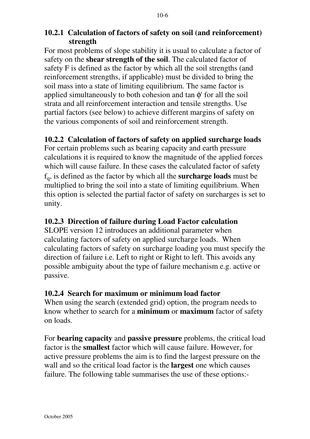# **10.2.1 Calculation of factors of safety on soil (and reinforcement) strength**

For most problems of slope stability it is usual to calculate a factor of safety on the **shear strength of the soil**. The calculated factor of safety F is defined as the factor by which all the soil strengths (and reinforcement strengths, if applicable) must be divided to bring the soil mass into a state of limiting equilibrium. The same factor is applied simultaneously to both cohesion and tan  $\phi$ ' for all the soil strata and all reinforcement interaction and tensile strengths. Use partial factors (see below) to achieve different margins of safety on the various components of soil and reinforcement strength.

# **10.2.2 Calculation of factors of safety on applied surcharge loads**

For certain problems such as bearing capacity and earth pressure calculations it is required to know the magnitude of the applied forces which will cause failure. In these cases the calculated factor of safety fq, is defined as the factor by which all the **surcharge loads** must be multiplied to bring the soil into a state of limiting equilibrium. When this option is selected the partial factor of safety on surcharges is set to unity.

# **10.2.3 Direction of failure during Load Factor calculation**

SLOPE version 12 introduces an additional parameter when calculating factors of safety on applied surcharge loads. When calculating factors of safety on surcharge loading you must specify the direction of failure i.e. Left to right or Right to left. This avoids any possible ambiguity about the type of failure mechanism e.g. active or passive.

# **10.2.4 Search for maximum or minimum load factor**

When using the search (extended grid) option, the program needs to know whether to search for a **minimum** or **maximum** factor of safety on loads.

For **bearing capacity** and **passive pressure** problems, the critical load factor is the **smallest** factor which will cause failure. However, for active pressure problems the aim is to find the largest pressure on the wall and so the critical load factor is the **largest** one which causes failure. The following table summarises the use of these options:-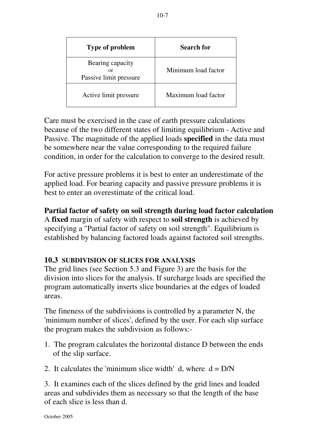| <b>Type of problem</b>                           | <b>Search for</b>   |
|--------------------------------------------------|---------------------|
| Bearing capacity<br>or<br>Passive limit pressure | Minimum load factor |
| Active limit pressure                            | Maximum load factor |

Care must be exercised in the case of earth pressure calculations because of the two different states of limiting equilibrium - Active and Passive. The magnitude of the applied loads **specified** in the data must be somewhere near the value corresponding to the required failure condition, in order for the calculation to converge to the desired result.

For active pressure problems it is best to enter an underestimate of the applied load. For bearing capacity and passive pressure problems it is best to enter an overestimate of the critical load.

### **Partial factor of safety on soil strength during load factor calculation** A **fixed** margin of safety with respect to **soil strength** is achieved by specifying a "Partial factor of safety on soil strength". Equilibrium is established by balancing factored loads against factored soil strengths.

# **10.3 SUBDIVISION OF SLICES FOR ANALYSIS**

The grid lines (see Section 5.3 and Figure 3) are the basis for the division into slices for the analysis. If surcharge loads are specified the program automatically inserts slice boundaries at the edges of loaded areas.

The fineness of the subdivisions is controlled by a parameter N, the 'minimum number of slices', defined by the user. For each slip surface the program makes the subdivision as follows:-

- 1. The program calculates the horizontal distance D between the ends of the slip surface.
- 2. It calculates the 'minimum slice width' d, where  $d = D/N$

3. It examines each of the slices defined by the grid lines and loaded areas and subdivides them as necessary so that the length of the base of each slice is less than d.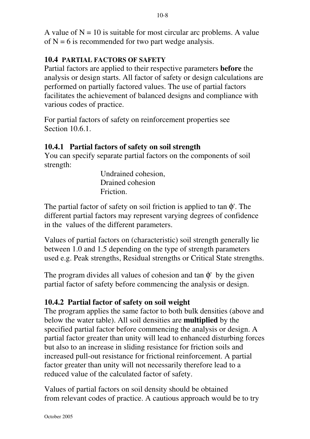A value of  $N = 10$  is suitable for most circular arc problems. A value of  $N = 6$  is recommended for two part wedge analysis.

# **10.4 PARTIAL FACTORS OF SAFETY**

Partial factors are applied to their respective parameters **before** the analysis or design starts. All factor of safety or design calculations are performed on partially factored values. The use of partial factors facilitates the achievement of balanced designs and compliance with various codes of practice.

For partial factors of safety on reinforcement properties see Section 10.6.1.

# **10.4.1 Partial factors of safety on soil strength**

You can specify separate partial factors on the components of soil strength:

> Undrained cohesion, Drained cohesion Friction.

The partial factor of safety on soil friction is applied to tan  $\phi$ . The different partial factors may represent varying degrees of confidence in the values of the different parameters.

Values of partial factors on (characteristic) soil strength generally lie between 1.0 and 1.5 depending on the type of strength parameters used e.g. Peak strengths, Residual strengths or Critical State strengths.

The program divides all values of cohesion and tan  $\phi'$  by the given partial factor of safety before commencing the analysis or design.

# **10.4.2 Partial factor of safety on soil weight**

The program applies the same factor to both bulk densities (above and below the water table). All soil densities are **multiplied** by the specified partial factor before commencing the analysis or design. A partial factor greater than unity will lead to enhanced disturbing forces but also to an increase in sliding resistance for friction soils and increased pull-out resistance for frictional reinforcement. A partial factor greater than unity will not necessarily therefore lead to a reduced value of the calculated factor of safety.

Values of partial factors on soil density should be obtained from relevant codes of practice. A cautious approach would be to try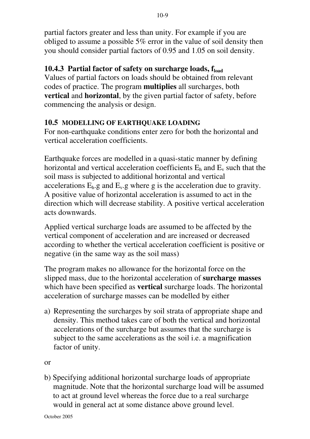partial factors greater and less than unity. For example if you are obliged to assume a possible 5% error in the value of soil density then you should consider partial factors of 0.95 and 1.05 on soil density.

# **10.4.3 Partial factor of safety on surcharge loads, fload**

Values of partial factors on loads should be obtained from relevant codes of practice. The program **multiplies** all surcharges, both **vertical** and **horizontal**, by the given partial factor of safety, before commencing the analysis or design.

#### **10.5 MODELLING OF EARTHQUAKE LOADING**

For non-earthquake conditions enter zero for both the horizontal and vertical acceleration coefficients.

Earthquake forces are modelled in a quasi-static manner by defining horizontal and vertical acceleration coefficients  $E_h$  and  $E_v$  such that the soil mass is subjected to additional horizontal and vertical accelerations  $E_h$  g and  $E_v$  g where g is the acceleration due to gravity. A positive value of horizontal acceleration is assumed to act in the direction which will decrease stability. A positive vertical acceleration acts downwards.

Applied vertical surcharge loads are assumed to be affected by the vertical component of acceleration and are increased or decreased according to whether the vertical acceleration coefficient is positive or negative (in the same way as the soil mass)

The program makes no allowance for the horizontal force on the slipped mass, due to the horizontal acceleration of **surcharge masses** which have been specified as **vertical** surcharge loads. The horizontal acceleration of surcharge masses can be modelled by either

a) Representing the surcharges by soil strata of appropriate shape and density. This method takes care of both the vertical and horizontal accelerations of the surcharge but assumes that the surcharge is subject to the same accelerations as the soil i.e. a magnification factor of unity.

or

b) Specifying additional horizontal surcharge loads of appropriate magnitude. Note that the horizontal surcharge load will be assumed to act at ground level whereas the force due to a real surcharge would in general act at some distance above ground level.

October 2005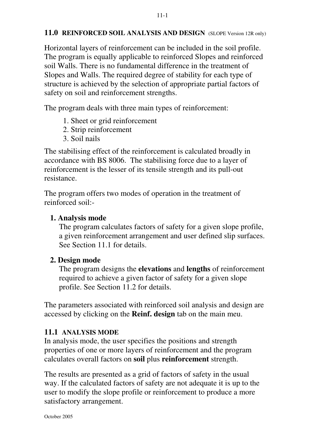#### **11.0 REINFORCED SOIL ANALYSIS AND DESIGN** (SLOPE Version 12R only)

Horizontal layers of reinforcement can be included in the soil profile. The program is equally applicable to reinforced Slopes and reinforced soil Walls. There is no fundamental difference in the treatment of Slopes and Walls. The required degree of stability for each type of structure is achieved by the selection of appropriate partial factors of safety on soil and reinforcement strengths.

The program deals with three main types of reinforcement:

- 1. Sheet or grid reinforcement
- 2. Strip reinforcement
- 3. Soil nails

The stabilising effect of the reinforcement is calculated broadly in accordance with BS 8006. The stabilising force due to a layer of reinforcement is the lesser of its tensile strength and its pull-out resistance.

The program offers two modes of operation in the treatment of reinforced soil:-

### **1. Analysis mode**

The program calculates factors of safety for a given slope profile, a given reinforcement arrangement and user defined slip surfaces. See Section 11.1 for details.

# **2. Design mode**

The program designs the **elevations** and **lengths** of reinforcement required to achieve a given factor of safety for a given slope profile. See Section 11.2 for details.

The parameters associated with reinforced soil analysis and design are accessed by clicking on the **Reinf. design** tab on the main meu.

# **11.1 ANALYSIS MODE**

In analysis mode, the user specifies the positions and strength properties of one or more layers of reinforcement and the program calculates overall factors on **soil** plus **reinforcement** strength.

The results are presented as a grid of factors of safety in the usual way. If the calculated factors of safety are not adequate it is up to the user to modify the slope profile or reinforcement to produce a more satisfactory arrangement.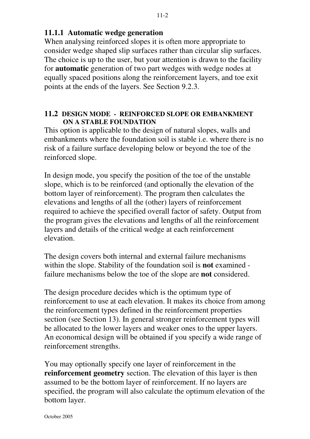#### **11.1.1 Automatic wedge generation**

When analysing reinforced slopes it is often more appropriate to consider wedge shaped slip surfaces rather than circular slip surfaces. The choice is up to the user, but your attention is drawn to the facility for **automatic** generation of two part wedges with wedge nodes at equally spaced positions along the reinforcement layers, and toe exit points at the ends of the layers. See Section 9.2.3.

#### **11.2 DESIGN MODE - REINFORCED SLOPE OR EMBANKMENT ON A STABLE FOUNDATION**

This option is applicable to the design of natural slopes, walls and embankments where the foundation soil is stable i.e. where there is no risk of a failure surface developing below or beyond the toe of the reinforced slope.

In design mode, you specify the position of the toe of the unstable slope, which is to be reinforced (and optionally the elevation of the bottom layer of reinforcement). The program then calculates the elevations and lengths of all the (other) layers of reinforcement required to achieve the specified overall factor of safety. Output from the program gives the elevations and lengths of all the reinforcement layers and details of the critical wedge at each reinforcement elevation.

The design covers both internal and external failure mechanisms within the slope. Stability of the foundation soil is **not** examined failure mechanisms below the toe of the slope are **not** considered.

The design procedure decides which is the optimum type of reinforcement to use at each elevation. It makes its choice from among the reinforcement types defined in the reinforcement properties section (see Section 13). In general stronger reinforcement types will be allocated to the lower layers and weaker ones to the upper layers. An economical design will be obtained if you specify a wide range of reinforcement strengths.

You may optionally specify one layer of reinforcement in the **reinforcement geometry** section. The elevation of this layer is then assumed to be the bottom layer of reinforcement. If no layers are specified, the program will also calculate the optimum elevation of the bottom layer.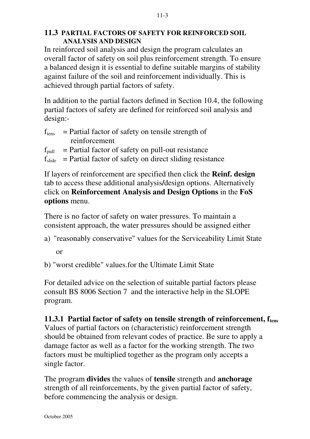#### **11.3 PARTIAL FACTORS OF SAFETY FOR REINFORCED SOIL ANALYSIS AND DESIGN**

In reinforced soil analysis and design the program calculates an overall factor of safety on soil plus reinforcement strength. To ensure a balanced design it is essential to define suitable margins of stability against failure of the soil and reinforcement individually. This is achieved through partial factors of safety.

In addition to the partial factors defined in Section 10.4, the following partial factors of safety are defined for reinforced soil analysis and design:-

- $f_{tens}$  = Partial factor of safety on tensile strength of reinforcement
- $f<sub>pull</sub>$  = Partial factor of safety on pull-out resistance
- $f_{\text{slide}}$  = Partial factor of safety on direct sliding resistance

If layers of reinforcement are specified then click the **Reinf. design** tab to access these additional analysis**/**design options. Alternatively click on **Reinforcement Analysis and Design Options** in the **FoS options** menu.

There is no factor of safety on water pressures. To maintain a consistent approach, the water pressures should be assigned either

- a) "reasonably conservative" values for the Serviceability Limit State or
- b) "worst credible" values.for the Ultimate Limit State

For detailed advice on the selection of suitable partial factors please consult BS 8006 Section 7 and the interactive help in the SLOPE program.

# **11.3.1 Partial factor of safety on tensile strength of reinforcement, ftens**

Values of partial factors on (characteristic) reinforcement strength should be obtained from relevant codes of practice. Be sure to apply a damage factor as well as a factor for the working strength. The two factors must be multiplied together as the program only accepts a single factor.

The program **divides** the values of **tensile** strength and **anchorage** strength of all reinforcements, by the given partial factor of safety, before commencing the analysis or design.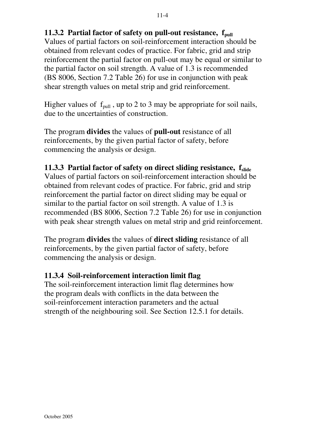# **11.3.2 Partial factor of safety on pull-out resistance,**  $f_{null}$

Values of partial factors on soil-reinforcement interaction should be obtained from relevant codes of practice. For fabric, grid and strip reinforcement the partial factor on pull-out may be equal or similar to the partial factor on soil strength. A value of 1.3 is recommended (BS 8006, Section 7.2 Table 26) for use in conjunction with peak shear strength values on metal strip and grid reinforcement.

Higher values of  $f_{pull}$ , up to 2 to 3 may be appropriate for soil nails, due to the uncertainties of construction.

The program **divides** the values of **pull-out** resistance of all reinforcements, by the given partial factor of safety, before commencing the analysis or design.

# **11.3.3 Partial factor of safety on direct sliding resistance, fslide**

Values of partial factors on soil-reinforcement interaction should be obtained from relevant codes of practice. For fabric, grid and strip reinforcement the partial factor on direct sliding may be equal or similar to the partial factor on soil strength. A value of 1.3 is recommended (BS 8006, Section 7.2 Table 26) for use in conjunction with peak shear strength values on metal strip and grid reinforcement.

The program **divides** the values of **direct sliding** resistance of all reinforcements, by the given partial factor of safety, before commencing the analysis or design.

# **11.3.4 Soil-reinforcement interaction limit flag**

The soil-reinforcement interaction limit flag determines how the program deals with conflicts in the data between the soil-reinforcement interaction parameters and the actual strength of the neighbouring soil. See Section 12.5.1 for details.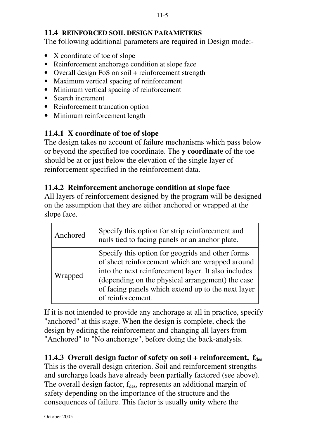### **11.4 REINFORCED SOIL DESIGN PARAMETERS**

The following additional parameters are required in Design mode:-

- X coordinate of toe of slope
- Reinforcement anchorage condition at slope face
- Overall design FoS on soil + reinforcement strength
- Maximum vertical spacing of reinforcement
- Minimum vertical spacing of reinforcement
- Search increment
- Reinforcement truncation option
- Minimum reinforcement length

# **11.4.1 X coordinate of toe of slope**

The design takes no account of failure mechanisms which pass below or beyond the specified toe coordinate. The **y coordinate** of the toe should be at or just below the elevation of the single layer of reinforcement specified in the reinforcement data.

# **11.4.2 Reinforcement anchorage condition at slope face**

All layers of reinforcement designed by the program will be designed on the assumption that they are either anchored or wrapped at the slope face.

| Anchored | Specify this option for strip reinforcement and<br>nails tied to facing panels or an anchor plate.                                                                                                                                                                                        |
|----------|-------------------------------------------------------------------------------------------------------------------------------------------------------------------------------------------------------------------------------------------------------------------------------------------|
| Wrapped  | Specify this option for geogrids and other forms<br>of sheet reinforcement which are wrapped around<br>into the next reinforcement layer. It also includes<br>(depending on the physical arrangement) the case<br>of facing panels which extend up to the next layer<br>of reinforcement. |

If it is not intended to provide any anchorage at all in practice, specify "anchored" at this stage. When the design is complete, check the design by editing the reinforcement and changing all layers from "Anchored" to "No anchorage", before doing the back-analysis.

# **11.4.3 Overall design factor of safety on soil + reinforcement, fdes**

This is the overall design criterion. Soil and reinforcement strengths and surcharge loads have already been partially factored (see above). The overall design factor,  $f_{des}$ , represents an additional margin of safety depending on the importance of the structure and the consequences of failure. This factor is usually unity where the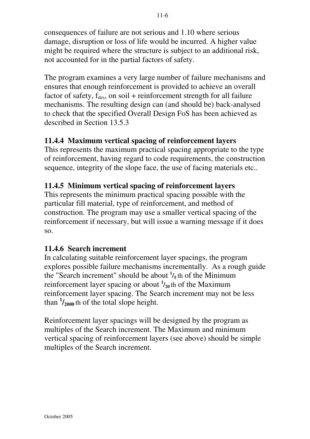consequences of failure are not serious and 1.10 where serious damage, disruption or loss of life would be incurred. A higher value might be required where the structure is subject to an additional risk, not accounted for in the partial factors of safety.

The program examines a very large number of failure mechanisms and ensures that enough reinforcement is provided to achieve an overall factor of safety,  $f_{des}$ , on soil + reinforcement strength for all failure mechanisms. The resulting design can (and should be) back-analysed to check that the specified Overall Design FoS has been achieved as described in Section 13.5.3

# **11.4.4 Maximum vertical spacing of reinforcement layers**

This represents the maximum practical spacing appropriate to the type of reinforcement, having regard to code requirements, the construction sequence, integrity of the slope face, the use of facing materials etc..

# **11.4.5 Minimum vertical spacing of reinforcement layers**

This represents the minimum practical spacing possible with the particular fill material, type of reinforcement, and method of construction. The program may use a smaller vertical spacing of the reinforcement if necessary, but will issue a warning message if it does so.

# **11.4.6 Search increment**

In calculating suitable reinforcement layer spacings, the program explores possible failure mechanisms incrementally. As a rough guide the "Search increment" should be about **<sup>1</sup> /<sup>5</sup>** th of the Minimum reinforcement layer spacing or about **<sup>1</sup> /20** th of the Maximum reinforcement layer spacing. The Search increment may not be less than  $\frac{1}{2000}$  th of the total slope height.

Reinforcement layer spacings will be designed by the program as multiples of the Search increment. The Maximum and minimum vertical spacing of reinforcement layers (see above) should be simple multiples of the Search increment.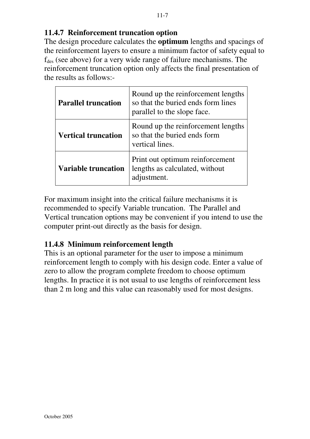# **11.4.7 Reinforcement truncation option**

The design procedure calculates the **optimum** lengths and spacings of the reinforcement layers to ensure a minimum factor of safety equal to  $f_{des}$  (see above) for a very wide range of failure mechanisms. The reinforcement truncation option only affects the final presentation of the results as follows:-

| <b>Parallel truncation</b> | Round up the reinforcement lengths<br>so that the buried ends form lines<br>parallel to the slope face. |
|----------------------------|---------------------------------------------------------------------------------------------------------|
| <b>Vertical truncation</b> | Round up the reinforcement lengths<br>so that the buried ends form<br>vertical lines.                   |
| <b>Variable truncation</b> | Print out optimum reinforcement<br>lengths as calculated, without<br>adjustment.                        |

For maximum insight into the critical failure mechanisms it is recommended to specify Variable truncation. The Parallel and Vertical truncation options may be convenient if you intend to use the computer print-out directly as the basis for design.

# **11.4.8 Minimum reinforcement length**

This is an optional parameter for the user to impose a minimum reinforcement length to comply with his design code. Enter a value of zero to allow the program complete freedom to choose optimum lengths. In practice it is not usual to use lengths of reinforcement less than 2 m long and this value can reasonably used for most designs.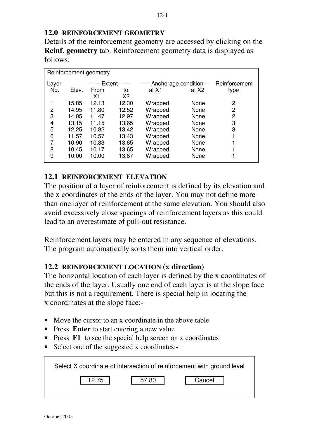# **12.0 REINFORCEMENT GEOMETRY**

Details of the reinforcement geometry are accessed by clicking on the **Reinf. geometry** tab. Reinforcement geometry data is displayed as follows:

| Reinforcement geometry |       |                      |       |                              |       |               |
|------------------------|-------|----------------------|-------|------------------------------|-------|---------------|
| Layer                  |       | <b>Extent ------</b> |       | ---- Anchorage condition --- |       | Reinforcement |
| No.                    | Elev. | From                 | to    | at X1                        | at X2 | type          |
|                        |       | Χ1                   | X2    |                              |       |               |
| 1                      | 15.85 | 12.13                | 12.30 | Wrapped                      | None  | 2             |
| $\overline{2}$         | 14.95 | 11.80                | 12.52 | Wrapped                      | None  | 2             |
| 3                      | 14.05 | 11.47                | 12.97 | Wrapped                      | None  | 2             |
| 4                      | 13.15 | 11.15                | 13.65 | Wrapped                      | None  | 3             |
| 5                      | 12.25 | 10.82                | 13.42 | Wrapped                      | None  | 3             |
| 6                      | 11.57 | 10.57                | 13.43 | Wrapped                      | None  |               |
| 7                      | 10.90 | 10.33                | 13.65 | Wrapped                      | None  |               |
| 8                      | 10.45 | 10.17                | 13.65 | Wrapped                      | None  |               |
| 9                      | 10.00 | 10.00                | 13.87 | Wrapped                      | None  |               |

# **12.1 REINFORCEMENT ELEVATION**

The position of a layer of reinforcement is defined by its elevation and the x coordinates of the ends of the layer. You may not define more than one layer of reinforcement at the same elevation. You should also avoid excessively close spacings of reinforcement layers as this could lead to an overestimate of pull-out resistance.

Reinforcement layers may be entered in any sequence of elevations. The program automatically sorts them into vertical order.

# **12.2 REINFORCEMENT LOCATION (x direction)**

The horizontal location of each layer is defined by the x coordinates of the ends of the layer. Usually one end of each layer is at the slope face but this is not a requirement. There is special help in locating the x coordinates at the slope face:-

- Move the cursor to an x coordinate in the above table
- Press **Enter** to start entering a new value
- Press **F1** to see the special help screen on x coordinates
- Select one of the suggested x coordinates:-

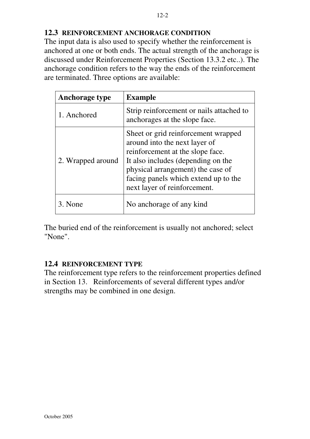# **12.3 REINFORCEMENT ANCHORAGE CONDITION**

The input data is also used to specify whether the reinforcement is anchored at one or both ends. The actual strength of the anchorage is discussed under Reinforcement Properties (Section 13.3.2 etc..). The anchorage condition refers to the way the ends of the reinforcement are terminated. Three options are available:

| Anchorage type    | <b>Example</b>                                                                                                                                                                                                                                              |
|-------------------|-------------------------------------------------------------------------------------------------------------------------------------------------------------------------------------------------------------------------------------------------------------|
| 1. Anchored       | Strip reinforcement or nails attached to<br>anchorages at the slope face.                                                                                                                                                                                   |
| 2. Wrapped around | Sheet or grid reinforcement wrapped<br>around into the next layer of<br>reinforcement at the slope face.<br>It also includes (depending on the<br>physical arrangement) the case of<br>facing panels which extend up to the<br>next layer of reinforcement. |
| 3. None           | No anchorage of any kind                                                                                                                                                                                                                                    |

The buried end of the reinforcement is usually not anchored; select "None".

# **12.4 REINFORCEMENT TYPE**

The reinforcement type refers to the reinforcement properties defined in Section 13. Reinforcements of several different types and/or strengths may be combined in one design.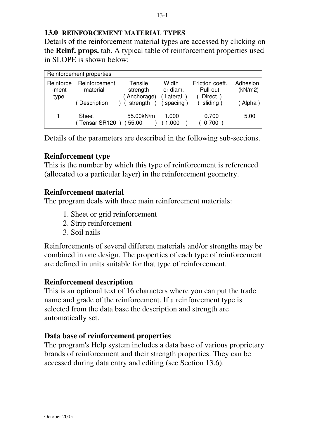#### 13-1

#### **13.0 REINFORCEMENT MATERIAL TYPES**

Details of the reinforcement material types are accessed by clicking on the **Reinf. props.** tab. A typical table of reinforcement properties used in SLOPE is shown below:

|                            | Reinforcement properties  |                                   |                               |                                        |                     |
|----------------------------|---------------------------|-----------------------------------|-------------------------------|----------------------------------------|---------------------|
| Reinforce<br>-ment<br>type | Reinforcement<br>material | Tensile<br>strength<br>Anchorage) | Width<br>or diam.<br>Lateral) | Friction coeff.<br>Pull-out<br>Direct) | Adhesion<br>(kN/m2) |
|                            | Description               | strength                          | spacing                       | sliding)                               | (Alpha)             |
|                            | Sheet<br>(Tensar SR120    | 55.00kN/m<br>55.00                | 1.000<br>1.000                | 0.700<br>0.700                         | 5.00                |

Details of the parameters are described in the following sub-sections.

# **Reinforcement type**

This is the number by which this type of reinforcement is referenced (allocated to a particular layer) in the reinforcement geometry.

#### **Reinforcement material**

The program deals with three main reinforcement materials:

- 1. Sheet or grid reinforcement
- 2. Strip reinforcement
- 3. Soil nails

Reinforcements of several different materials and/or strengths may be combined in one design. The properties of each type of reinforcement are defined in units suitable for that type of reinforcement.

# **Reinforcement description**

This is an optional text of 16 characters where you can put the trade name and grade of the reinforcement. If a reinforcement type is selected from the data base the description and strength are automatically set.

# **Data base of reinforcement properties**

The program's Help system includes a data base of various proprietary brands of reinforcement and their strength properties. They can be accessed during data entry and editing (see Section 13.6).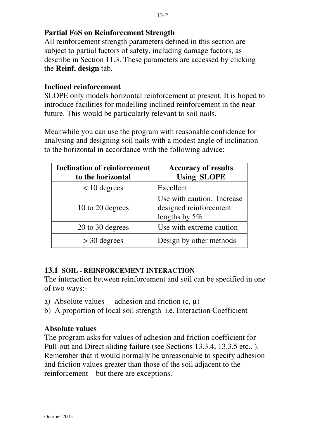# **Partial FoS on Reinforcement Strength**

All reinforcement strength parameters defined in this section are subject to partial factors of safety, including damage factors, as describe in Section 11.3. These parameters are accessed by clicking the **Reinf. design** tab.

# **Inclined reinforcement**

SLOPE only models horizontal reinforcement at present. It is hoped to introduce facilities for modelling inclined reinforcement in the near future. This would be particularly relevant to soil nails.

Meanwhile you can use the program with reasonable confidence for analysing and designing soil nails with a modest angle of inclination to the horizontal in accordance with the following advice:

| <b>Inclination of reinforcement</b><br>to the horizontal | <b>Accuracy of results</b><br><b>Using SLOPE</b>                         |
|----------------------------------------------------------|--------------------------------------------------------------------------|
| $< 10$ degrees                                           | Excellent                                                                |
| 10 to 20 degrees                                         | Use with caution. Increase<br>designed reinforcement<br>lengths by $5\%$ |
| 20 to 30 degrees                                         | Use with extreme caution                                                 |
| $>$ 30 degrees                                           | Design by other methods                                                  |

# **13.1 SOIL - REINFORCEMENT INTERACTION**

The interaction between reinforcement and soil can be specified in one of two ways:-

- a) Absolute values adhesion and friction  $(c, \mu)$
- b) A proportion of local soil strength i.e. Interaction Coefficient

# **Absolute values**

The program asks for values of adhesion and friction coefficient for Pull-out and Direct sliding failure (see Sections 13.3.4, 13.3.5 etc.. ). Remember that it would normally be unreasonable to specify adhesion and friction values greater than those of the soil adjacent to the reinforcement – but there are exceptions.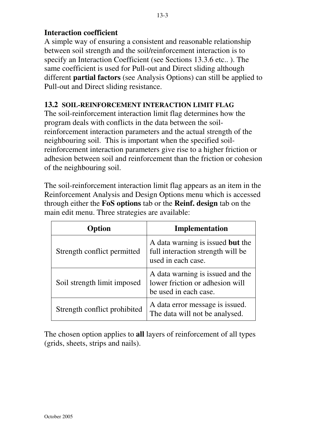# **Interaction coefficient**

A simple way of ensuring a consistent and reasonable relationship between soil strength and the soil/reinforcement interaction is to specify an Interaction Coefficient (see Sections 13.3.6 etc.. ). The same coefficient is used for Pull-out and Direct sliding although different **partial factors** (see Analysis Options) can still be applied to Pull-out and Direct sliding resistance.

#### **13.2 SOIL-REINFORCEMENT INTERACTION LIMIT FLAG**

The soil-reinforcement interaction limit flag determines how the program deals with conflicts in the data between the soilreinforcement interaction parameters and the actual strength of the neighbouring soil. This is important when the specified soilreinforcement interaction parameters give rise to a higher friction or adhesion between soil and reinforcement than the friction or cohesion of the neighbouring soil.

The soil-reinforcement interaction limit flag appears as an item in the Reinforcement Analysis and Design Options menu which is accessed through either the **FoS options** tab or the **Reinf. design** tab on the main edit menu. Three strategies are available:

| Option                       | <b>Implementation</b>                                                                        |
|------------------------------|----------------------------------------------------------------------------------------------|
| Strength conflict permitted  | A data warning is issued but the<br>full interaction strength will be<br>used in each case.  |
| Soil strength limit imposed  | A data warning is issued and the<br>lower friction or adhesion will<br>be used in each case. |
| Strength conflict prohibited | A data error message is issued.<br>The data will not be analysed.                            |

The chosen option applies to **all** layers of reinforcement of all types (grids, sheets, strips and nails).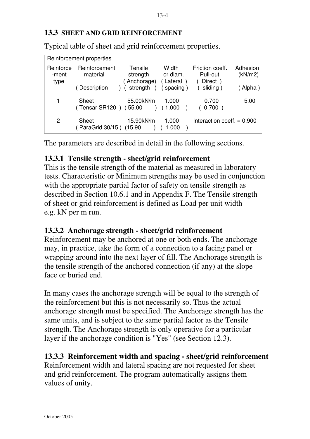#### **13.3 SHEET AND GRID REINFORCEMENT**

|                            | Reinforcement properties    |                                   |                                |                                         |                     |
|----------------------------|-----------------------------|-----------------------------------|--------------------------------|-----------------------------------------|---------------------|
| Reinforce<br>-ment<br>type | Reinforcement<br>material   | Tensile<br>strength<br>Anchorage) | Width<br>or diam.<br>(Lateral) | Friction coeff.<br>Pull-out<br>Direct ) | Adhesion<br>(kN/m2) |
|                            | (Description                | strength                          | spacing)                       | sliding)                                | Alpha)              |
| 1                          | Sheet<br>(Tensar SR120)     | 55.00kN/m<br>55.00                | 1.000<br>(1.000                | 0.700<br>0.700)                         | 5.00                |
| 2                          | Sheet<br>( ParaGrid 30/15 ) | 15.90kN/m<br>(15.90)              | 1.000<br>1.000                 | Interaction coeff. $= 0.900$            |                     |

Typical table of sheet and grid reinforcement properties.

The parameters are described in detail in the following sections.

# **13.3.1 Tensile strength - sheet/grid reinforcement**

This is the tensile strength of the material as measured in laboratory tests. Characteristic or Minimum strengths may be used in conjunction with the appropriate partial factor of safety on tensile strength as described in Section 10.6.1 and in Appendix F. The Tensile strength of sheet or grid reinforcement is defined as Load per unit width e.g. kN per m run.

# **13.3.2 Anchorage strength - sheet/grid reinforcement**

Reinforcement may be anchored at one or both ends. The anchorage may, in practice, take the form of a connection to a facing panel or wrapping around into the next layer of fill. The Anchorage strength is the tensile strength of the anchored connection (if any) at the slope face or buried end.

In many cases the anchorage strength will be equal to the strength of the reinforcement but this is not necessarily so. Thus the actual anchorage strength must be specified. The Anchorage strength has the same units, and is subject to the same partial factor as the Tensile strength. The Anchorage strength is only operative for a particular layer if the anchorage condition is "Yes" (see Section 12.3).

# **13.3.3 Reinforcement width and spacing - sheet/grid reinforcement**

Reinforcement width and lateral spacing are not requested for sheet and grid reinforcement. The program automatically assigns them values of unity.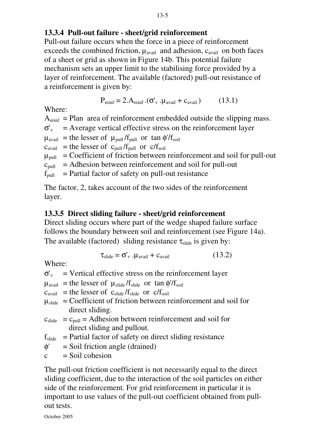#### 13-5

#### **13.3.4 Pull-out failure - sheet/grid reinforcement**

Pull-out failure occurs when the force in a piece of reinforcement exceeds the combined friction,  $\mu_{\text{avail}}$  and adhesion,  $c_{\text{avail}}$  on both faces of a sheet or grid as shown in Figure 14b. This potential failure mechanism sets an upper limit to the stabilising force provided by a layer of reinforcement. The available (factored) pull-out resistance of a reinforcement is given by:

$$
P_{reinf} = 2.A_{reinf}.(\sigma_v'.\mu_{avail} + c_{avail})
$$
 (13.1)

Where:

 $A_{\text{reinf}}$  = Plan area of reinforcement embedded outside the slipping mass.  $\sigma'_{v}$  = Average vertical effective stress on the reinforcement layer  $\mu_{\text{avail}}$  = the lesser of  $\mu_{\text{pull}}/f_{\text{pull}}$  or tan  $\phi'/f_{\text{solid}}$  $c_{\text{avail}}$  = the lesser of  $c_{\text{pull}}/f_{\text{pull}}$  or  $c/f_{\text{solid}}$  $\mu_{\text{pull}}$  = Coefficient of friction between reinforcement and soil for pull-out  $c_{\text{pull}}$  = Adhesion between reinforcement and soil for pull-out  $f<sub>pull</sub>$  = Partial factor of safety on pull-out resistance

The factor, 2, takes account of the two sides of the reinforcement layer.

# **13.3.5 Direct sliding failure - sheet/grid reinforcement**

Direct sliding occurs where part of the wedge shaped failure surface follows the boundary between soil and reinforcement (see Figure 14a). The available (factored) sliding resistance  $\tau_{\text{slide}}$  is given by:

$$
\tau_{\text{slide}} = \sigma'_{\text{v}} \cdot \mu_{\text{avail}} + c_{\text{avail}} \tag{13.2}
$$

Where:

 $\sigma'_{v}$  = Vertical effective stress on the reinforcement layer

 $\mu_{\text{avail}}$  = the lesser of  $\mu_{\text{slide}}/f_{\text{slide}}$  or tan  $\phi/f_{\text{soil}}$ 

 $c_{\text{avail}}$  = the lesser of  $c_{\text{slide}}/f_{\text{slide}}$  or  $c/f_{\text{solid}}$ 

- $\mu_{\text{slide}}$  = Coefficient of friction between reinforcement and soil for direct sliding.
- $c_{\text{slide}}$  =  $c_{\text{pull}}$  = Adhesion between reinforcement and soil for direct sliding and pullout.
- $f_{\text{slide}}$  = Partial factor of safety on direct sliding resistance
- $\phi'$  = Soil friction angle (drained)
- $c =$ Soil cohesion

The pull-out friction coefficient is not necessarily equal to the direct sliding coefficient, due to the interaction of the soil particles on either side of the reinforcement. For grid reinforcement in particular it is important to use values of the pull-out coefficient obtained from pullout tests.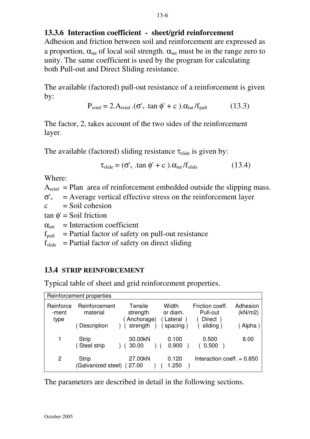#### **13.3.6 Interaction coefficient - sheet/grid reinforcement**

Adhesion and friction between soil and reinforcement are expressed as a proportion,  $\alpha_{\text{int}}$  of local soil strength.  $\alpha_{\text{int}}$  must be in the range zero to unity. The same coefficient is used by the program for calculating both Pull-out and Direct Sliding resistance.

The available (factored) pull-out resistance of a reinforcement is given by:

$$
P_{reinf} = 2.A_{reinf}.(\sigma_v'.\tan \phi' + c). \alpha_{int}/f_{pull} \tag{13.3}
$$

The factor, 2, takes account of the two sides of the reinforcement layer.

The available (factored) sliding resistance  $\tau_{\text{slide}}$  is given by:

$$
\tau_{\text{slide}} = (\sigma'_{\text{v}} \cdot \tan \phi' + c \cdot \theta) \cdot \alpha_{\text{int}} / f_{\text{slide}} \tag{13.4}
$$

Where:

 $A_{\text{reinf}}$  = Plan area of reinforcement embedded outside the slipping mass.

 $\sigma'_{v}$  = Average vertical effective stress on the reinforcement layer

 $c =$ Soil cohesion

 $tan \phi' =$  Soil friction

 $\alpha_{\text{int}}$  = Interaction coefficient

 $f_{pull}$  = Partial factor of safety on pull-out resistance

 $f_{\text{slide}}$  = Partial factor of safety on direct sliding

# **13.4 STRIP REINFORCEMENT**

Typical table of sheet and grid reinforcement properties.

| Reinforcement properties   |                                    |                                   |                               |                                        |                     |
|----------------------------|------------------------------------|-----------------------------------|-------------------------------|----------------------------------------|---------------------|
| Reinforce<br>-ment<br>type | Reinforcement<br>material          | Tensile<br>strength<br>Anchorage) | Width<br>or diam.<br>(Lateral | Friction coeff.<br>Pull-out<br>Direct) | Adhesion<br>(kN/m2) |
|                            | (Description                       | ) (strength                       | spacing                       | sliding)                               | (Alpha)             |
|                            | <b>Strip</b><br>(Steel strip       | 30.00kN<br>30.00                  | 0.100<br>0.900                | 0.500<br>0.500                         | 8.00                |
| 2                          | <b>Strip</b><br>(Galvanized steel) | 27.00kN<br>(27.00)                | 0.120<br>1.250                | Interaction coeff. $= 0.850$           |                     |

The parameters are described in detail in the following sections.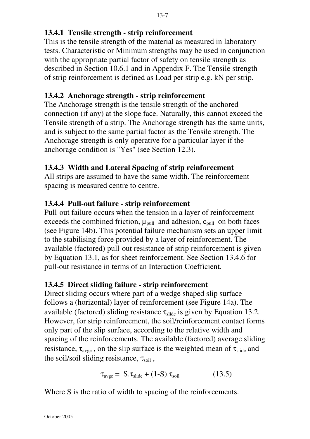# **13.4.1 Tensile strength - strip reinforcement**

This is the tensile strength of the material as measured in laboratory tests. Characteristic or Minimum strengths may be used in conjunction with the appropriate partial factor of safety on tensile strength as described in Section 10.6.1 and in Appendix F. The Tensile strength of strip reinforcement is defined as Load per strip e.g. kN per strip.

# **13.4.2 Anchorage strength - strip reinforcement**

The Anchorage strength is the tensile strength of the anchored connection (if any) at the slope face. Naturally, this cannot exceed the Tensile strength of a strip. The Anchorage strength has the same units, and is subject to the same partial factor as the Tensile strength. The Anchorage strength is only operative for a particular layer if the anchorage condition is "Yes" (see Section 12.3).

# **13.4.3 Width and Lateral Spacing of strip reinforcement**

All strips are assumed to have the same width. The reinforcement spacing is measured centre to centre.

# **13.4.4 Pull-out failure - strip reinforcement**

Pull-out failure occurs when the tension in a layer of reinforcement exceeds the combined friction,  $\mu_{\text{pull}}$  and adhesion,  $c_{\text{pull}}$  on both faces (see Figure 14b). This potential failure mechanism sets an upper limit to the stabilising force provided by a layer of reinforcement. The available (factored) pull-out resistance of strip reinforcement is given by Equation 13.1, as for sheet reinforcement. See Section 13.4.6 for pull-out resistance in terms of an Interaction Coefficient.

# **13.4.5 Direct sliding failure - strip reinforcement**

Direct sliding occurs where part of a wedge shaped slip surface follows a (horizontal) layer of reinforcement (see Figure 14a). The available (factored) sliding resistance  $\tau_{\text{side}}$  is given by Equation 13.2. However, for strip reinforcement, the soil/reinforcement contact forms only part of the slip surface, according to the relative width and spacing of the reinforcements. The available (factored) average sliding resistance,  $\tau_{\text{avge}}$ , on the slip surface is the weighted mean of  $\tau_{\text{slide}}$  and the soil/soil sliding resistance,  $\tau_{\text{soil}}$ ,

$$
\tau_{\text{avge}} = S \cdot \tau_{\text{slide}} + (1 - S) \cdot \tau_{\text{soil}} \tag{13.5}
$$

Where S is the ratio of width to spacing of the reinforcements.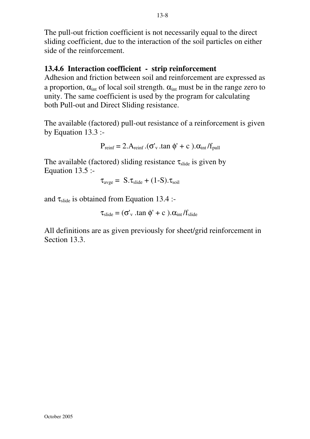The pull-out friction coefficient is not necessarily equal to the direct sliding coefficient, due to the interaction of the soil particles on either side of the reinforcement.

### **13.4.6 Interaction coefficient - strip reinforcement**

Adhesion and friction between soil and reinforcement are expressed as a proportion,  $\alpha_{\text{int}}$  of local soil strength.  $\alpha_{\text{int}}$  must be in the range zero to unity. The same coefficient is used by the program for calculating both Pull-out and Direct Sliding resistance.

The available (factored) pull-out resistance of a reinforcement is given by Equation 13.3 :-

$$
P_{reinf} = 2.A_{reinf} .(\sigma_v \cdot \tan \phi' + c ) .\alpha_{int}/f_{pull}
$$

The available (factored) sliding resistance  $\tau_{\text{slide}}$  is given by Equation  $13.5$  :-

$$
\tau_{\text{avge}} = S \cdot \tau_{\text{slide}} + (1-S) \cdot \tau_{\text{soil}}
$$

and  $\tau_{\text{slide}}$  is obtained from Equation 13.4 :-

$$
\tau_{\text{slide}} = (\sigma'_v \ \text{.tan} \ \phi' + c \ \text{).} \alpha_{\text{int}} / f_{\text{slide}}
$$

All definitions are as given previously for sheet/grid reinforcement in Section 13.3.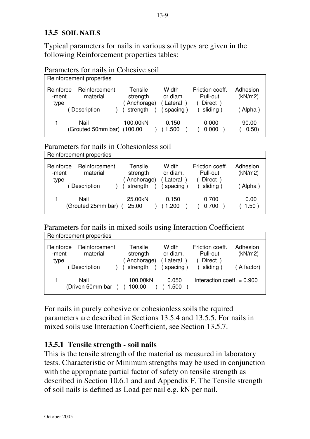### **13.5 SOIL NAILS**

Typical parameters for nails in various soil types are given in the following Reinforcement properties tables:

Parameters for nails in Cohesive soil

|                            | Reinforcement properties           |                                    |                                |                                        |                     |  |
|----------------------------|------------------------------------|------------------------------------|--------------------------------|----------------------------------------|---------------------|--|
| Reinforce<br>-ment<br>type | Reinforcement<br>material          | Tensile<br>strength<br>(Anchorage) | Width<br>or diam.<br>( Lateral | Friction coeff.<br>Pull-out<br>Direct) | Adhesion<br>(kN/m2) |  |
|                            | Description                        | strength                           | spacing)                       | sliding)                               | (Alpha)             |  |
|                            | Nail<br>(Grouted 50mm bar) (100.00 | 100.00kN                           | 0.150<br>1.500                 | 0.000<br>0.000                         | 90.00<br>0.50)      |  |

Parameters for nails in Cohesionless soil

|                            | Reinforcement properties   |                                    |                               |                                        |                     |
|----------------------------|----------------------------|------------------------------------|-------------------------------|----------------------------------------|---------------------|
| Reinforce<br>-ment<br>type | Reinforcement<br>material  | Tensile<br>strength<br>(Anchorage) | Width<br>or diam.<br>(Lateral | Friction coeff.<br>Pull-out<br>Direct) | Adhesion<br>(kN/m2) |
|                            | Description                | strength                           | spacing)                      | sliding)                               | Alpha)              |
|                            | Nail<br>(Grouted 25mm bar) | 25.00kN<br>25.00                   | 0.150<br>.200                 | 0.700<br>0.700                         | 0.00<br>1.50)       |

Parameters for nails in mixed soils using Interaction Coefficient

|                            | Reinforcement properties  |                                    |                                |                                        |                     |
|----------------------------|---------------------------|------------------------------------|--------------------------------|----------------------------------------|---------------------|
| Reinforce<br>-ment<br>type | Reinforcement<br>material | Tensile<br>strength<br>(Anchorage) | Width<br>or diam.<br>(Lateral) | Friction coeff.<br>Pull-out<br>Direct) | Adhesion<br>(kN/m2) |
|                            | Description               | strength                           | spacing)                       | sliding)                               | (A factor)          |
|                            | Nail<br>(Driven 50mm bar  | 100.00kN<br>100.00                 | 0.050<br>1.500                 | Interaction coeff. $= 0.900$           |                     |

For nails in purely cohesive or cohesionless soils the rquired parameters are described in Sections 13.5.4 and 13.5.5. For nails in mixed soils use Interaction Coefficient, see Section 13.5.7.

#### **13.5.1 Tensile strength - soil nails**

This is the tensile strength of the material as measured in laboratory tests. Characteristic or Minimum strengths may be used in conjunction with the appropriate partial factor of safety on tensile strength as described in Section 10.6.1 and and Appendix F. The Tensile strength of soil nails is defined as Load per nail e.g. kN per nail.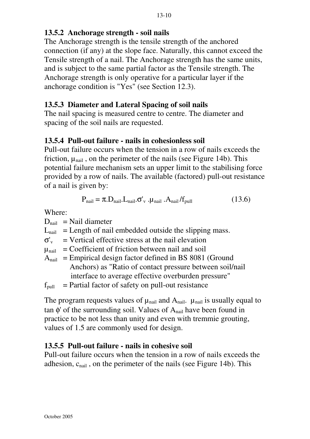### **13.5.2 Anchorage strength - soil nails**

The Anchorage strength is the tensile strength of the anchored connection (if any) at the slope face. Naturally, this cannot exceed the Tensile strength of a nail. The Anchorage strength has the same units, and is subject to the same partial factor as the Tensile strength. The Anchorage strength is only operative for a particular layer if the anchorage condition is "Yes" (see Section 12.3).

### **13.5.3 Diameter and Lateral Spacing of soil nails**

The nail spacing is measured centre to centre. The diameter and spacing of the soil nails are requested.

#### **13.5.4 Pull-out failure - nails in cohesionless soil**

Pull-out failure occurs when the tension in a row of nails exceeds the friction,  $\mu_{\text{nail}}$ , on the perimeter of the nails (see Figure 14b). This potential failure mechanism sets an upper limit to the stabilising force provided by a row of nails. The available (factored) pull-out resistance of a nail is given by:

$$
P_{\text{nail}} = \pi . D_{\text{nail}} . L_{\text{nail}} . \sigma'_{\text{v}} . \mu_{\text{nail}} . A_{\text{nail}} / f_{\text{pull}}
$$
(13.6)

Where:

 $D<sub>nail</sub>$  = Nail diameter

 $L_{\text{nail}}$  = Length of nail embedded outside the slipping mass.

 $\sigma'_{v}$  = Vertical effective stress at the nail elevation

 $\mu_{\text{mail}}$  = Coefficient of friction between nail and soil

 $A<sub>nail</sub>$  = Empirical design factor defined in BS 8081 (Ground Anchors) as "Ratio of contact pressure between soil/nail interface to average effective overburden pressure"

 $f<sub>pull</sub>$  = Partial factor of safety on pull-out resistance

The program requests values of  $\mu_{\text{nail}}$  and  $A_{\text{nail}}$ .  $\mu_{\text{nail}}$  is usually equal to tan φ' of the surrounding soil. Values of  $A<sub>nail</sub>$  have been found in practice to be not less than unity and even with tremmie grouting, values of 1.5 are commonly used for design.

# **13.5.5 Pull-out failure - nails in cohesive soil**

Pull-out failure occurs when the tension in a row of nails exceeds the adhesion,  $c_{\text{nail}}$ , on the perimeter of the nails (see Figure 14b). This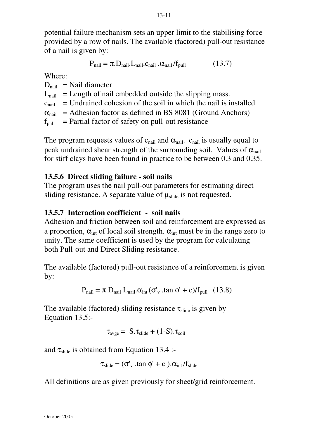potential failure mechanism sets an upper limit to the stabilising force provided by a row of nails. The available (factored) pull-out resistance of a nail is given by:

$$
P_{\text{nail}} = \pi . D_{\text{nail}} . L_{\text{nail}} . c_{\text{nail}} . \alpha_{\text{nail}} / f_{\text{pull}} \tag{13.7}
$$

Where:

 $D_{\text{neil}}$  = Nail diameter  $L_{\text{neil}}$  = Length of nail embedded outside the slipping mass.  $c_{\text{noil}}$  = Undrained cohesion of the soil in which the nail is installed  $\alpha_{\text{mail}}$  = Adhesion factor as defined in BS 8081 (Ground Anchors)  $f<sub>pull</sub>$  = Partial factor of safety on pull-out resistance

The program requests values of  $c_{\text{nail}}$  and  $\alpha_{\text{nail}}$ .  $c_{\text{nail}}$  is usually equal to peak undrained shear strength of the surrounding soil. Values of  $\alpha_{\text{mail}}$ for stiff clays have been found in practice to be between 0.3 and 0.35.

#### **13.5.6 Direct sliding failure - soil nails**

The program uses the nail pull-out parameters for estimating direct sliding resistance. A separate value of  $\mu_{\text{slide}}$  is not requested.

#### **13.5.7 Interaction coefficient - soil nails**

Adhesion and friction between soil and reinforcement are expressed as a proportion,  $\alpha_{\text{int}}$  of local soil strength.  $\alpha_{\text{int}}$  must be in the range zero to unity. The same coefficient is used by the program for calculating both Pull-out and Direct Sliding resistance.

The available (factored) pull-out resistance of a reinforcement is given by:

$$
P_{\text{nail}} = \pi . D_{\text{nail}} . L_{\text{nail}} . \alpha_{\text{int}} (\sigma_v \cdot \tan \phi' + c) / f_{\text{pull}} \quad (13.8)
$$

The available (factored) sliding resistance  $\tau_{\text{slide}}$  is given by Equation 13.5:-

$$
\tau_{\text{avge}} = S \cdot \tau_{\text{slide}} + (1-S) \cdot \tau_{\text{soil}}
$$

and  $\tau_{\text{slide}}$  is obtained from Equation 13.4 :-

$$
\tau_{\text{slide}} = (\sigma'_{v} \cdot \tan \phi' + c \cdot \theta \cdot \alpha_{\text{int}} / f_{\text{slide}}
$$

All definitions are as given previously for sheet/grid reinforcement.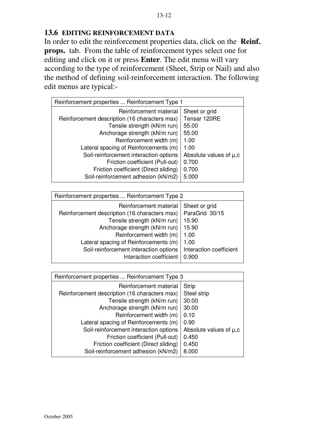#### **13.6 EDITING REINFORCEMENT DATA**

In order to edit the reinforcement properties data, click on the **Reinf. props.** tab. From the table of reinforcement types select one for editing and click on it or press **Enter**. The edit menu will vary according to the type of reinforcement (Sheet, Strip or Nail) and also the method of defining soil-reinforcement interaction. The following edit menus are typical:-

| Reinforcement properties  Reinforcement Type 1 |                        |  |  |  |  |  |  |
|------------------------------------------------|------------------------|--|--|--|--|--|--|
| Reinforcement material                         | Sheet or grid          |  |  |  |  |  |  |
| Reinforcement description (16 characters max)  | Tensar 120RE           |  |  |  |  |  |  |
| Tensile strength (kN/m run)                    | 55.00                  |  |  |  |  |  |  |
| Anchorage strength (kN/m run)                  | 55.00                  |  |  |  |  |  |  |
| Reinforcement width (m)                        | 1.00                   |  |  |  |  |  |  |
| Lateral spacing of Reinforcements (m)          | 1.00                   |  |  |  |  |  |  |
| Soil-reinforcement interaction options         | Absolute values of µ,c |  |  |  |  |  |  |
| Friction coefficient (Pull-out)                | 0.700                  |  |  |  |  |  |  |
| Friction coefficient (Direct sliding)          | 0.700                  |  |  |  |  |  |  |
| Soil-reinforcement adhesion (kN/m2)            | 5.000                  |  |  |  |  |  |  |
|                                                |                        |  |  |  |  |  |  |

| Reinforcement properties  Reinforcement Type 2                                                                                                                                                                                                        |                                                                                              |  |  |  |  |  |
|-------------------------------------------------------------------------------------------------------------------------------------------------------------------------------------------------------------------------------------------------------|----------------------------------------------------------------------------------------------|--|--|--|--|--|
| Reinforcement material<br>Reinforcement description (16 characters max)<br>Tensile strength (kN/m run)<br>Anchorage strength (kN/m run)<br>Reinforcement width (m)<br>Lateral spacing of Reinforcements (m)<br>Soil-reinforcement interaction options | Sheet or grid<br>ParaGrid 30/15<br>15.90<br>15.90<br>1.00<br>1.00<br>Interaction coefficient |  |  |  |  |  |
| Interaction coefficient                                                                                                                                                                                                                               | 0.900                                                                                        |  |  |  |  |  |

| Reinforcement properties  Reinforcement Type 3 |                              |  |  |  |  |  |
|------------------------------------------------|------------------------------|--|--|--|--|--|
| Reinforcement material                         | <b>Strip</b>                 |  |  |  |  |  |
| Reinforcement description (16 characters max)  | Steel strip                  |  |  |  |  |  |
| Tensile strength (kN/m run)                    | 30.00                        |  |  |  |  |  |
| Anchorage strength (kN/m run)                  | 30.00                        |  |  |  |  |  |
| Reinforcement width (m)                        | 0.10                         |  |  |  |  |  |
| Lateral spacing of Reinforcements (m)          | 0.90                         |  |  |  |  |  |
| Soil-reinforcement interaction options         | Absolute values of $\mu$ , c |  |  |  |  |  |
| Friction coefficient (Pull-out)                | 0.450                        |  |  |  |  |  |
| Friction coefficient (Direct sliding)          | 0.450                        |  |  |  |  |  |
| Soil-reinforcement adhesion (kN/m2)            | 8.000                        |  |  |  |  |  |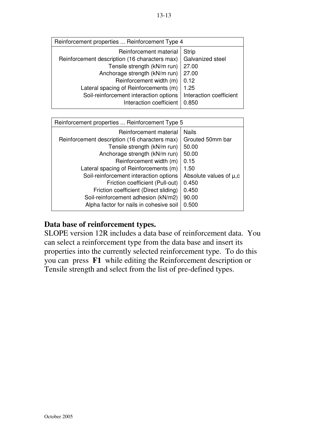| Reinforcement properties  Reinforcement Type 4 |                         |  |  |  |  |  |
|------------------------------------------------|-------------------------|--|--|--|--|--|
| Reinforcement material                         | <b>Strip</b>            |  |  |  |  |  |
| Reinforcement description (16 characters max)  | Galvanized steel        |  |  |  |  |  |
| Tensile strength (kN/m run)                    | 27.00                   |  |  |  |  |  |
| Anchorage strength (kN/m run)                  | 27.00                   |  |  |  |  |  |
| Reinforcement width (m)                        | 0.12                    |  |  |  |  |  |
| Lateral spacing of Reinforcements (m)          | 1.25                    |  |  |  |  |  |
| Soil-reinforcement interaction options         | Interaction coefficient |  |  |  |  |  |
| Interaction coefficient                        | 0.850                   |  |  |  |  |  |

| Reinforcement properties  Reinforcement Type 5 |                              |  |  |  |  |  |
|------------------------------------------------|------------------------------|--|--|--|--|--|
| Reinforcement material                         | <b>Nails</b>                 |  |  |  |  |  |
| Reinforcement description (16 characters max)  | Grouted 50mm bar             |  |  |  |  |  |
| Tensile strength (kN/m run)                    | 50.00                        |  |  |  |  |  |
| Anchorage strength (kN/m run)                  | 50.00                        |  |  |  |  |  |
| Reinforcement width (m)                        | 0.15                         |  |  |  |  |  |
| Lateral spacing of Reinforcements (m)          | 1.50                         |  |  |  |  |  |
| Soil-reinforcement interaction options         | Absolute values of $\mu$ , c |  |  |  |  |  |
| Friction coefficient (Pull-out)                | 0.450                        |  |  |  |  |  |
| Friction coefficient (Direct sliding)          | 0.450                        |  |  |  |  |  |
| Soil-reinforcement adhesion (kN/m2)            | 90.00                        |  |  |  |  |  |
| Alpha factor for nails in cohesive soil        | 0.500                        |  |  |  |  |  |

#### **Data base of reinforcement types.**

SLOPE version 12R includes a data base of reinforcement data. You can select a reinforcement type from the data base and insert its properties into the currently selected reinforcement type. To do this you can press **F1** while editing the Reinforcement description or Tensile strength and select from the list of pre-defined types.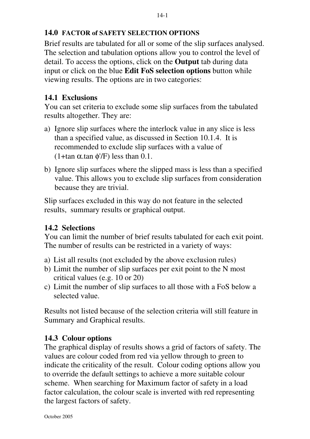# **14.0 FACTOR of SAFETY SELECTION OPTIONS**

Brief results are tabulated for all or some of the slip surfaces analysed. The selection and tabulation options allow you to control the level of detail. To access the options, click on the **Output** tab during data input or click on the blue **Edit FoS selection options** button while viewing results. The options are in two categories:

# **14.1 Exclusions**

You can set criteria to exclude some slip surfaces from the tabulated results altogether. They are:

- a) Ignore slip surfaces where the interlock value in any slice is less than a specified value, as discussed in Section 10.1.4. It is recommended to exclude slip surfaces with a value of (1+tan  $\alpha$ .tan  $\phi$ '/F) less than 0.1.
- b) Ignore slip surfaces where the slipped mass is less than a specified value. This allows you to exclude slip surfaces from consideration because they are trivial.

Slip surfaces excluded in this way do not feature in the selected results, summary results or graphical output.

# **14.2 Selections**

You can limit the number of brief results tabulated for each exit point. The number of results can be restricted in a variety of ways:

- a) List all results (not excluded by the above exclusion rules)
- b) Limit the number of slip surfaces per exit point to the N most critical values (e.g. 10 or 20)
- c) Limit the number of slip surfaces to all those with a FoS below a selected value.

Results not listed because of the selection criteria will still feature in Summary and Graphical results.

# **14.3 Colour options**

The graphical display of results shows a grid of factors of safety. The values are colour coded from red via yellow through to green to indicate the criticality of the result. Colour coding options allow you to override the default settings to achieve a more suitable colour scheme. When searching for Maximum factor of safety in a load factor calculation, the colour scale is inverted with red representing the largest factors of safety.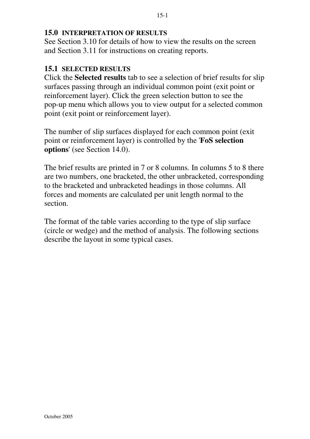#### **15.0 INTERPRETATION OF RESULTS**

See Section 3.10 for details of how to view the results on the screen and Section 3.11 for instructions on creating reports.

#### **15.1 SELECTED RESULTS**

Click the **Selected results** tab to see a selection of brief results for slip surfaces passing through an individual common point (exit point or reinforcement layer). Click the green selection button to see the pop-up menu which allows you to view output for a selected common point (exit point or reinforcement layer).

The number of slip surfaces displayed for each common point (exit point or reinforcement layer) is controlled by the '**FoS selection options**' (see Section 14.0).

The brief results are printed in 7 or 8 columns. In columns 5 to 8 there are two numbers, one bracketed, the other unbracketed, corresponding to the bracketed and unbracketed headings in those columns. All forces and moments are calculated per unit length normal to the section.

The format of the table varies according to the type of slip surface (circle or wedge) and the method of analysis. The following sections describe the layout in some typical cases.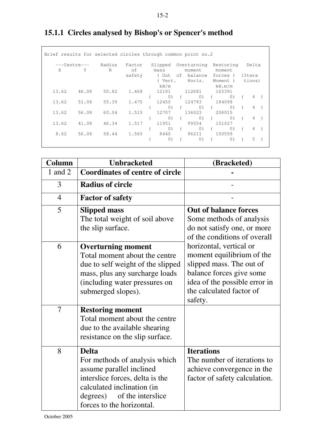| Brief results for selected circles through common point no.2 |              |       |                           |              |  |                   |                                        |                       |                                   |          |                 |  |
|--------------------------------------------------------------|--------------|-------|---------------------------|--------------|--|-------------------|----------------------------------------|-----------------------|-----------------------------------|----------|-----------------|--|
| X                                                            | ---Centre--- | Y     | Radius<br>$R_{\parallel}$ | Factor<br>of |  | Slipped<br>mass   |                                        | Overturning<br>moment | Restoring<br>moment               |          | Delta           |  |
|                                                              |              |       |                           | safety       |  | ( Out             |                                        | of balance            | forces)                           |          | (Itera          |  |
|                                                              |              |       |                           |              |  | (Vert.<br>kN/m    |                                        | Horiz.                | Moment )<br>kN.m/m                |          | tions)          |  |
| 13.62                                                        |              | 46.08 | 50.82                     | 1.468        |  | 12191             |                                        | 112681                | 165391                            |          |                 |  |
|                                                              |              |       |                           |              |  | $\left( 0\right)$ |                                        | $(0)$ (               | (0)                               |          | 4               |  |
| 13.62                                                        |              | 51.08 | 55.39                     | 1.475        |  | 12450             |                                        | 124793                | 184098                            |          |                 |  |
|                                                              |              |       |                           |              |  |                   | $\begin{pmatrix} 0 \\ 0 \end{pmatrix}$ | 0)                    | $\begin{matrix} 0 \end{matrix}$ ( |          | $4 \rightarrow$ |  |
| 13.62                                                        |              | 56.08 | 60.04                     | 1.515        |  | 12.707            |                                        | 136023                | 206015                            |          |                 |  |
|                                                              |              |       |                           |              |  | 0)                |                                        | $\circ$               | (0)                               | $\left($ | $4$ )           |  |
| 13.62                                                        |              | 41.08 | 46.34                     | 1.517        |  | 11951             |                                        | 99554                 | 151027                            |          |                 |  |
|                                                              |              |       |                           |              |  | 0)                |                                        | $\circ$ )             | (0)                               | $\left($ | $4 \rightarrow$ |  |
|                                                              | 8.62         | 56.08 | 58.44                     | 1.565        |  | 8440              |                                        | 96211                 | 150559                            |          |                 |  |
|                                                              |              |       |                           |              |  | 0)                |                                        | $\circ$ )             | (0)                               |          | .5              |  |

# **15.1.1 Circles analysed by Bishop's or Spencer's method**

| Column         | <b>Unbracketed</b>                                                                                                                                                                                       | (Bracketed)                                                                                                                                                                          |
|----------------|----------------------------------------------------------------------------------------------------------------------------------------------------------------------------------------------------------|--------------------------------------------------------------------------------------------------------------------------------------------------------------------------------------|
| 1 and 2        | <b>Coordinates of centre of circle</b>                                                                                                                                                                   |                                                                                                                                                                                      |
| 3              | <b>Radius of circle</b>                                                                                                                                                                                  |                                                                                                                                                                                      |
| $\overline{4}$ | <b>Factor of safety</b>                                                                                                                                                                                  |                                                                                                                                                                                      |
| 5              | <b>Slipped mass</b><br>The total weight of soil above<br>the slip surface.                                                                                                                               | <b>Out of balance forces</b><br>Some methods of analysis<br>do not satisfy one, or more<br>of the conditions of overall                                                              |
| 6              | <b>Overturning moment</b><br>Total moment about the centre<br>due to self weight of the slipped<br>mass, plus any surcharge loads<br>(including water pressures on<br>submerged slopes).                 | horizontal, vertical or<br>moment equilibrium of the<br>slipped mass. The out of<br>balance forces give some<br>idea of the possible error in<br>the calculated factor of<br>safety. |
| $\overline{7}$ | <b>Restoring moment</b><br>Total moment about the centre<br>due to the available shearing<br>resistance on the slip surface.                                                                             |                                                                                                                                                                                      |
| 8              | <b>Delta</b><br>For methods of analysis which<br>assume parallel inclined<br>interslice forces, delta is the<br>calculated inclination (in<br>of the interslice<br>degrees)<br>forces to the horizontal. | <b>Iterations</b><br>The number of iterations to<br>achieve convergence in the<br>factor of safety calculation.                                                                      |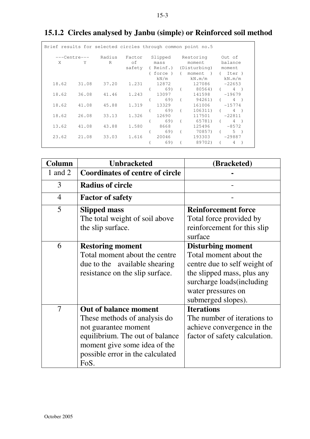|                   |       |                    |       | Brief results for selected circles through common point no.5 |          |                                                                                |                                           |
|-------------------|-------|--------------------|-------|--------------------------------------------------------------|----------|--------------------------------------------------------------------------------|-------------------------------------------|
| ---Centre---<br>X | Y     | Radius Factor<br>R | of    | Slipped<br>mass<br>(force) (<br>kN/m                         |          | Restoring<br>moment<br>safety (Reinf.) (Disturbing)<br>moment<br>$\rightarrow$ | Out of<br>balance<br>moment<br>(Iter)     |
| 18.62             | 31.08 | 37.20              | 1.231 | 12872<br>69)                                                 |          | $kN \cdot m/m$ $kN \cdot m/m$<br>127086<br>$(80564)$ (                         | $-22653$<br>$4 \rightarrow$               |
| 18.62             | 36.08 | 41.46              | 1.243 | 13097<br>69)                                                 |          | 141598<br>(94261)                                                              | $-19679$<br>$4 \quad$                     |
| 18.62             | 41.08 | 45.88              | 1.319 | 13329<br>69) (                                               |          | 161006<br>106311)                                                              | $-15774$<br>$4 \rightarrow$<br>$\sqrt{2}$ |
| 18.62             | 26.08 | 33.13              | 1.326 | 12690<br>69)                                                 |          | 117501<br>(65781)                                                              | $-22811$<br>$4$ )<br>$\sqrt{2}$           |
| 13.62             | 41.08 | 43.88              | 1.580 | 8668<br>69)                                                  | $\left($ | 125496<br>70857)                                                               | $-8572$<br>$5 \rightarrow$<br>$\sqrt{2}$  |
| 23.62             | 21.08 | 33.03              | 1.616 | 20046<br>69)                                                 |          | 193303<br>89702)                                                               | $-29887$<br>4<br>$\left($                 |

# **15.1.2 Circles analysed by Janbu (simple) or Reinforced soil method**

| Column         | <b>Unbracketed</b>                                    | (Bracketed)                                           |
|----------------|-------------------------------------------------------|-------------------------------------------------------|
| 1 and $2$      | <b>Coordinates of centre of circle</b>                |                                                       |
| 3              | <b>Radius of circle</b>                               |                                                       |
| $\overline{4}$ | <b>Factor of safety</b>                               |                                                       |
| 5              | <b>Slipped mass</b><br>The total weight of soil above | <b>Reinforcement force</b><br>Total force provided by |
|                | the slip surface.                                     | reinforcement for this slip<br>surface                |
| 6              | <b>Restoring moment</b>                               | <b>Disturbing moment</b>                              |
|                | Total moment about the centre                         | Total moment about the                                |
|                | due to the available shearing                         | centre due to self weight of                          |
|                | resistance on the slip surface.                       | the slipped mass, plus any                            |
|                |                                                       | surcharge loads (including                            |
|                |                                                       | water pressures on                                    |
|                |                                                       | submerged slopes).                                    |
| $\overline{7}$ | <b>Out of balance moment</b>                          | <b>Iterations</b>                                     |
|                | These methods of analysis do                          | The number of iterations to                           |
|                | not guarantee moment                                  | achieve convergence in the                            |
|                | equilibrium. The out of balance                       | factor of safety calculation.                         |
|                | moment give some idea of the                          |                                                       |
|                | possible error in the calculated<br>FoS.              |                                                       |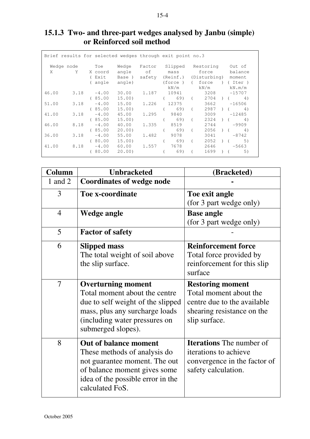|       |                |               | Brief results for selected wedges through exit point no.3 |                              |                     |            |                   |                                   |
|-------|----------------|---------------|-----------------------------------------------------------|------------------------------|---------------------|------------|-------------------|-----------------------------------|
|       | Wedge node Toe |               | Wedge                                                     | Factor                       |                     |            | Slipped Restoring | Out of                            |
| X.    | Y              | X coord       |                                                           | angle of                     | mass                |            | force             | balance                           |
|       |                | ( Exit        | Base )                                                    | safety (Reinf.) (Disturbing) |                     |            |                   | moment                            |
|       |                | ( angle       | angle)                                                    |                              |                     |            |                   | (force) ( force ) ( Iter )        |
|       |                |               |                                                           |                              | kN/m                |            | kN/m              | kN.m/m                            |
| 46.00 |                | $3.18 -4.00$  | 30.00                                                     | 1.187                        | 10941               |            | 3208              | $-15707$                          |
|       |                | (85.00)       | 15.00)                                                    |                              | 69) (<br>$\sqrt{2}$ |            |                   | $2704$ ) ( 4)                     |
| 51.00 | 3.18           | $-4.00$       | 15.00                                                     | 1.226                        | 12375               |            | 3662              | $-16506$                          |
|       |                | (85.00)       | 15.00)                                                    |                              | 69) (               |            | 2987              | (4)                               |
| 41.00 |                | $3.18 - 4.00$ | 45.00                                                     | 1.295                        |                     |            | 3009              | $-12485$                          |
|       |                | (85.00)       | 15.00                                                     |                              | 69) (               |            | 2324              | (4)                               |
| 46.00 | 8.18           | $-4.00$       | 40.00                                                     | 1.335                        | 8519                |            | 2744              | $-9909$                           |
|       |                | (85.00)       | 20.00                                                     |                              | 69) (               |            | 2056              | 4)<br>$\left($ $\right)$ $\left($ |
| 36.00 | 3.18           | $-4.00$       | 55.00                                                     | 1.482                        | 9078                |            | 3041              | $-8742$                           |
|       |                | (80.00)       | 15.00                                                     |                              | 69)                 | $\sqrt{2}$ | 2052              | 5)<br>$\lambda$ (                 |
| 41.00 |                | $8.18 -4.00$  | 60.00                                                     | 1.557                        | 7678 — 17           |            |                   | $2646 -5663$                      |
|       |                | (80.00)       | 20.00                                                     |                              | 69)                 |            | 1699              | 5)                                |
|       |                |               |                                                           |                              |                     |            |                   |                                   |

# **15.1.3 Two- and three-part wedges analysed by Janbu (simple) or Reinforced soil method**

| Column         | <b>Unbracketed</b>                | (Bracketed)                     |
|----------------|-----------------------------------|---------------------------------|
| 1 and 2        | <b>Coordinates of wedge node</b>  |                                 |
| 3              | <b>Toe x-coordinate</b>           | Toe exit angle                  |
|                |                                   | (for 3 part wedge only)         |
| $\overline{4}$ | Wedge angle                       | <b>Base angle</b>               |
|                |                                   | (for 3 part wedge only)         |
| 5              | <b>Factor of safety</b>           |                                 |
| 6              | <b>Slipped mass</b>               | <b>Reinforcement force</b>      |
|                | The total weight of soil above    | Total force provided by         |
|                | the slip surface.                 | reinforcement for this slip     |
|                |                                   | surface                         |
| $\overline{7}$ | <b>Overturning moment</b>         | <b>Restoring moment</b>         |
|                | Total moment about the centre     | Total moment about the          |
|                | due to self weight of the slipped | centre due to the available     |
|                | mass, plus any surcharge loads    | shearing resistance on the      |
|                | (including water pressures on     | slip surface.                   |
|                | submerged slopes).                |                                 |
| 8              | <b>Out of balance moment</b>      | <b>Iterations</b> The number of |
|                | These methods of analysis do      | iterations to achieve           |
|                | not guarantee moment. The out     | convergence in the factor of    |
|                | of balance moment gives some      | safety calculation.             |
|                | idea of the possible error in the |                                 |
|                | calculated FoS.                   |                                 |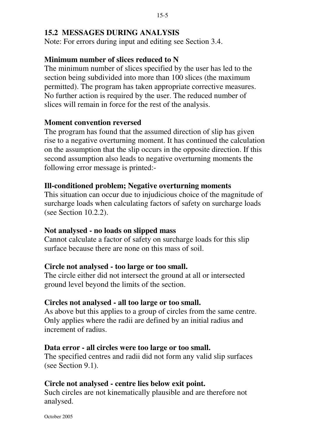# **15.2 MESSAGES DURING ANALYSIS**

Note: For errors during input and editing see Section 3.4.

# **Minimum number of slices reduced to N**

The minimum number of slices specified by the user has led to the section being subdivided into more than 100 slices (the maximum permitted). The program has taken appropriate corrective measures. No further action is required by the user. The reduced number of slices will remain in force for the rest of the analysis.

#### **Moment convention reversed**

The program has found that the assumed direction of slip has given rise to a negative overturning moment. It has continued the calculation on the assumption that the slip occurs in the opposite direction. If this second assumption also leads to negative overturning moments the following error message is printed:-

#### **Ill-conditioned problem; Negative overturning moments**

This situation can occur due to injudicious choice of the magnitude of surcharge loads when calculating factors of safety on surcharge loads (see Section 10.2.2).

#### **Not analysed - no loads on slipped mass**

Cannot calculate a factor of safety on surcharge loads for this slip surface because there are none on this mass of soil.

#### **Circle not analysed - too large or too small.**

The circle either did not intersect the ground at all or intersected ground level beyond the limits of the section.

#### **Circles not analysed - all too large or too small.**

As above but this applies to a group of circles from the same centre. Only applies where the radii are defined by an initial radius and increment of radius.

#### **Data error - all circles were too large or too small.**

The specified centres and radii did not form any valid slip surfaces (see Section 9.1).

# **Circle not analysed - centre lies below exit point.**

Such circles are not kinematically plausible and are therefore not analysed.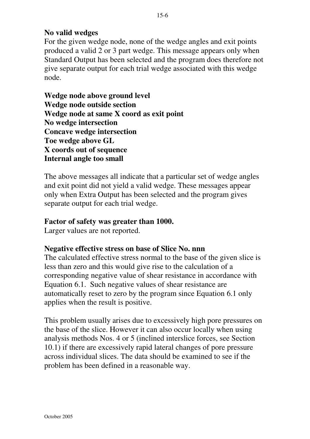# **No valid wedges**

For the given wedge node, none of the wedge angles and exit points produced a valid 2 or 3 part wedge. This message appears only when Standard Output has been selected and the program does therefore not give separate output for each trial wedge associated with this wedge node.

**Wedge node above ground level Wedge node outside section Wedge node at same X coord as exit point No wedge intersection Concave wedge intersection Toe wedge above GL X coords out of sequence Internal angle too small**

The above messages all indicate that a particular set of wedge angles and exit point did not yield a valid wedge. These messages appear only when Extra Output has been selected and the program gives separate output for each trial wedge.

### **Factor of safety was greater than 1000.**

Larger values are not reported.

# **Negative effective stress on base of Slice No. nnn**

The calculated effective stress normal to the base of the given slice is less than zero and this would give rise to the calculation of a corresponding negative value of shear resistance in accordance with Equation 6.1. Such negative values of shear resistance are automatically reset to zero by the program since Equation 6.1 only applies when the result is positive.

This problem usually arises due to excessively high pore pressures on the base of the slice. However it can also occur locally when using analysis methods Nos. 4 or 5 (inclined interslice forces, see Section 10.1) if there are excessively rapid lateral changes of pore pressure across individual slices. The data should be examined to see if the problem has been defined in a reasonable way.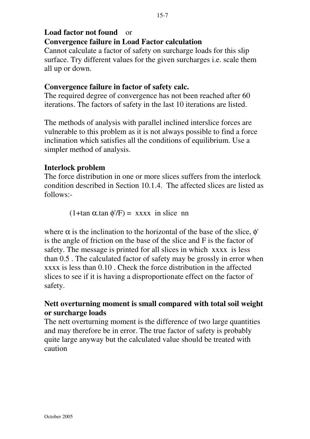# **Load factor not found** or **Convergence failure in Load Factor calculation**

Cannot calculate a factor of safety on surcharge loads for this slip surface. Try different values for the given surcharges i.e. scale them all up or down.

# **Convergence failure in factor of safety calc.**

The required degree of convergence has not been reached after 60 iterations. The factors of safety in the last 10 iterations are listed.

The methods of analysis with parallel inclined interslice forces are vulnerable to this problem as it is not always possible to find a force inclination which satisfies all the conditions of equilibrium. Use a simpler method of analysis.

# **Interlock problem**

The force distribution in one or more slices suffers from the interlock condition described in Section 10.1.4. The affected slices are listed as follows:-

(1+tan  $\alpha$ .tan  $\phi$ '/F) = xxxx in slice nn

where  $\alpha$  is the inclination to the horizontal of the base of the slice,  $\phi'$ is the angle of friction on the base of the slice and F is the factor of safety. The message is printed for all slices in which xxxx is less than 0.5 . The calculated factor of safety may be grossly in error when xxxx is less than 0.10 . Check the force distribution in the affected slices to see if it is having a disproportionate effect on the factor of safety.

# **Nett overturning moment is small compared with total soil weight or surcharge loads**

The nett overturning moment is the difference of two large quantities and may therefore be in error. The true factor of safety is probably quite large anyway but the calculated value should be treated with caution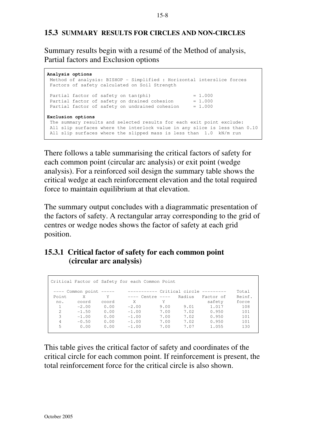### **15.3 SUMMARY RESULTS FOR CIRCLES AND NON-CIRCLES**

Summary results begin with a resumé of the Method of analysis, Partial factors and Exclusion options

```
Analysis options
 Method of analysis: BISHOP - Simplified : Horizontal interslice forces
 Factors of safety calculated on Soil Strength
Partial factor of safety on tan(phi) = 1.000
Partial factor of safety on drained cohesion = 1.000Partial factor of safety on undrained cohesion = 1.000Exclusion options
 The summary results and selected results for each exit point exclude:
 All slip surfaces where the interlock value in any slice is less than 0.10
 All slip surfaces where the slipped mass is less than 1.0 kN/m run
```
There follows a table summarising the critical factors of safety for each common point (circular arc analysis) or exit point (wedge analysis). For a reinforced soil design the summary table shows the critical wedge at each reinforcement elevation and the total required force to maintain equilibrium at that elevation.

The summary output concludes with a diagrammatic presentation of the factors of safety. A rectangular array corresponding to the grid of centres or wedge nodes shows the factor of safety at each grid position.

### **15.3.1 Critical factor of safety for each common point (circular arc analysis)**

|                |                          |       | Critical Factor of Safety for each Common Point |      |        |           |        |
|----------------|--------------------------|-------|-------------------------------------------------|------|--------|-----------|--------|
|                | $---$ Common point $---$ |       | ----------- Critical circle ---------           |      |        |           | Total  |
| Point          | X                        | Y     | $---$ Centre $---$                              |      | Radius | Factor of | Reinf. |
| no.            | coord                    | coord | X                                               | Y    |        | safety    | force  |
|                | $-2.00$                  | 0.00  | $-2.00$                                         | 9.00 | 9.01   | 1.017     | 108    |
| $\mathfrak{D}$ | $-1.50$                  | 0.00  | $-1.00$                                         | 7.00 | 7.02   | 0.950     | 101    |
| 3              | $-1.00$                  | 0.00  | $-1.00$                                         | 7.00 | 7.02   | 0.950     | 101    |
| 4              | $-0.50$                  | 0.00  | $-1.00$                                         | 7.00 | 7.02   | 0.950     | 101    |
| 5              | 0.00                     | 0.00  | $-1.00$                                         | 7.00 | 7.07   | 1.055     | 130    |

This table gives the critical factor of safety and coordinates of the critical circle for each common point. If reinforcement is present, the total reinforcement force for the critical circle is also shown.

#### 15-8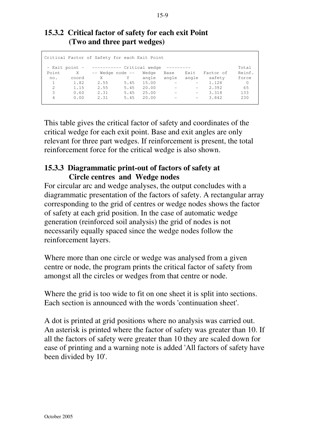### **15.3.2 Critical factor of safety for each exit Point (Two and three part wedges)**

|               |                | Critical Factor of Safety for each Exit Point |      |       |                          |                          |           |        |
|---------------|----------------|-----------------------------------------------|------|-------|--------------------------|--------------------------|-----------|--------|
|               | - Exit point - | ----------- Critical wedge                    |      |       |                          |                          |           | Total  |
| Point         | X              | -- Wedge node --                              |      | Wedge | Base                     | Exit                     | Factor of | Reinf. |
| no.           | coord          | X                                             | Y    | angle | angle                    | angle                    | safety    | force  |
|               | 1.82           | 2.55                                          | 5.45 | 15.00 |                          | $-$                      | 1.128     | 0      |
| $\mathcal{L}$ | 1.15           | 2.55                                          | 5.45 | 20.00 |                          | $ \,$                    | 2.392     | 65     |
| 3             | 0.60           | 2.31                                          | 5.45 | 25.00 | $\overline{\phantom{a}}$ | $\overline{\phantom{m}}$ | 3.318     | 133    |
| 4             | 0.00           | 2.31                                          | 5.45 | 20.00 | $\overline{\phantom{0}}$ | $\overline{\phantom{m}}$ | 3.842     | 230    |
|               |                |                                               |      |       |                          |                          |           |        |

This table gives the critical factor of safety and coordinates of the critical wedge for each exit point. Base and exit angles are only relevant for three part wedges. If reinforcement is present, the total reinforcement force for the critical wedge is also shown.

# **15.3.3 Diagrammatic print-out of factors of safety at Circle centres and Wedge nodes**

For circular arc and wedge analyses, the output concludes with a diagrammatic presentation of the factors of safety. A rectangular array corresponding to the grid of centres or wedge nodes shows the factor of safety at each grid position. In the case of automatic wedge generation (reinforced soil analysis) the grid of nodes is not necessarily equally spaced since the wedge nodes follow the reinforcement layers.

Where more than one circle or wedge was analysed from a given centre or node, the program prints the critical factor of safety from amongst all the circles or wedges from that centre or node.

Where the grid is too wide to fit on one sheet it is split into sections. Each section is announced with the words 'continuation sheet'.

A dot is printed at grid positions where no analysis was carried out. An asterisk is printed where the factor of safety was greater than 10. If all the factors of safety were greater than 10 they are scaled down for ease of printing and a warning note is added 'All factors of safety have been divided by 10'.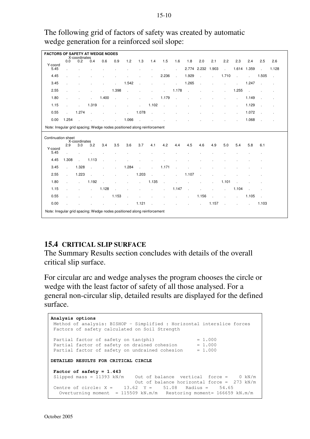The following grid of factors of safety was created by automatic wedge generation for a reinforced soil slope:

|                                                                          | <b>FACTORS OF SAFETY AT WEDGE NODES</b><br>X-coordinates                 |                      |              |                             |              |              |        |               |               |                |                |              |              |              |                             |              |                             |                      |
|--------------------------------------------------------------------------|--------------------------------------------------------------------------|----------------------|--------------|-----------------------------|--------------|--------------|--------|---------------|---------------|----------------|----------------|--------------|--------------|--------------|-----------------------------|--------------|-----------------------------|----------------------|
| Y-coord                                                                  | 0.0                                                                      | 0.2                  | 0.4          | 0.6                         | 0.9          | 1.2          | 1.3    | 1.4           | 1.5           | 1.6            | 1.8            | 2.0          | 2.1          | 2.2          | 2.3                         | 2.4          | 2.5                         | 2.6                  |
| 5.45                                                                     |                                                                          |                      |              |                             |              |              |        |               |               | $\mathbf{r}$   |                | 2.774 2.232  | 1.903        | $\sim$       | 1.614 1.359                 |              | $\mathcal{L}^{\mathcal{L}}$ | 1.128                |
| 4.45                                                                     |                                                                          |                      |              |                             |              |              |        | ÷.            | 2.236         | $\sim$         | 1.929          | $\mathbf{r}$ | $\mathbf{r}$ | 1.710        | $\mathbf{r}$                | $\mathbf{r}$ | 1.505                       | $\sim$               |
| 3.45                                                                     |                                                                          |                      |              |                             |              | 1.542        |        |               |               |                | 1.265          |              |              |              |                             | 1.247        |                             | ÷.                   |
| 2.55                                                                     |                                                                          |                      |              | $\mathbf{r}$                | 1.398        | $\cdot$      |        |               | $\mathbf{r}$  | 1.178          | $\mathbf{r}$   |              |              | ÷.           | 1.255                       | $\sim$       |                             |                      |
| 1.80                                                                     |                                                                          |                      | $\mathbf{r}$ | 1.400                       | $\mathbf{r}$ |              |        | $\mathbf{r}$  | 1.179         | $\sim$         |                |              |              |              |                             | 1.149        |                             |                      |
| 1.15                                                                     |                                                                          |                      | 1.319        | $\mathcal{L}_{\mathcal{A}}$ |              |              |        | 1.102         | $\sim$        |                |                |              |              |              |                             | 1.129        |                             |                      |
| 0.55                                                                     | $\mathcal{L}^{\text{max}}$                                               | 1.274                | $\sim$       | $\mathbf{r}$                |              | $\mathbf{r}$ | 1.078  | $\sim$        | J.            |                |                |              |              |              | $\overline{a}$              | 1.072        |                             | $\ddot{\phantom{a}}$ |
| 0.00                                                                     | 1.254                                                                    |                      |              |                             |              | 1.066        | $\sim$ |               |               |                |                |              |              |              |                             | 1.068        |                             |                      |
| Note: Irregular grid spacing; Wedge nodes positioned along reinforcement |                                                                          |                      |              |                             |              |              |        |               |               |                |                |              |              |              |                             |              |                             |                      |
|                                                                          | Continuation sheet                                                       |                      |              |                             |              |              |        |               |               |                |                |              |              |              |                             |              |                             |                      |
|                                                                          | 2.9                                                                      | X-coordinates<br>3.0 | 3.2          | 3.4                         | 3.5          | 3.6          | 3.7    | 4.1           | 4.2           | 4.4            | 4.5            | 4.6          | 4.9          | 5.0          | 5.4                         | 5.8          | 6.1                         |                      |
| Y-coord<br>5.45                                                          | ÷.                                                                       |                      |              |                             |              |              |        |               |               |                |                |              |              |              |                             |              |                             |                      |
| 4.45                                                                     | 1.308                                                                    | $\mathbf{r}$         | 1.113        |                             |              |              |        |               |               |                |                |              |              |              |                             |              |                             |                      |
| 3.45                                                                     | s.                                                                       | 1.328                | $\sim$       |                             |              | 1.284        |        | $\mathbf{r}$  | 1.171         | $\overline{a}$ |                |              |              |              |                             |              |                             |                      |
| 2.55                                                                     | ÷.                                                                       | 1.223                | n.           |                             |              | ¥.           | 1.203  | $\mathcal{L}$ | $\mathcal{L}$ | $\mathbf{r}$   | 1.107          |              |              |              |                             |              |                             |                      |
| 1.80                                                                     |                                                                          | $\mathbb{R}^2$       | 1.192        |                             |              |              |        | 1.135         | L.            |                |                |              |              | 1.101        |                             |              |                             |                      |
| 1.15                                                                     |                                                                          |                      | $\mathbf{r}$ | 1.128                       |              |              |        | ÷.            |               | 1.147          | $\overline{a}$ |              |              | $\mathbf{r}$ | 1.104                       |              |                             |                      |
| 0.55                                                                     |                                                                          |                      | $\mathbf{r}$ | $\mathcal{L}^{\text{max}}$  | 1.153        |              | $\sim$ | $\mathbf{r}$  |               | $\mathbf{r}$   | $\cdot$        | 1.156        | $\sim$       | $\mathbf{r}$ | $\mathcal{L}^{\mathcal{A}}$ | 1.105        | $\sim$                      |                      |
| 0.00                                                                     |                                                                          |                      |              |                             |              | $\mathbf{r}$ | 1.121  |               |               |                |                | $\mathbf{r}$ | 1.157        | $\sim$       |                             | $\mathbf{r}$ | 1.103                       |                      |
|                                                                          | Note: Irregular grid spacing; Wedge nodes positioned along reinforcement |                      |              |                             |              |              |        |               |               |                |                |              |              |              |                             |              |                             |                      |

# **15.4 CRITICAL SLIP SURFACE**

The Summary Results section concludes with details of the overall critical slip surface.

For circular arc and wedge analyses the program chooses the circle or wedge with the least factor of safety of all those analysed. For a general non-circular slip, detailed results are displayed for the defined surface.

```
Analysis options
 Method of analysis: BISHOP – Simplified : Horizontal interslice forces
 Factors of safety calculated on Soil Strength
Partial factor of safety on tan(phi) = 1.000
Partial factor of safety on drained cohesion = 1.000Partial factor of safety on undrained cohesion = 1.000DETAILED RESULTS FOR CRITICAL CIRCLE
 Factor of safety = 1.443
 Slipped mass = 11393 kN/m Out of balance vertical force = 0 kN/m
 Out of balance horizontal force = 273 kN/m
Centre of circle: X = 13.62 Y = 51.08 Radius = 54.65
  Overturning moment = 115509 kN.m/m Restoring moment= 166659 kN.m/m
```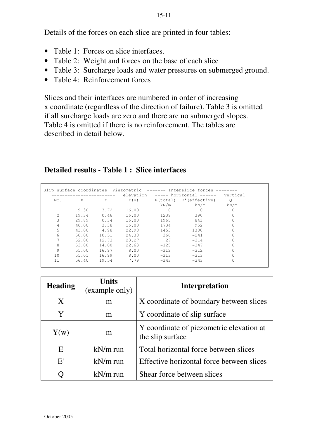Details of the forces on each slice are printed in four tables:

- Table 1: Forces on slice interfaces
- Table 2: Weight and forces on the base of each slice
- Table 3: Surcharge loads and water pressures on submerged ground.
- Table 4: Reinforcement forces

Slices and their interfaces are numbered in order of increasing x coordinate (regardless of the direction of failure). Table 3 is omitted if all surcharge loads are zero and there are no submerged slopes. Table 4 is omitted if there is no reinforcement. The tables are described in detail below.

# **Detailed results - Table 1 : Slice interfaces**

|     |       |       |       |          | elevation ----- horizontal ------ vertical |         |
|-----|-------|-------|-------|----------|--------------------------------------------|---------|
| No. | X     | Υ     | Y(w)  |          | E(total) E'(effective)                     | $\circ$ |
|     |       |       |       | kN/m     | kN/m                                       | kN/m    |
|     | 9.30  | 3.72  | 16.00 | $\Omega$ | 0                                          |         |
|     | 19.34 | 0.46  | 16.00 | 1239     | 390                                        |         |
| 3   | 29.89 | 0.34  | 16.00 | 1965     | 843                                        |         |
| 4   | 40.00 | 3.38  | 16.00 | 1734     | 952                                        |         |
| 5   | 43.00 | 4.98  | 22.98 | 1453     | 1380                                       |         |
| 6   | 50.00 | 10.51 | 24.38 | 366      | $-2.41$                                    |         |
|     | 52.00 | 12.73 | 23.27 | 2.7      | $-314$                                     |         |
| 8   | 53.00 | 14.00 | 22.63 | $-125$   | $-347$                                     |         |
| 9   | 55.00 | 16.97 | 8.00  | $-312$   | $-312$                                     |         |
| 10  | 55.01 | 16.99 | 8.00  | $-313$   | $-313$                                     |         |
| 11  | 56.40 | 19.54 | 7.79  | $-343$   | $-343$                                     |         |

| <b>Heading</b> | <b>Units</b><br>(example only) | <b>Interpretation</b>                                        |
|----------------|--------------------------------|--------------------------------------------------------------|
| X              | m                              | X coordinate of boundary between slices                      |
| Y              | m                              | Y coordinate of slip surface                                 |
| Y(w)           | m                              | Y coordinate of piezometric elevation at<br>the slip surface |
| E              | $kN/m$ run                     | Total horizontal force between slices                        |
| E'             | $kN/m$ run                     | Effective horizontal force between slices                    |
|                | $kN/m$ run                     | Shear force between slices                                   |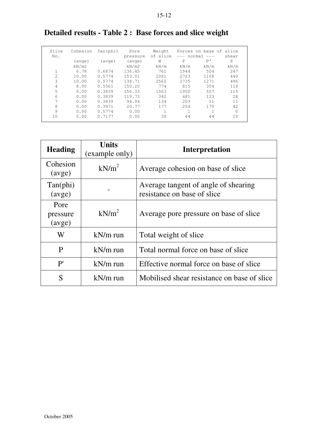| Slice | Cohesion | Tan(phi)        | Pore            | Weight   |        | Forces on base of slice |       |
|-------|----------|-----------------|-----------------|----------|--------|-------------------------|-------|
| No.   |          |                 | pressure        | of slice | normal |                         | shear |
|       | (avge)   | $( \text{ave})$ | $( \text{ave})$ | W        | P      | P'                      | S     |
|       | kN/m2    |                 | kN/m2           | kN/m     | kN/m   | kN/m                    | kN/m  |
|       | 6.78     | 0.6874          | 136.45          | 761      | 1944   | 504                     | 247   |
| 2.    | 10.00    | 0.5774          | 153.01          | 2081     | 2723   | 1108                    | 440   |
| 3     | 10.00    | 0.5774          | 138.71          | 2562     | 2735   | 12.71                   | 496   |
| 4     | 8.90     | 0.5561          | 150.20          | 774      | 815    | 304                     | 118   |
| 5     | 0.00     | 0.3839          | 156.33          | 1563     | 1900   | 507                     | 115   |
| 6     | 0.00     | 0.3839          | 119.73          | 342      | 481    | 123                     | 28    |
| 7     | 0.00     | 0.3839          | 94.04           | 134      | 203    | .51                     | 11    |
| 8     | 0.00     | 0.3971          | 20.77           | 177      | 254    | 179                     | 42    |
| 9     | 0.00     | 0.5774          | 0.00            |          |        |                         |       |
| 10    | 0.00     | 0.7177          | 0.00            | 38       | 44     | 44                      | 19    |

# **Detailed results - Table 2 : Base forces and slice weight**

| <b>Heading</b>              | <b>Units</b><br>(example only) | <b>Interpretation</b>                                               |
|-----------------------------|--------------------------------|---------------------------------------------------------------------|
| Cohesion<br>(avge)          | kN/m <sup>2</sup>              | Average cohesion on base of slice                                   |
| $Tan(\text{phi})$<br>(avge) |                                | Average tangent of angle of shearing<br>resistance on base of slice |
| Pore<br>pressure<br>(avge)  | kN/m <sup>2</sup>              | Average pore pressure on base of slice                              |
| W                           | $kN/m$ run                     | Total weight of slice                                               |
| P                           | $kN/m$ run                     | Total normal force on base of slice                                 |
| P'                          | $kN/m$ run                     | Effective normal force on base of slice                             |
| S                           | $kN/m$ run                     | Mobilised shear resistance on base of slice                         |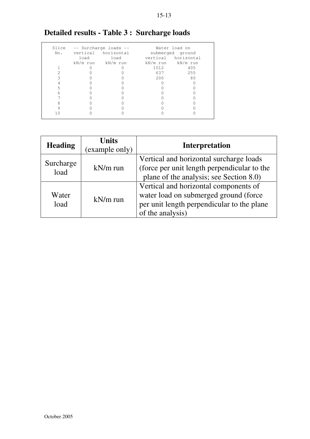| Slice |      |                       |               |                     |  |  |  |
|-------|------|-----------------------|---------------|---------------------|--|--|--|
|       |      | -- Surcharge loads -- | Water load on |                     |  |  |  |
| No.   |      | vertical horizontal   |               | submerged ground    |  |  |  |
|       | load | load                  |               | vertical horizontal |  |  |  |
|       |      | kN/m run kN/m run     |               | kN/m run kN/m run   |  |  |  |
|       |      |                       | 1012          | 405                 |  |  |  |
|       |      |                       | 637           | 255                 |  |  |  |
|       |      |                       | 200           | 80                  |  |  |  |
|       |      |                       |               |                     |  |  |  |
| 5     |      |                       |               |                     |  |  |  |
| 6     |      |                       |               |                     |  |  |  |
|       |      |                       |               |                     |  |  |  |
|       |      |                       |               |                     |  |  |  |
|       |      |                       |               |                     |  |  |  |
|       |      |                       |               |                     |  |  |  |
|       |      |                       |               |                     |  |  |  |

# **Detailed results - Table 3 : Surcharge loads**

| <b>Heading</b>    | <b>Units</b><br>(example only) | <b>Interpretation</b>                                                                                                                            |
|-------------------|--------------------------------|--------------------------------------------------------------------------------------------------------------------------------------------------|
| Surcharge<br>load | $kN/m$ run                     | Vertical and horizontal surcharge loads<br>(force per unit length perpendicular to the<br>plane of the analysis; see Section 8.0)                |
| Water<br>load     | $kN/m$ run                     | Vertical and horizontal components of<br>water load on submerged ground (force<br>per unit length perpendicular to the plane<br>of the analysis) |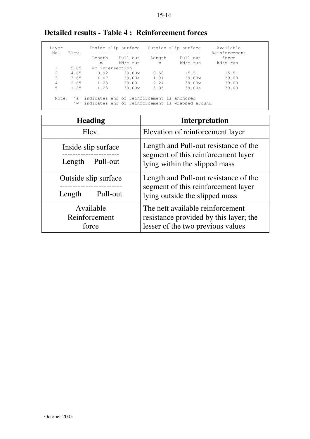| Laver<br>No. | Elev. |                 | Inside slip surface                            |             | Outside slip surface                                 | Available<br>Reinforcement |  |  |
|--------------|-------|-----------------|------------------------------------------------|-------------|------------------------------------------------------|----------------------------|--|--|
|              |       | Length<br>m     | Pull-out<br>kN/m run                           | Length<br>m | Pull-out<br>kN/m run                                 | force<br>kN/m run          |  |  |
|              | 5.65  | No intersection |                                                |             |                                                      |                            |  |  |
| 2.           | 4.65  | 0.92            | 39.00w                                         | 0.58        | 15.51                                                | 15.51                      |  |  |
| 3            | 3.65  | 1.07            | 39.00a                                         | 1.91        | 39.00w                                               | 39.00                      |  |  |
| 4            | 2.65  | 1.23            | 39.00                                          | 2.24        | 39.00w                                               | 39.00                      |  |  |
| 5            | 1.85  | 1.23            | 39.00w                                         | 3.05        | 39.00a                                               | 39.00                      |  |  |
| Note:        |       |                 | 'a' indicates end of reinforcement is anchored |             | 'w' indicates end of reinforcement is wrapped around |                            |  |  |

# **Detailed results - Table 4 : Reinforcement forces**

| <b>Heading</b>       | Interpretation                         |  |  |  |  |
|----------------------|----------------------------------------|--|--|--|--|
| Elev.                | Elevation of reinforcement layer       |  |  |  |  |
| Inside slip surface  | Length and Pull-out resistance of the  |  |  |  |  |
| Length               | segment of this reinforcement layer    |  |  |  |  |
| Pull-out             | lying within the slipped mass          |  |  |  |  |
| Outside slip surface | Length and Pull-out resistance of the  |  |  |  |  |
| Pull-out             | segment of this reinforcement layer    |  |  |  |  |
| Length               | lying outside the slipped mass         |  |  |  |  |
| Available            | The nett available reinforcement       |  |  |  |  |
| Reinforcement        | resistance provided by this layer; the |  |  |  |  |
| force                | lesser of the two previous values      |  |  |  |  |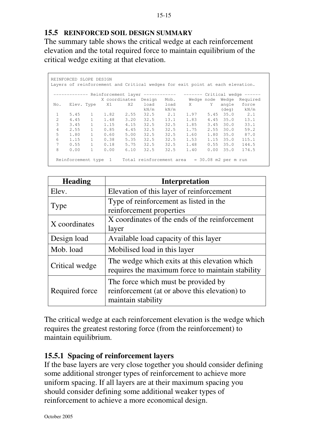### **15.5 REINFORCED SOIL DESIGN SUMMARY**

The summary table shows the critical wedge at each reinforcement elevation and the total required force to maintain equilibrium of the critical wedge exiting at that elevation.

|                                                                            | REINFORCED SLOPE DESIGN<br>Layers of reinforcement and Critical wedges for exit point at each elevation. |              |               |      |        |      |            |      |             |          |
|----------------------------------------------------------------------------|----------------------------------------------------------------------------------------------------------|--------------|---------------|------|--------|------|------------|------|-------------|----------|
| ----------- Reinforcement layer ------------ ------- Critical wedge ------ |                                                                                                          |              |               |      |        |      |            |      |             |          |
|                                                                            |                                                                                                          |              | X coordinates |      | Design | Mob. | Wedge node |      | Wedge       | Required |
| No.                                                                        | Elev. Type                                                                                               |              | X1            | X2   | load   | load | X          | Y    | angle       | force    |
|                                                                            |                                                                                                          |              |               |      | kN/m   | kN/m |            |      | (deq)       | kN/m     |
| $\mathbf{1}$                                                               | 5.45                                                                                                     | $\mathbf{1}$ | 1.82          | 2.55 | 32.5   | 2.1  | 1.97       |      | $5.45$ 35.0 | 2.1      |
| $\mathcal{L}$                                                              | 4.45                                                                                                     | $\mathbf{1}$ | 1.48          | 3.20 | 32.5   | 13.1 | 1.83       |      | $4.45$ 35.0 | 13.1     |
| 3                                                                          | 3.45                                                                                                     | $\mathbf{1}$ | 1.15          | 4.15 | 32.5   | 32.5 | 1.85       |      | $3.45$ 30.0 | 33.1     |
| 4                                                                          | 2.55                                                                                                     | $\mathbf{1}$ | 0.85          | 4.45 | 32.5   | 32.5 | 1.75       |      | $2.55$ 30.0 | 59.2     |
| 5                                                                          | 1.80                                                                                                     | 1            | 0.60          | 5.00 | 32.5   | 32.5 | 1.60       |      | 1.80 35.0   | 87.0     |
| 6                                                                          | 1.15                                                                                                     | $\mathbf{1}$ | 0.38          | 5.35 | 32.5   | 32.5 | 1.53       |      | $1.15$ 35.0 | 115.1    |
| 7                                                                          | 0.55                                                                                                     | $\mathbf{1}$ | 0.18          | 5.75 | 32.5   | 32.5 | 1.48       |      | $0.55$ 35.0 | 144.5    |
| 8                                                                          | 0.00                                                                                                     | $\mathbf{1}$ | 0.00          | 6.10 | 32.5   | 32.5 | 1.40       | 0.00 | 35.0        | 174.5    |
|                                                                            | Total reinforcement area<br>$= 30.08$ m2 per m run<br>Reinforcement type                                 |              |               |      |        |      |            |      |             |          |

| <b>Heading</b> | <b>Interpretation</b>                                                                                      |
|----------------|------------------------------------------------------------------------------------------------------------|
| Elev.          | Elevation of this layer of reinforcement                                                                   |
| Type           | Type of reinforcement as listed in the<br>reinforcement properties                                         |
| X coordinates  | X coordinates of the ends of the reinforcement<br>layer                                                    |
| Design load    | Available load capacity of this layer                                                                      |
| Mob. load      | Mobilised load in this layer                                                                               |
| Critical wedge | The wedge which exits at this elevation which<br>requires the maximum force to maintain stability          |
| Required force | The force which must be provided by<br>reinforcement (at or above this elevation) to<br>maintain stability |

The critical wedge at each reinforcement elevation is the wedge which requires the greatest restoring force (from the reinforcement) to maintain equilibrium.

### **15.5.1 Spacing of reinforcement layers**

If the base layers are very close together you should consider defining some additional stronger types of reinforcement to achieve more uniform spacing. If all layers are at their maximum spacing you should consider defining some additional weaker types of reinforcement to achieve a more economical design.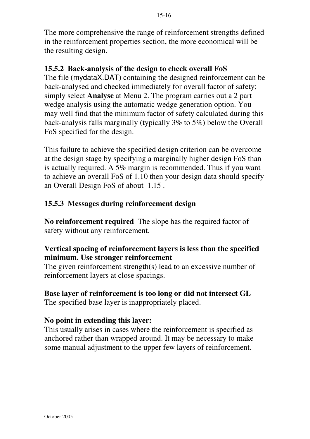The more comprehensive the range of reinforcement strengths defined in the reinforcement properties section, the more economical will be the resulting design.

# **15.5.2 Back-analysis of the design to check overall FoS**

The file (mydataX.DAT) containing the designed reinforcement can be back-analysed and checked immediately for overall factor of safety; simply select **Analyse** at Menu 2. The program carries out a 2 part wedge analysis using the automatic wedge generation option. You may well find that the minimum factor of safety calculated during this back-analysis falls marginally (typically 3% to 5%) below the Overall FoS specified for the design.

This failure to achieve the specified design criterion can be overcome at the design stage by specifying a marginally higher design FoS than is actually required. A 5% margin is recommended. Thus if you want to achieve an overall FoS of 1.10 then your design data should specify an Overall Design FoS of about 1.15 .

# **15.5.3 Messages during reinforcement design**

**No reinforcement required** The slope has the required factor of safety without any reinforcement.

# **Vertical spacing of reinforcement layers is less than the specified minimum. Use stronger reinforcement**

The given reinforcement strength(s) lead to an excessive number of reinforcement layers at close spacings.

# **Base layer of reinforcement is too long or did not intersect GL**

The specified base layer is inappropriately placed.

# **No point in extending this layer:**

This usually arises in cases where the reinforcement is specified as anchored rather than wrapped around. It may be necessary to make some manual adjustment to the upper few layers of reinforcement.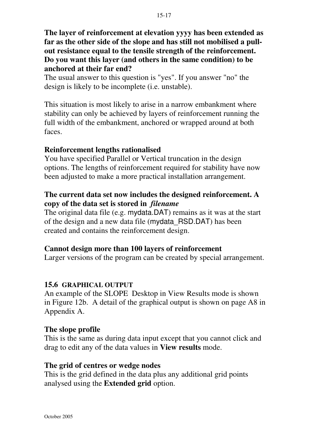**The layer of reinforcement at elevation yyyy has been extended as far as the other side of the slope and has still not mobilised a pullout resistance equal to the tensile strength of the reinforcement. Do you want this layer (and others in the same condition) to be anchored at their far end?**

The usual answer to this question is "yes". If you answer "no" the design is likely to be incomplete (i.e. unstable).

This situation is most likely to arise in a narrow embankment where stability can only be achieved by layers of reinforcement running the full width of the embankment, anchored or wrapped around at both faces.

## **Reinforcement lengths rationalised**

You have specified Parallel or Vertical truncation in the design options. The lengths of reinforcement required for stability have now been adjusted to make a more practical installation arrangement.

# **The current data set now includes the designed reinforcement. A copy of the data set is stored in** *filename*

The original data file (e.g. mydata.DAT) remains as it was at the start of the design and a new data file (mydata\_RSD.DAT) has been created and contains the reinforcement design.

# **Cannot design more than 100 layers of reinforcement**

Larger versions of the program can be created by special arrangement.

### **15.6 GRAPHICAL OUTPUT**

An example of the SLOPE Desktop in View Results mode is shown in Figure 12b. A detail of the graphical output is shown on page A8 in Appendix A.

### **The slope profile**

This is the same as during data input except that you cannot click and drag to edit any of the data values in **View results** mode.

### **The grid of centres or wedge nodes**

This is the grid defined in the data plus any additional grid points analysed using the **Extended grid** option.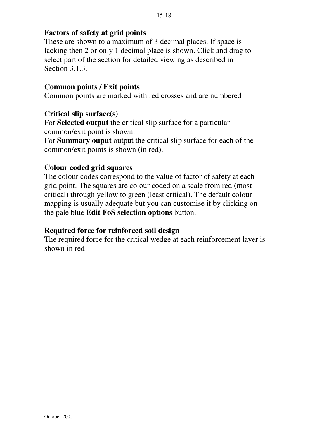# **Factors of safety at grid points**

These are shown to a maximum of 3 decimal places. If space is lacking then 2 or only 1 decimal place is shown. Click and drag to select part of the section for detailed viewing as described in Section 3.1.3.

## **Common points / Exit points**

Common points are marked with red crosses and are numbered

## **Critical slip surface(s)**

For **Selected output** the critical slip surface for a particular common/exit point is shown.

For **Summary ouput** output the critical slip surface for each of the common/exit points is shown (in red).

# **Colour coded grid squares**

The colour codes correspond to the value of factor of safety at each grid point. The squares are colour coded on a scale from red (most critical) through yellow to green (least critical). The default colour mapping is usually adequate but you can customise it by clicking on the pale blue **Edit FoS selection options** button.

# **Required force for reinforced soil design**

The required force for the critical wedge at each reinforcement layer is shown in red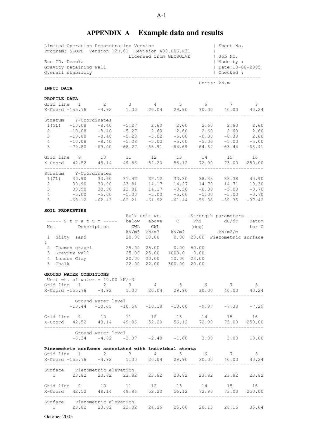# **APPENDIX A Example data and results**

|                     | Limited Operation Demonstration Version<br>Program: SLOPE Version 12R.01 Revision A09.B06.R31 |                    |                   |         |                        |             | Sheet No.                                                                                                                                          |                         |
|---------------------|-----------------------------------------------------------------------------------------------|--------------------|-------------------|---------|------------------------|-------------|----------------------------------------------------------------------------------------------------------------------------------------------------|-------------------------|
| Run ID. Demo9a      | Gravity retaining wall                                                                        |                    |                   |         | Licensed from GEOSOLVE |             | Job No.<br>  Made by :<br>  Date: 10-08-2005                                                                                                       |                         |
|                     | Overall stability                                                                             |                    |                   |         |                        |             | Checked :                                                                                                                                          |                         |
| INPUT DATA          |                                                                                               |                    |                   |         |                        |             | Units: kN,m                                                                                                                                        |                         |
| PROFILE DATA        |                                                                                               |                    |                   |         |                        |             |                                                                                                                                                    |                         |
|                     |                                                                                               |                    |                   |         |                        |             | Grid line $1 2 3 4 5 6 7$<br>$X$ -Coord -155.76 $-4.92$ 1.00   20.04   29.90   30.00   40.00                                                       | 8 <sup>8</sup><br>40.24 |
|                     | Stratum Y-Coordinates                                                                         |                    |                   |         |                        |             |                                                                                                                                                    |                         |
|                     | $1(GL) -10.08$                                                                                | $-8.40$            | $-5.27$ 2.60 2.60 |         |                        |             | 2.60 2.60                                                                                                                                          | 2.60                    |
| 2<br>3 <sup>7</sup> | $-10.08$<br>$-10.08$                                                                          |                    |                   |         |                        |             | $-8.40$ $-5.27$ $2.60$ $2.60$ $2.60$ $2.60$ $2.60$ $2.60$<br>$-8.40$ $-5.28$ $-5.02$ $-5.00$ $-0.30$ $-0.30$ $2.60$                                |                         |
| $4\degree$          |                                                                                               |                    |                   |         |                        |             | $-10.08$ $-8.40$ $-5.28$ $-5.02$ $-5.00$ $-5.00$ $-5.00$ $-5.00$                                                                                   |                         |
| $5 -$               | $-79.80$                                                                                      | $-69.00$           |                   |         |                        |             | $-68.27 -65.91 -64.69 -64.67 -63.44 -63.41$                                                                                                        |                         |
|                     | Grid line 9 10                                                                                |                    | 11 12 13 14       |         |                        |             | 15                                                                                                                                                 | 16                      |
|                     | X-Coord 42.52 48.14                                                                           |                    | 49.86             | 52.20   |                        | 56.12 72.90 | 73.00                                                                                                                                              | 250.00                  |
|                     | Stratum Y-Coordinates                                                                         |                    |                   |         |                        |             |                                                                                                                                                    |                         |
|                     | $1(GL)$ $30.90$ $30.90$                                                                       |                    | 31.42 32.12       |         |                        | 33.30 38.35 | 38.38                                                                                                                                              | 40.90                   |
| $\mathbf{2}$        |                                                                                               |                    |                   |         |                        |             | $30.90$ $30.90$ $23.81$ $14.17$ $14.27$ $14.70$ $14.71$ $19.30$<br>$30.90$ $30.90$ $23.81$ $14.17$ $-0.30$ $-0.30$ $-5.00$ $-0.70$                 |                         |
| $3^{\circ}$         |                                                                                               |                    |                   |         |                        |             |                                                                                                                                                    |                         |
| $4\degree$          |                                                                                               |                    |                   |         |                        |             | $-5.00$ $-5.00$ $-5.00$ $-5.00$ $-5.00$ $-5.00$ $-5.00$ $-5.00$ $-0.70$                                                                            |                         |
| $5 -$               | $-63.12 -62.43$                                                                               |                    |                   |         |                        |             | $-62.21 -61.92 -61.44 -59.36 -59.35 -37.42$                                                                                                        |                         |
| SOIL PROPERTIES     |                                                                                               |                    |                   |         |                        |             |                                                                                                                                                    |                         |
|                     | ----- Stratum ----- below above                                                               |                    |                   |         | $\overline{C}$         |             | Bulk unit wt. -------Strength parameters-------<br>Phi dC/dY                                                                                       | Datum                   |
|                     | No. Description                                                                               |                    |                   | GWL GWL |                        | (deq)       |                                                                                                                                                    | for C                   |
|                     |                                                                                               |                    |                   |         | kN/m3 kN/m3 kN/m2      |             | kN/m2/m                                                                                                                                            |                         |
|                     | 1 Silty sand                                                                                  |                    | 20.00             | 19.00   | 0.00                   |             | 28.00 Piezometric surface                                                                                                                          |                         |
| 1<br>$\mathbf{2}$   | Thames gravel                                                                                 |                    | 25.00             |         | 25.00 0.00             | 50.00       |                                                                                                                                                    |                         |
| 3                   | Gravity wall                                                                                  |                    | 25.00             | 25.00   | 1000.0 0.00            |             |                                                                                                                                                    |                         |
| 4                   | London Clay                                                                                   |                    | 20.00             | 20.00   | 10.00                  | 23.00       |                                                                                                                                                    |                         |
| 5<br>Chalk          |                                                                                               |                    | 22.00             | 22.00   | 300.00                 | 20.00       |                                                                                                                                                    |                         |
|                     | GROUND WATER CONDITIONS                                                                       |                    |                   |         |                        |             |                                                                                                                                                    |                         |
|                     | Unit wt. of water = $10.00$ kN/m3                                                             |                    |                   |         |                        |             |                                                                                                                                                    |                         |
|                     | Grid line $1$ 2 3                                                                             |                    |                   |         |                        |             | 4 5 6 7 8                                                                                                                                          |                         |
|                     |                                                                                               |                    |                   |         |                        |             |                                                                                                                                                    |                         |
|                     |                                                                                               | Ground water level |                   |         |                        |             |                                                                                                                                                    |                         |
|                     |                                                                                               |                    |                   |         |                        |             | $-13.44$ $-10.65$ $-10.54$ $-10.18$ $-10.00$ $-9.97$ $-7.38$ $-7.29$                                                                               |                         |
|                     |                                                                                               |                    |                   |         |                        |             | Grid line 9 10 11 12 13 14 15 16                                                                                                                   |                         |
|                     |                                                                                               |                    |                   |         |                        |             | X-Coord 42.52 48.14 49.86 52.20 56.12 72.90 73.00 250.00<br>.com/notation/notation/notation/notation/notation/notation/notation/notation/notation/ |                         |
|                     | Ground water level                                                                            |                    |                   |         |                        |             |                                                                                                                                                    |                         |
|                     |                                                                                               |                    |                   |         |                        |             | $-6.34$ $-4.02$ $-3.37$ $-2.48$ $-1.00$ $3.00$ $3.00$ $10.00$                                                                                      |                         |
|                     | Piezometric surfaces associated with individual strata                                        |                    |                   |         |                        |             |                                                                                                                                                    |                         |
|                     | Grid line $1$ 2 3                                                                             |                    |                   |         |                        |             | $4 \qquad 5 \qquad 6 \qquad 7 \qquad 8$                                                                                                            |                         |
|                     |                                                                                               |                    |                   |         |                        |             |                                                                                                                                                    |                         |
|                     | Surface Piezometric elevation                                                                 |                    |                   |         |                        |             |                                                                                                                                                    |                         |
|                     |                                                                                               |                    |                   |         |                        |             | 1 23.82 23.82 23.82 23.82 23.82 23.82 23.82 23.82 23.82                                                                                            |                         |
|                     |                                                                                               |                    |                   |         |                        |             | Grid line 9 10 11 12 13 14 15                                                                                                                      | 16                      |

X-Coord 42.52 48.14 49.86 52.20 56.12 72.90 73.00 250.00 ------------------------------------------------------------------------------

1 23.82 23.82 23.82 24.26 25.00 28.15 28.15 35.64

A-1

Surface Piezometric elevation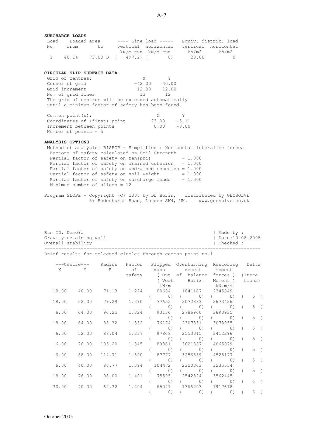#### **SURCHARGE LOADS**

| Load | Loaded area |      |                    |                     | ---- Line load ----- Equiv. distrib. load |                     |
|------|-------------|------|--------------------|---------------------|-------------------------------------------|---------------------|
| No.  | from        | to t |                    | vertical horizontal |                                           | vertical horizontal |
|      |             |      |                    | kN/m run kN/m run   | kN/m2                                     | kN/m2               |
|      | 48.14       |      | 73.00 D ( 497.2) ( | (1)                 | 20.00                                     |                     |

#### **CIRCULAR SLIP SURFACE DATA**

| Grid of centres:                                   | X        | Y     |
|----------------------------------------------------|----------|-------|
| Corner of grid                                     | $-42.00$ | 40.00 |
| Grid increment                                     | 12.00    | 12.00 |
| No. of grid lines                                  | 13       | 12    |
| The grid of centres will be extended automatically |          |       |
| until a minimum factor of safety has been found.   |          |       |

| Common $point(s)$ :          | X     | Y       |
|------------------------------|-------|---------|
| Coordinates of (first) point | 73.00 | $-5.11$ |
| Increment between points     | 0.00  | $-8.00$ |
| Number of points $= 5$       |       |         |

#### **ANALYSIS OPTIONS**

 Method of analysis: BISHOP - Simplified : Horizontal interslice forces Factors of safety calculated on Soil Strength Partial factor of safety on  $tan(phi)$  = 1.000 Partial factor of safety on drained cohesion  $= 1.000$ Partial factor of safety on undrained cohesion =  $1.000$ <br>Partial factor of safety on soil weight =  $1.000$ Partial factor of safety on soil weight Partial factor of safety on surcharge loads =  $1.000$ Minimum number of slices = 12

Program SLOPE - Copyright (C) 2005 by DL Borin, distributed by GEOSOLVE 69 Rodenhurst Road, London SW4, UK. www.geosolve.co.uk

| Run ID. Demo9a | Gravity retaining wall<br>Overall stability                         |             |       |          |                   |                                                                          |            | Made by :<br>  Date:10-08-2005<br>  Checked : |            |       |               |
|----------------|---------------------------------------------------------------------|-------------|-------|----------|-------------------|--------------------------------------------------------------------------|------------|-----------------------------------------------|------------|-------|---------------|
|                | Brief results for selected circles through common point no.1        |             |       |          |                   |                                                                          |            |                                               |            |       |               |
| X              | ---Centre--- Radius Factor Slipped Overturning Restoring Delta<br>Y | R           |       |          | of mass           | moment moment                                                            |            |                                               |            |       |               |
|                |                                                                     |             |       |          | kN/m              | safety (Out of balance forces) (Itera<br>(Vert. Horiz.<br>$kN \cdot m/m$ |            | Moment) tions)                                |            |       |               |
| 18.00          | 40.00                                                               | 71.13       | 1.274 |          |                   | 80684 1841167 2345849                                                    |            |                                               |            |       |               |
| 18.00          | 52.00                                                               | 79.29       | 1.290 |          |                   | ( 0) ( 0) ( 0) ( 0) (<br>77655 2072883 2673426                           |            |                                               |            | $5$ ) |               |
| 6.00           | 64.00                                                               | 96.25       | 1.324 |          |                   | $(0)$ $(0)$<br>93136 2786960 3690935                                     |            | $($ 0)                                        | $\left($   | $5$ ) |               |
| 18.00          | 64.00                                                               | 88.32       | 1.332 |          | (0)<br>$\sqrt{2}$ | $($ 0) $($ 0)<br>76174 2307331 3073955                                   |            |                                               | $\sqrt{2}$ | $5$ ) |               |
| 6.00           | 52.00                                                               | 88.04       | 1.337 |          | $\sqrt{2}$        | $(0)$ $($ 0) $($<br>97868 2553015 3412296                                |            | (0)                                           | $\left($   | 6)    |               |
| 6.00           | 76.00                                                               | 105.20      | 1.345 |          |                   | ( 0) ( 0) ( 0)<br>89861 3021387 4065079                                  |            |                                               | $\left($   | $5$ ) |               |
|                |                                                                     |             |       | $\left($ |                   | $\begin{pmatrix} 0 \\ 0 \end{pmatrix}$<br>$\circ$ )                      |            | $($ 0)                                        | $\left($   | $5$ ) |               |
| 6.00           | 88.00                                                               | 114.71      | 1.390 |          |                   | 87777 3256559 4528177<br>$(0)$ (                                         | $(0)$ (    | 0)                                            | $\left($   | $5$ ) |               |
| 6.00           | 40.00                                                               | 80.77       | 1.394 |          |                   | 104472 2320363 3235554                                                   |            |                                               |            |       |               |
| 18.00          | 76.00                                                               | 98.00       | 1.401 |          |                   | ( 0) ( 0) ( 0)<br>75595 2542824 3562445                                  |            | 0)                                            | $\left($   | $5$ ) |               |
| 30.00          |                                                                     | 40.00 62.32 |       |          |                   | $(0)$ $(0)$<br>1.404 65041 1366203 1917618                               |            | $($ 0)                                        | $\left($   | 6)    |               |
|                |                                                                     |             |       |          | (0)               | $\sqrt{2}$<br>(0)                                                        | $\sqrt{2}$ | 0)                                            | $\sqrt{2}$ | 6     | $\rightarrow$ |
|                |                                                                     |             |       |          |                   |                                                                          |            |                                               |            |       |               |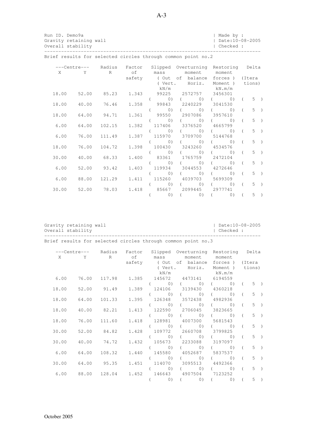|      | Gravity retaining wall<br>Overall stability | Run ID. Demo9a |                                                                                               |  |  |                                                       | Made by :<br>$ $ Date: 10-08-2005<br>  Checked : |       |  |
|------|---------------------------------------------|----------------|-----------------------------------------------------------------------------------------------|--|--|-------------------------------------------------------|--------------------------------------------------|-------|--|
|      |                                             |                | Brief results for selected circles through common point no.2                                  |  |  |                                                       |                                                  |       |  |
|      |                                             |                | ---Centre--- Radius Factor Slipped Overturning Restoring Delta<br>X Y R of mass moment moment |  |  | safety (Out of balance forces) (Itera                 |                                                  |       |  |
|      |                                             |                |                                                                                               |  |  | (Vert. Horiz. Moment) tions)<br>$kN/m$ $kN \cdot m/m$ |                                                  |       |  |
|      |                                             |                | 18.00 52.00 85.23 1.343 99225 2572757 3456301                                                 |  |  | ( 0) ( 0) ( 0) ( 0)                                   |                                                  | $5$ ) |  |
|      |                                             |                | 18.00  40.00  76.46  1.358  99843  2240229  3041530                                           |  |  | $(0)$ $($ $(0)$ $($ $0)$ $($                          |                                                  | $5$ ) |  |
|      |                                             |                | 18.00 64.00 94.71 1.361 99550 2907086 3957610                                                 |  |  | ( 0) ( 0) ( 0) ( 0)                                   |                                                  | $5$ ) |  |
|      |                                             |                | $6.00$ $64.00$ $102.15$                                                                       |  |  | 1.382 117406 3376520 4665799                          |                                                  |       |  |
| 6.00 |                                             |                | 76.00 111.49                                                                                  |  |  | ( 0) ( 0) ( 0) ( 0) (<br>1,387 115970 3709700 5144768 |                                                  | $5$ ) |  |
|      |                                             |                | 18.00 76.00 104.72 1.398 100430 3243260 4534576                                               |  |  | ( 0) ( 0) ( 0) ( 0)                                   |                                                  | $5$ ) |  |
|      |                                             |                | 30.00  40.00  68.33  1.400  83361  1765759  2472104                                           |  |  | $(0)$ $($ $(0)$ $($ $(0)$ $($                         |                                                  | $5$ ) |  |
|      |                                             |                |                                                                                               |  |  | ( 0) ( 0) ( 0) ( 0)                                   |                                                  | $5$ ) |  |

 6.00 52.00 93.42 1.403 119934 3044553 4272646  $($  0)  $($  0)  $($  0)  $($  5  $)$  6.00 88.00 121.29 1.411 115260 4039703 5699309  $($  0)  $($  0)  $($  5  $)$  30.00 52.00 78.03 1.418 85667 2099445 2977741  $($  0)  $($  0)  $($  0)  $($  5  $)$ 

Gravity retaining wall  $\vert$  Date:10-08-2005

Overall stability | Checked :

-----------------------------------------------------------------------------

Brief results for selected circles through common point no.3

|       |                    |                    |  | ---Centre--- Radius Factor Slipped Overturning Restoring Delta |        |                |                 |  |
|-------|--------------------|--------------------|--|----------------------------------------------------------------|--------|----------------|-----------------|--|
|       |                    |                    |  | X Y R of mass moment moment                                    |        |                |                 |  |
|       |                    |                    |  | safety (Out of balance forces) (Itera                          |        |                |                 |  |
|       |                    |                    |  | (Vert. Horiz. Moment) tions)                                   |        |                |                 |  |
|       |                    |                    |  | $kN/m$ $kN \cdot m/m$                                          |        |                |                 |  |
|       |                    |                    |  | 6.00 76.00 117.98 1.385 145672 4473141 6194559                 |        |                |                 |  |
|       |                    |                    |  | $($ 0) $($ 0)                                                  | $($ 0) | $\sqrt{2}$     | $5$ )           |  |
| 18.00 | 52.00 91.49        |                    |  | 1.389 124106 3139430 4360218                                   |        |                |                 |  |
|       |                    |                    |  | ( 0) ( 0) ( 0)                                                 |        |                | $5$ )           |  |
|       |                    | 18.00 64.00 101.33 |  | 1.395 126348 3572438 4982936                                   |        |                |                 |  |
|       |                    |                    |  | ( 0) ( 0) ( 0)                                                 |        | $\sqrt{2}$     | $5 \rightarrow$ |  |
|       |                    | 18.00 40.00 82.21  |  | 1.413 122590 2706045 3823665                                   |        |                |                 |  |
|       |                    |                    |  | ( 0) ( 0) ( 0)                                                 |        |                | $5 \rightarrow$ |  |
|       | 18.00 76.00 111.60 |                    |  | 1.418 128981 4007300 5681543                                   |        |                |                 |  |
|       |                    |                    |  | ( 0) ( 0) ( 0)                                                 |        |                | $5 \rightarrow$ |  |
|       |                    | 30.00 52.00 84.82  |  | 1.428 109772 2660708 3799825                                   |        |                |                 |  |
|       |                    |                    |  | ( 0) ( 0) ( 0)                                                 |        | $\left($       | $5 \rightarrow$ |  |
|       |                    | 30.00 40.00 74.72  |  | 1.432 105673 2233088 3197097                                   |        |                |                 |  |
|       |                    |                    |  | ( 0) ( 0) ( 0)                                                 |        | $\overline{a}$ | $5$ )           |  |
| 6.00  |                    | 64.00 108.32       |  | 1.440 145580 4052687 5837537                                   |        |                |                 |  |
|       |                    |                    |  | ( 0) ( 0) ( 0)                                                 |        | $\sqrt{2}$     | $5 \rightarrow$ |  |
|       |                    | 30.00 64.00 95.35  |  | 1.451 114070 3095513 4492366                                   |        |                |                 |  |
|       |                    |                    |  |                                                                |        |                |                 |  |
|       |                    |                    |  | ( 0) ( 0) ( 0) ( 0) (                                          |        |                | $5 \rightarrow$ |  |
| 6.00  |                    |                    |  | 88.00 128.04 1.452 146643 4907504 7123252                      |        |                |                 |  |
|       |                    |                    |  | $(0)$ $($ $(0)$ $($ $(0)$ $($                                  |        |                | $5$ )           |  |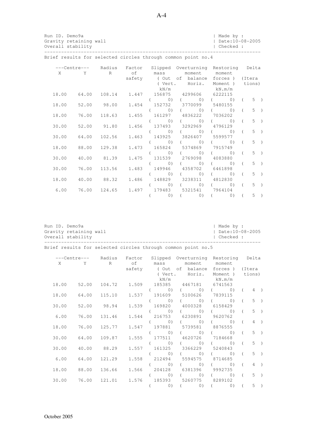| Run ID. Demo9a<br>Gravity retaining wall<br>Overall stability |                    |                    |                                  |                                                                                            | Made by :<br>Date:10-08-2005<br>l Checked : |       |
|---------------------------------------------------------------|--------------------|--------------------|----------------------------------|--------------------------------------------------------------------------------------------|---------------------------------------------|-------|
|                                                               |                    |                    |                                  | Brief results for selected circles through common point no. 4                              |                                             |       |
|                                                               |                    |                    | X Y R of mass                    | ---Centre--- Radius Factor Slipped Overturning Restoring Delta                             | moment moment                               |       |
|                                                               |                    |                    |                                  | safety (Out of balance forces) (Itera<br>(Vert. Horiz.<br>$kN/m$ $kN.m/m$                  | Moment) tions)                              |       |
|                                                               |                    |                    |                                  | 18.00  64.00  108.14  1.447  156875  4299606  6222115<br>$(0)$ $($ $(0)$ $($ $0)$ $($ $5)$ |                                             |       |
|                                                               |                    | 18.00 52.00 98.00  |                                  | 1.454 152732 3770099 5480155<br>$(0)$ $($ $(0)$ $($ $(0)$ $($                              |                                             | $5$ ) |
| 18.00                                                         |                    | 76.00 118.63       |                                  | 1.455 161297 4836222 7036202                                                               |                                             |       |
| 30.00                                                         |                    | 52.00 91.80        |                                  | $\begin{pmatrix} 0 \\ 1 \end{pmatrix}$<br>(0)<br>1.456 137493 3292969 4796129              | $($ 0) (                                    | $5$ ) |
|                                                               |                    | 30.00 64.00 102.56 |                                  | (0)<br>1.463 143925 3826407 5599577                                                        | $($ 0) (                                    | $5$ ) |
|                                                               | 18.00 88.00 129.38 |                    | $\begin{array}{c} 0 \end{array}$ | $($ 0)<br>1.473 165824 5374869 7915749                                                     | $0)$ (                                      | $5$ ) |
|                                                               |                    |                    | 0)                               | $\circ$ )                                                                                  | 0)<br>$\sqrt{2}$                            | $5$ ) |

|  |  | 40.00 88.32 1.486 148829 3238311 4812830       |  |  | 18.00 |
|--|--|------------------------------------------------|--|--|-------|
|  |  | ( 0) ( 0) ( 0) ( 0) ( 5)                       |  |  |       |
|  |  | 6.00 76.00 124.65 1.497 179483 5321541 7964104 |  |  |       |
|  |  | ( 0) ( 0) ( 0) ( 5)                            |  |  |       |
|  |  |                                                |  |  |       |
|  |  |                                                |  |  |       |
|  |  |                                                |  |  |       |

( 0) ( 0) ( 0) ( 5 )

 $($  0)  $($  0)  $($  0)  $($  5  $)$ 

30.00 40.00 81.39 1.475 131539 2769098 4083880

30.00 76.00 113.56 1.483 149946 4358702 6461898

| Run ID. Demo9a |                        | Made by :            |
|----------------|------------------------|----------------------|
|                | Gravity retaining wall | $I$ Date: 10-08-2005 |
|                | Overall stability      | l Checked :          |
|                |                        |                      |

Brief results for selected circles through common point no.5

|       | ---Centre--- | Radius | Factor |           | Slipped Overturning Restoring         |                   | Delta          |       |  |
|-------|--------------|--------|--------|-----------|---------------------------------------|-------------------|----------------|-------|--|
| X     | Y            | R      | of     | mass      | moment                                | moment            |                |       |  |
|       |              |        |        |           | safety (Out of balance forces) (Itera |                   |                |       |  |
|       |              |        |        |           | (Vert. Horiz.                         | Moment )          | tions)         |       |  |
|       |              |        |        | kN/m      |                                       | kN.m/m            |                |       |  |
| 18.00 | 52.00        | 104.72 | 1.509  |           | 185385 4467181                        | 6741563           |                |       |  |
|       |              |        |        | $\circ$ ) | (0)                                   | 0)                | $\left($       | $4$ ) |  |
| 18.00 | 64.00        | 115.10 |        |           | 1.537 191609 5100626 7839115          |                   |                |       |  |
|       |              |        |        | $\circ$ ) | $\left( 0\right)$                     | $\left( 0\right)$ | $\sqrt{2}$     | $5$ ) |  |
| 30.00 | 52.00        | 98.94  |        |           | 1.539 169820 4000328 6158429          |                   |                |       |  |
|       |              |        |        | $\circ$ ) | $($ 0)                                | 0)                | $\sqrt{2}$     | $5$ ) |  |
| 6.00  | 76.00        | 131.46 |        |           | 1.544 216753 6230891                  | 9620762           |                |       |  |
|       |              |        |        |           | $(0)$ $($ 0)                          | $\circ$ )         | $\overline{a}$ | $4$ ) |  |
| 18.00 | 76.00        | 125.77 |        |           | 1.547 197881 5739581                  | 8876555           |                |       |  |
|       |              |        |        | $\circ$ ) | $($ 0)                                | 0)                | $\overline{a}$ | $5$ ) |  |
| 30.00 | 64.00        | 109.87 |        |           | 1.555 177511 4620726 7184668          |                   |                |       |  |
|       |              |        |        | $\circ$ ) | $($ 0)                                | $\left( 0\right)$ | $\sqrt{2}$     | $5$ ) |  |
| 30.00 | 40.00        | 88.29  |        |           | 1.557 161325 3366229 5240843          |                   |                |       |  |
|       |              |        |        | (0)       | (0)                                   | $\circ$ )         | $\overline{a}$ | $5$ ) |  |
| 6.00  | 64.00        | 121.29 | 1.558  | 212494    | 5594575 8714685                       |                   |                |       |  |
|       |              |        |        | (0)       | 0)                                    | $\circ$ )         | $\sqrt{2}$     | $4$ ) |  |
| 18.00 | 88.00        | 136.66 | 1.566  |           | 204128 6381396                        | 9992735           |                |       |  |
|       |              |        |        | 0)        | (0)                                   | $\circ$ )         | $\overline{a}$ | $5$ ) |  |
| 30.00 | 76.00        | 121.01 | 1.576  |           | 185393 5260775 8289102                |                   |                |       |  |
|       |              |        |        | $\circ$ ) |                                       | $(0)$ $(0)$       |                | $5$ ) |  |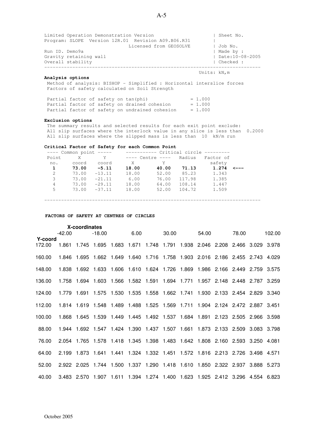Limited Operation Demonstration Version | Sheet No. Program: SLOPE Version 12R.01 Revision A09.B06.R31 | Licensed from GEOSOLVE | Job No. Run ID. Demo9a | Made by : Gravity retaining wall  $\overline{O}$  are  $\overline{O}$  and  $\overline{O}$  are  $\overline{O}$  bate:10-08-2005 Overall stability -----------------------------------------------------------------------------

#### **Analysis options**

 Method of analysis: BISHOP - Simplified : Horizontal interslice forces Factors of safety calculated on Soil Strength

| Partial factor of safety on tan(phi) |                                                | $= 1.000$ |
|--------------------------------------|------------------------------------------------|-----------|
|                                      | Partial factor of safety on drained cohesion   | $= 1.000$ |
|                                      | Partial factor of safety on undrained cohesion | $= 1.000$ |

#### **Exclusion options**

 The summary results and selected results for each exit point exclude: All slip surfaces where the interlock value in any slice is less than 0.2000 All slip surfaces where the slipped mass is less than 10 kN/m run

#### **Critical Factor of Safety for each Common Point**

|               | $---$ Common point $---$ |          | ----------- Critical circle --------- |                  |        |           |  |
|---------------|--------------------------|----------|---------------------------------------|------------------|--------|-----------|--|
| Point         | X                        | Y .      |                                       | ---- Centre ---- | Radius | Factor of |  |
| no.           | coord                    | coord    | X                                     | Y                |        | safety    |  |
| 1             | 73.00                    | $-5.11$  | 18.00                                 | 40.00            | 71.13  | 1.274     |  |
| $\mathcal{L}$ | 73.00                    | $-13.11$ | 18.00                                 | 52.00            | 85.23  | 1.343     |  |
| 3             | 73.00                    | $-21.11$ | 6.00                                  | 76.00            | 117.98 | 1.385     |  |
| 4             | 73.00                    | $-29.11$ | 18.00                                 | 64.00            | 108.14 | 1.447     |  |
| 5             | 73.00                    | $-37.11$ | 18.00                                 | 52.00            | 104.72 | 1.509     |  |
|               |                          |          |                                       |                  |        |           |  |
|               |                          |          |                                       |                  |        |           |  |

#### **FACTORS OF SAFETY AT CENTRES OF CIRCLES**

|                   |          | X-coordinates |             |                            |                               |             |       |                                                                                           |       |                               |             |
|-------------------|----------|---------------|-------------|----------------------------|-------------------------------|-------------|-------|-------------------------------------------------------------------------------------------|-------|-------------------------------|-------------|
|                   | $-42.00$ |               | $-18.00$    |                            | 6.00                          |             | 30.00 |                                                                                           | 54.00 | 78.00                         | 102.00      |
| Y-coord<br>172.00 | 1.861    | 1.745         | 1.695       | 1.683                      | 1.671                         | 1.748 1.791 |       | 1.938                                                                                     |       | 2.046 2.208 2.466 3.029       | 3.978       |
| 160.00            | 1.846    | 1.695         |             |                            |                               |             |       | 1.662  1.649  1.640  1.716  1.758  1.903  2.016  2.186  2.455  2.743  4.029               |       |                               |             |
| 148.00            |          |               |             |                            |                               |             |       | 1.838  1.692  1.633  1.606  1.610  1.624  1.726  1.869  1.986  2.166  2.449  2.759  3.575 |       |                               |             |
| 136.00            |          |               |             |                            |                               |             |       | 1.758  1.694  1.603  1.566  1.582  1.591  1.694  1.771  1.957  2.148  2.448  2.787  3.259 |       |                               |             |
| 124.00            | 1.779    | 1.691         |             |                            |                               |             |       | 1.575 1.530 1.535 1.558 1.662 1.741 1.930 2.133 2.454 2.829 3.340                         |       |                               |             |
| 112.00            | 1.814    |               |             | 1.619  1.548  1.489  1.488 |                               |             |       |                                                                                           |       | 1.904 2.124 2.472 2.887 3.451 |             |
| 100.00            | 1.868    | 1.645         |             |                            |                               |             |       | 1.539  1.449  1.445  1.492  1.537  1.684  1.891  2.123  2.505  2.966  3.598               |       |                               |             |
| 88.00             | 1.944    |               |             |                            |                               |             |       | 1.692 1.547 1.424 1.390 1.437 1.507 1.661 1.873 2.133 2.509 3.083 3.798                   |       |                               |             |
| 76.00             |          |               |             |                            |                               |             |       | 2.054 1.765 1.578 1.418 1.345 1.398 1.483 1.642 1.808 2.160 2.593 3.250 4.081             |       |                               |             |
| 64.00             | 2.199    |               |             |                            |                               |             |       | 1.873 1.641 1.441 1.324 1.332 1.451 1.572 1.816 2.213 2.726 3.498 4.571                   |       |                               |             |
| 52.00             |          | 2.922 2.025   | 1.744 1.500 |                            |                               |             |       | 1.337  1.290  1.418  1.610  1.850  2.322  2.937                                           |       |                               | 3.888 5.273 |
| 40.00             |          | 3.483 2.570   |             |                            | 1.907 1.611 1.394 1.274 1.400 |             |       | 1.623 1.925 2.412 3.296 4.554 6.823                                                       |       |                               |             |

Units: kN,m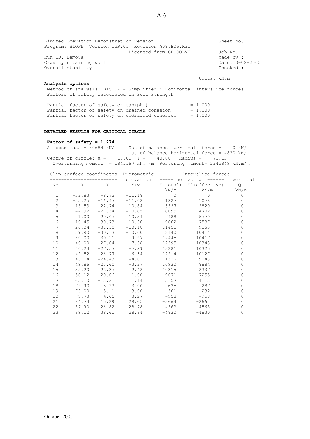Limited Operation Demonstration Version | Sheet No. Program: SLOPE Version 12R.01 Revision A09.B06.R31 | Licensed from GEOSOLVE | Job No. Run ID. Demo9a | Made by :<br>
Gravity retaining wall | Made by : | Date:10-08-2005 Gravity retaining wall  $\overline{O}$  and  $\overline{O}$  are  $\overline{O}$  and  $\overline{O}$  and  $\overline{O}$  are  $\overline{O}$  and  $\overline{O}$  are  $\overline{O}$  and  $\overline{O}$  are  $\overline{O}$  and  $\overline{O}$  are  $\overline{O}$  and  $\overline{O}$  are  $\overline{O}$  and  $\overline{O}$  are  $\overline$ Overall stability ----------------------------------------------------------------------------- Units: kN,m

#### **Analysis options**

 Method of analysis: BISHOP - Simplified : Horizontal interslice forces Factors of safety calculated on Soil Strength

| Partial factor of safety on tan(phi) |                                                | $= 1.000$ |
|--------------------------------------|------------------------------------------------|-----------|
|                                      | Partial factor of safety on drained cohesion   | $= 1.000$ |
|                                      | Partial factor of safety on undrained cohesion | $= 1.000$ |

#### **DETAILED RESULTS FOR CRITICAL CIRCLE**

# Factor of safety = 1.274<br>Slipped mass = 80684 kN/m

Out of balance vertical force =  $0 \text{ kN/m}$  Out of balance horizontal force = 4830 kN/m Centre of circle:  $X = 18.00 Y = 40.00$  Radius = 71.13 Overturning moment =  $1841167$  kN.m/m Restoring moment=  $2345849$  kN.m/m

|                     |         |                    |                                 |                                                                                                                                                                                                                                 | Slip surface coordinates Piezometric ------- Interslice forces ------- |   |
|---------------------|---------|--------------------|---------------------------------|---------------------------------------------------------------------------------------------------------------------------------------------------------------------------------------------------------------------------------|------------------------------------------------------------------------|---|
|                     |         |                    | ------------ elevation          |                                                                                                                                                                                                                                 | ----- horizontal ------ vertical                                       |   |
|                     | No. X   |                    |                                 |                                                                                                                                                                                                                                 | Y Y(w) E(total) E'(effective) Q                                        |   |
|                     |         |                    |                                 |                                                                                                                                                                                                                                 | $kN/m$ $kN/m$ $kN/m$                                                   |   |
| $\mathbf{1}$        |         | $-33.83 - 8.72$    | $-11.18$                        | $\Omega$                                                                                                                                                                                                                        | $\Omega$                                                               | 0 |
| $\overline{c}$      |         |                    | $-25.25 -16.47 -11.02$          | 1227 — 1227 — 1227 — 1227 — 1227 — 1227 — 1227 — 1227 — 1227 — 1227 — 1227 — 1227 — 1227 — 1227 — 1227 — 1227 — 1227 — 1227 — 1227 — 1227 — 1227 — 1227 — 1227 — 1227 — 1227 — 1227 — 1227 — 1227 — 1227 — 1227 — 1227 — 1227 — | 1078                                                                   | 0 |
| 3                   |         |                    | $-15.53 -22.74 -10.84$          | 3527                                                                                                                                                                                                                            | 2820                                                                   | 0 |
| $\sqrt{4}$          | $-4.92$ | $-27.34$           | $-10.65$ 6095                   |                                                                                                                                                                                                                                 | 4702                                                                   | 0 |
| $\mathsf S$         | 1.00    |                    | $-29.07 -10.54$ 7488 5770       |                                                                                                                                                                                                                                 |                                                                        | 0 |
| 6                   | 10.45   |                    | $-30.73 -10.36$ 9662            |                                                                                                                                                                                                                                 | 7587                                                                   | 0 |
| $\boldsymbol{7}$    | 20.04   |                    | $-31.10 -10.18$                 | 11451                                                                                                                                                                                                                           | 9263                                                                   | 0 |
| $\,8\,$             | 29.90   |                    | $-30.13 -10.00$                 | 12440                                                                                                                                                                                                                           | 10414                                                                  | 0 |
| $\mathsf{S}\xspace$ | 30.00   |                    | $-30.11 -9.97$                  | 12445                                                                                                                                                                                                                           | 10417                                                                  | 0 |
| 10                  | 40.00   |                    | $-27.64 -7.38$                  | 12395                                                                                                                                                                                                                           | 10343                                                                  | 0 |
| 11                  | 40.24   | $-27.57$           | $-7.29$                         | 12381                                                                                                                                                                                                                           | 10325                                                                  | 0 |
| 12                  | 42.52   | $-26.77$           | $-6.34$                         | 12214                                                                                                                                                                                                                           | 10127                                                                  | 0 |
| 13                  | 48.14   | $-24.43$           | $-4.02$                         | 11326                                                                                                                                                                                                                           | 9243                                                                   | 0 |
| 14                  | 49.86   | $-23.60$           | $-3.37$                         |                                                                                                                                                                                                                                 | 10930 8884                                                             | 0 |
| 15                  | 52.20   | $-22.37$           | $-2.48$                         |                                                                                                                                                                                                                                 | 10315 8337                                                             | 0 |
| 16                  | 56.12   | $-20.06$           | $-1.00$                         | 9071                                                                                                                                                                                                                            | 7255                                                                   | 0 |
| 17                  | 65.10   |                    | $-13.31$ 1.14                   | 5157                                                                                                                                                                                                                            | 4113                                                                   | 0 |
| 18                  |         |                    | $72.90 -5.23$ 3.00              | 625 629                                                                                                                                                                                                                         | 287                                                                    | 0 |
| 19                  |         | $73.00 -5.11$ 3.00 |                                 | 561                                                                                                                                                                                                                             | 232                                                                    | 0 |
| 20                  |         |                    | $79.73 \t 4.65 \t 3.27 \t -958$ |                                                                                                                                                                                                                                 | $-958$                                                                 | 0 |
| 21                  | 84.74   | 15.39              | 28.65                           | $-2664$                                                                                                                                                                                                                         | $-2664$                                                                | 0 |
| 22                  |         |                    | 87.90 26.82 28.78               | $-4563$                                                                                                                                                                                                                         | $-4563$                                                                | 0 |
| 23                  |         | 89.12 38.61        | 28.84                           | $-4830$                                                                                                                                                                                                                         | $-4830$                                                                | 0 |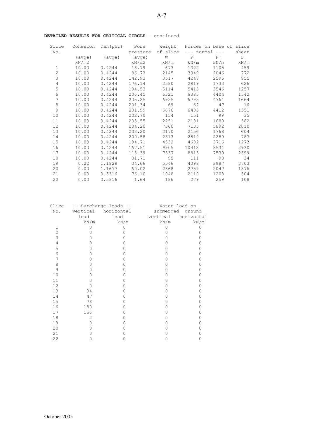| Slice          | Cohesion        | Tan(phi)        | Pore     | Weight   |             | Forces on base of slice |       |
|----------------|-----------------|-----------------|----------|----------|-------------|-------------------------|-------|
| No.            |                 |                 | pressure | of slice | $---$       | normal<br>$-- -$        | shear |
|                | $( \text{ave})$ | $( \text{ave})$ | (avge)   | W        | $\mathbf P$ | P'                      | S     |
|                | kN/m2           |                 | kN/m2    | kN/m     | kN/m        | kN/m                    | kN/m  |
| $\mathbf{1}$   | 10.00           | 0.4244          | 18.79    | 673      | 1322        | 1105                    | 459   |
| $\overline{c}$ | 10.00           | 0.4244          | 86.73    | 2145     | 3049        | 2046                    | 772   |
| 3              | 10.00           | 0.4244          | 142.93   | 3517     | 4248        | 2596                    | 955   |
| $\sqrt{4}$     | 10.00           | 0.4244          | 176.14   | 2530     | 2819        | 1733                    | 626   |
| 5              | 10.00           | 0.4244          | 194.53   | 5114     | 5413        | 3546                    | 1257  |
| 6              | 10.00           | 0.4244          | 206.45   | 6321     | 6385        | 4404                    | 1542  |
| 7              | 10.00           | 0.4244          | 205.25   | 6925     | 6795        | 4761                    | 1664  |
| $\,8\,$        | 10.00           | 0.4244          | 201.34   | 69       | 67          | 47                      | 16    |
| 9              | 10.00           | 0.4244          | 201.99   | 6676     | 6493        | 4412                    | 1551  |
| 10             | 10.00           | 0.4244          | 202.70   | 154      | 151         | 99                      | 35    |
| 11             | 10.00           | 0.4244          | 203.55   | 2251     | 2181        | 1689                    | 582   |
| 12             | 10.00           | 0.4244          | 204.20   | 7360     | 7135        | 5892                    | 2010  |
| 13             | 10.00           | 0.4244          | 203.20   | 2170     | 2156        | 1768                    | 604   |
| 14             | 10.00           | 0.4244          | 200.58   | 2813     | 2819        | 2289                    | 783   |
| 15             | 10.00           | 0.4244          | 194.71   | 4532     | 4602        | 3716                    | 1273  |
| 16             | 10.00           | 0.4244          | 167.51   | 9905     | 10413       | 8531                    | 2930  |
| 17             | 10.00           | 0.4244          | 113.39   | 7837     | 8813        | 7539                    | 2599  |
| 18             | 10.00           | 0.4244          | 81.71    | 95       | 111         | 98                      | 34    |
| 19             | 0.22            | 1.1828          | 34.66    | 5546     | 4398        | 3987                    | 3703  |
| 20             | 0.00            | 1.1677          | 60.02    | 2868     | 2759        | 2047                    | 1876  |
| 21             | 0.00            | 0.5316          | 76.10    | 1048     | 2110        | 1208                    | 504   |
| 22             | 0.00            | 0.5316          | 1.64     | 136      | 279         | 259                     | 108   |

#### **DETAILED RESULTS FOR CRITICAL CIRCLE** - continued

| Slice          |          | -- Surcharge loads -- | Water load on    |            |
|----------------|----------|-----------------------|------------------|------------|
| No.            | vertical | horizontal            | submerged ground |            |
|                | load     | load                  | vertical         | horizontal |
|                | kN/m     | kN/m                  | kN/m             | kN/m       |
| 1              | Ω        |                       |                  | Ω          |
| $\overline{2}$ |          |                       |                  |            |
| 3              |          |                       |                  |            |
| 4              |          |                       |                  |            |
| 5              |          |                       |                  |            |
| 6              |          |                       |                  |            |
| 7              |          |                       |                  |            |
| 8              |          |                       |                  |            |
| 9              |          |                       |                  |            |
| 10             |          |                       |                  | D          |
| 11             |          |                       |                  |            |
| 12             |          |                       |                  |            |
| 13             | 34       |                       |                  |            |
| 14             | 47       |                       |                  |            |
| 15             | 78       |                       |                  |            |
| 16             | 180      |                       |                  |            |
| 17             | 156      |                       |                  |            |
| 18             | 2        |                       |                  |            |
| 19             | O        |                       |                  |            |
| 20             |          |                       |                  |            |
| 21             |          |                       |                  |            |
| 22             |          |                       |                  |            |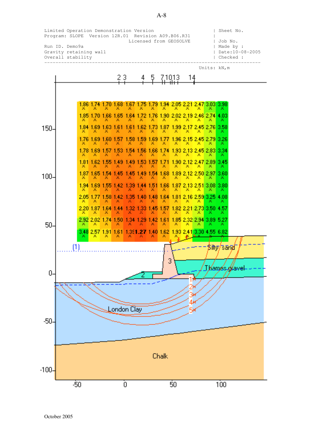

A-8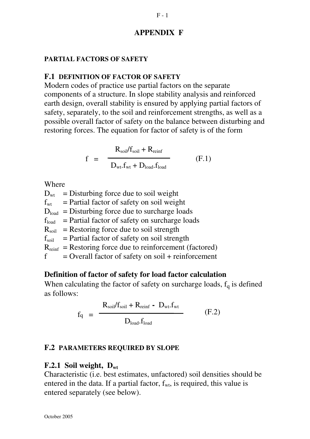## **APPENDIX F**

### **PARTIAL FACTORS OF SAFETY**

### **F.1 DEFINITION OF FACTOR OF SAFETY**

Modern codes of practice use partial factors on the separate components of a structure. In slope stability analysis and reinforced earth design, overall stability is ensured by applying partial factors of safety, separately, to the soil and reinforcement strengths, as well as a possible overall factor of safety on the balance between disturbing and restoring forces. The equation for factor of safety is of the form

$$
f = \frac{R_{\text{soil}}/f_{\text{soil}} + R_{\text{reinf}}}{D_{\text{wt}}.f_{\text{wt}} + D_{\text{load}}.f_{\text{load}}}
$$
(F.1)

Where

 $D_{wt}$  = Disturbing force due to soil weight  $f_{wt}$  = Partial factor of safety on soil weight  $D_{load}$  = Disturbing force due to surcharge loads  $f<sub>load</sub>$  = Partial factor of safety on surcharge loads  $R_{\text{soil}}$  = Restoring force due to soil strength  $f_{\text{soil}}$  = Partial factor of safety on soil strength  $R_{reinf}$  = Restoring force due to reinforcement (factored)  $f =$  Overall factor of safety on soil + reinforcement

# **Definition of factor of safety for load factor calculation**

When calculating the factor of safety on surcharge loads,  $f_q$  is defined as follows:

$$
f_{q} = \frac{R_{\text{soil}}/f_{\text{soil}} + R_{\text{reinf}} - D_{\text{wt}}.f_{\text{wt}}}{D_{\text{load}}.f_{\text{load}}}
$$
(F.2)

### **F.2 PARAMETERS REQUIRED BY SLOPE**

### **F.2.1 Soil weight, Dwt**

Characteristic (i.e. best estimates, unfactored) soil densities should be entered in the data. If a partial factor,  $f_{wt}$ , is required, this value is entered separately (see below).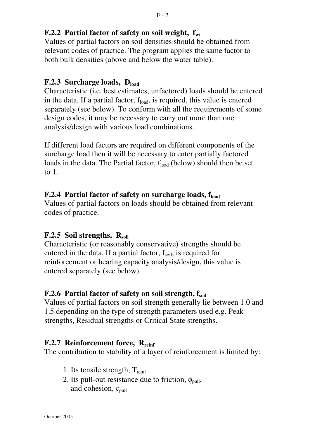## **F.2.2 Partial factor of safety on soil weight, fwt**

Values of partial factors on soil densities should be obtained from relevant codes of practice. The program applies the same factor to both bulk densities (above and below the water table).

## **F.2.3 Surcharge loads, Dload**

Characteristic (i.e. best estimates, unfactored) loads should be entered in the data. If a partial factor,  $f_{load}$ , is required, this value is entered separately (see below). To conform with all the requirements of some design codes, it may be necessary to carry out more than one analysis/design with various load combinations.

If different load factors are required on different components of the surcharge load then it will be necessary to enter partially factored loads in the data. The Partial factor,  $f_{load}$  (below) should then be set to 1.

# **F.2.4 Partial factor of safety on surcharge loads, fload**

Values of partial factors on loads should be obtained from relevant codes of practice.

# **F.2.5 Soil strengths, Rsoil**

Characteristic (or reasonably conservative) strengths should be entered in the data. If a partial factor,  $f_{\text{soil}}$ , is required for reinforcement or bearing capacity analysis/design, this value is entered separately (see below).

### **F.2.6 Partial factor of safety on soil strength, fsoil**

Values of partial factors on soil strength generally lie between 1.0 and 1.5 depending on the type of strength parameters used e.g. Peak strengths, Residual strengths or Critical State strengths.

# **F.2.7 Reinforcement force, Rreinf**

The contribution to stability of a layer of reinforcement is limited by:

- 1. Its tensile strength,  $T_{\text{reinf}}$
- 2. Its pull-out resistance due to friction,  $\phi_{\text{pull}}$ , and cohesion,  $c_{\text{pull}}$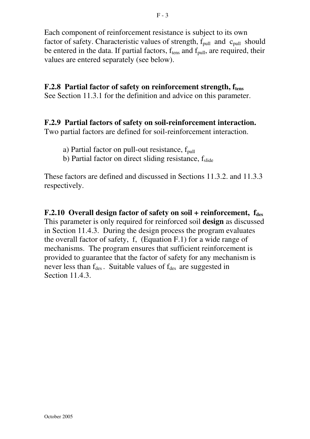Each component of reinforcement resistance is subject to its own factor of safety. Characteristic values of strength,  $f_{\text{pull}}$  and  $c_{\text{pull}}$  should be entered in the data. If partial factors, f<sub>tens</sub> and f<sub>pull</sub>, are required, their values are entered separately (see below).

# **F.2.8 Partial factor of safety on reinforcement strength, ftens**

See Section 11.3.1 for the definition and advice on this parameter.

## **F.2.9 Partial factors of safety on soil-reinforcement interaction.**

Two partial factors are defined for soil-reinforcement interaction.

- a) Partial factor on pull-out resistance,  $f_{pull}$
- b) Partial factor on direct sliding resistance, fslide

These factors are defined and discussed in Sections 11.3.2. and 11.3.3 respectively.

**F.2.10 Overall design factor of safety on soil + reinforcement, f<sub>des</sub>** This parameter is only required for reinforced soil **design** as discussed in Section 11.4.3. During the design process the program evaluates the overall factor of safety, f, (Equation F.1) for a wide range of mechanisms. The program ensures that sufficient reinforcement is provided to guarantee that the factor of safety for any mechanism is never less than  $f_{des}$ . Suitable values of  $f_{des}$  are suggested in Section 11.4.3.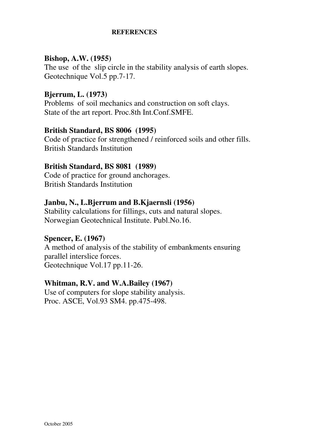### **REFERENCES**

### **Bishop, A.W. (1955)**

The use of the slip circle in the stability analysis of earth slopes. Geotechnique Vol.5 pp.7-17.

### **Bjerrum, L. (1973)**

Problems of soil mechanics and construction on soft clays. State of the art report. Proc.8th Int.Conf.SMFE.

### **British Standard, BS 8006 (1995)**

Code of practice for strengthened / reinforced soils and other fills. British Standards Institution

### **British Standard, BS 8081 (1989)**

Code of practice for ground anchorages. British Standards Institution

### **Janbu, N., L.Bjerrum and B.Kjaernsli (1956)**

Stability calculations for fillings, cuts and natural slopes. Norwegian Geotechnical Institute. Publ.No.16.

## **Spencer, E. (1967)**

A method of analysis of the stability of embankments ensuring parallel interslice forces. Geotechnique Vol.17 pp.11-26.

### **Whitman, R.V. and W.A.Bailey (1967)**

Use of computers for slope stability analysis. Proc. ASCE, Vol.93 SM4. pp.475-498.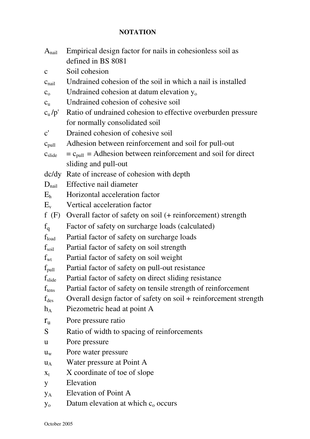### **NOTATION**

| A <sub>nail</sub>  | Empirical design factor for nails in cohesionless soil as               |
|--------------------|-------------------------------------------------------------------------|
|                    | defined in BS 8081                                                      |
| $\mathbf{C}$       | Soil cohesion                                                           |
| $c_{\text{nail}}$  | Undrained cohesion of the soil in which a nail is installed             |
| C <sub>o</sub>     | Undrained cohesion at datum elevation y <sub>o</sub>                    |
| $c_{\rm u}$        | Undrained cohesion of cohesive soil                                     |
| c <sub>u</sub> /p' | Ratio of undrained cohesion to effective overburden pressure            |
|                    | for normally consolidated soil                                          |
| $\mathbf{c}'$      | Drained cohesion of cohesive soil                                       |
| $C_{pull}$         | Adhesion between reinforcement and soil for pull-out                    |
| c <sub>slide</sub> | $=c_{\text{pull}} =$ Adhesion between reinforcement and soil for direct |
|                    | sliding and pull-out                                                    |
|                    | dc/dy Rate of increase of cohesion with depth                           |
| $D_{\text{nail}}$  | Effective nail diameter                                                 |
| E <sub>h</sub>     | Horizontal acceleration factor                                          |
| $E_v$              | Vertical acceleration factor                                            |
| f(F)               | Overall factor of safety on soil (+ reinforcement) strength             |
| $f_q$              | Factor of safety on surcharge loads (calculated)                        |
| $f_{load}$         | Partial factor of safety on surcharge loads                             |
| $f_{\rm soil}$     | Partial factor of safety on soil strength                               |
| $f_{\rm wt}$       | Partial factor of safety on soil weight                                 |
| $f_{pull}$         | Partial factor of safety on pull-out resistance                         |
| $f_{\rm slide}$    | Partial factor of safety on direct sliding resistance                   |
| $f_{tens}$         | Partial factor of safety on tensile strength of reinforcement           |
| $f_{des}$          | Overall design factor of safety on soil + reinforcement strength        |
| $h_A$              | Piezometric head at point A                                             |
| $r_{\rm u}$        | Pore pressure ratio                                                     |
| S                  | Ratio of width to spacing of reinforcements                             |
| $\mathbf{u}$       | Pore pressure                                                           |
| $u_{w}$            | Pore water pressure                                                     |
| $u_A$              | Water pressure at Point A                                               |
| $X_t$              | X coordinate of toe of slope                                            |
| y                  | Elevation                                                               |
| УA                 | Elevation of Point A                                                    |
| $y_{o}$            | Datum elevation at which $c_0$ occurs                                   |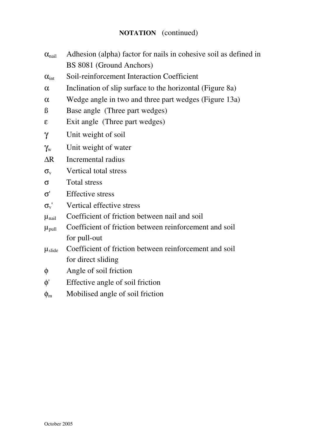## **NOTATION** (continued)

- $\alpha_{\text{mail}}$  Adhesion (alpha) factor for nails in cohesive soil as defined in BS 8081 (Ground Anchors)
- $\alpha_{\text{int}}$  Soil-reinforcement Interaction Coefficient
- $\alpha$  Inclination of slip surface to the horizontal (Figure 8a)
- α Wedge angle in two and three part wedges (Figure 13a)
- ß Base angle (Three part wedges)
- ε Exit angle (Three part wedges)
- γ Unit weight of soil
- $\gamma_{w}$  Unit weight of water
- ∆R Incremental radius
- $\sigma_{v}$  Vertical total stress
- σ Total stress
- σ' Effective stress
- $\sigma_{v}$ ' Vertical effective stress
- $\mu_{\text{nail}}$  Coefficient of friction between nail and soil
- $\mu_{\text{pull}}$  Coefficient of friction between reinforcement and soil for pull-out
- µslide Coefficient of friction between reinforcement and soil for direct sliding
- φ Angle of soil friction
- φ' Effective angle of soil friction
- $\phi_{\rm m}$  Mobilised angle of soil friction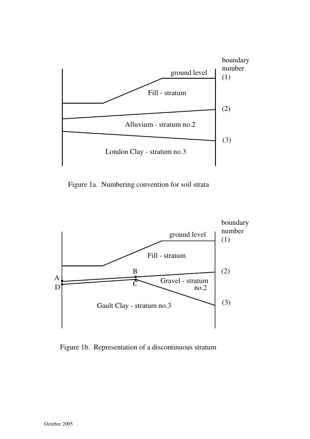

Figure 1a. Numbering convention for soil strata



Figure 1b. Representation of a discontinuous stratum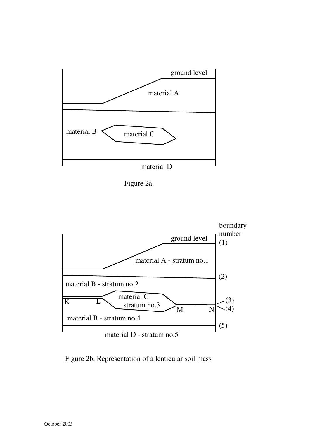





Figure 2b. Representation of a lenticular soil mass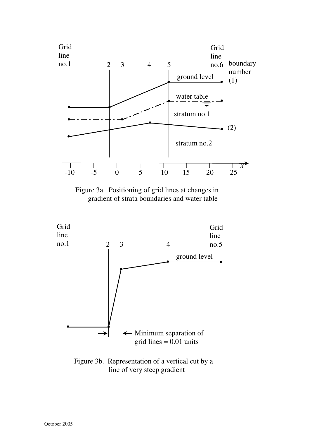

Figure 3a. Positioning of grid lines at changes in gradient of strata boundaries and water table



Figure 3b. Representation of a vertical cut by a line of very steep gradient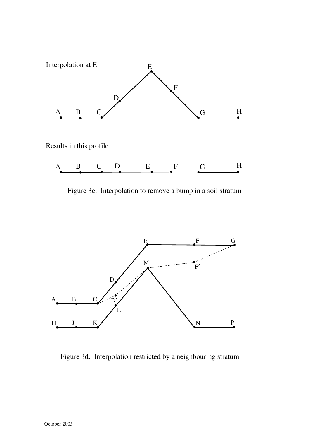

Figure 3c. Interpolation to remove a bump in a soil stratum



Figure 3d. Interpolation restricted by a neighbouring stratum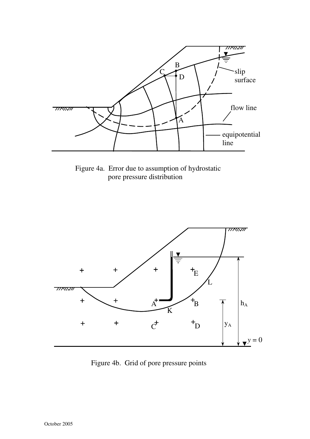

Figure 4a. Error due to assumption of hydrostatic pore pressure distribution



Figure 4b. Grid of pore pressure points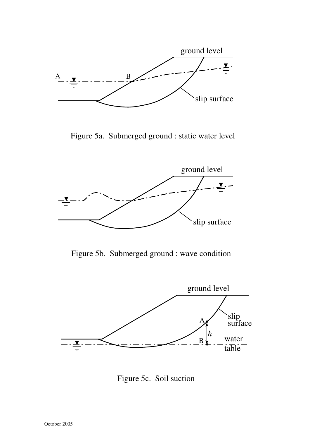

Figure 5a. Submerged ground : static water level



Figure 5b. Submerged ground : wave condition



Figure 5c. Soil suction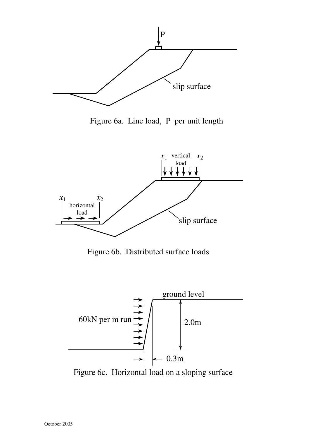

Figure 6a. Line load, P per unit length



Figure 6b. Distributed surface loads



Figure 6c. Horizontal load on a sloping surface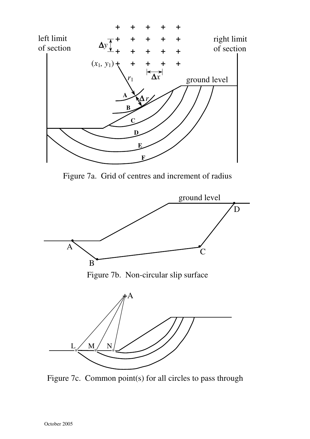

Figure 7a. Grid of centres and increment of radius



Figure 7c. Common point(s) for all circles to pass through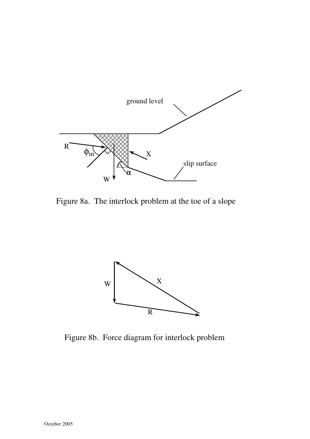

Figure 8a. The interlock problem at the toe of a slope



Figure 8b. Force diagram for interlock problem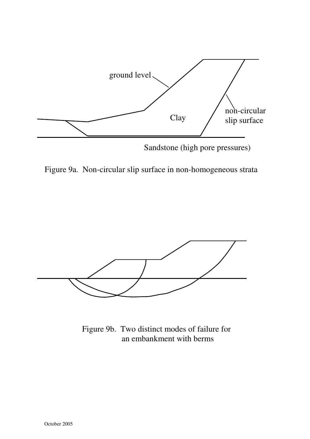

Figure 9a. Non-circular slip surface in non-homogeneous strata



Figure 9b. Two distinct modes of failure for an embankment with berms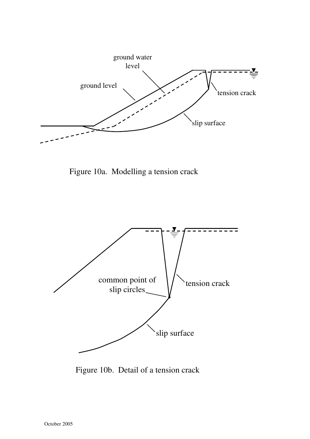![](_page_143_Figure_0.jpeg)

Figure 10a. Modelling a tension crack

![](_page_143_Figure_2.jpeg)

Figure 10b. Detail of a tension crack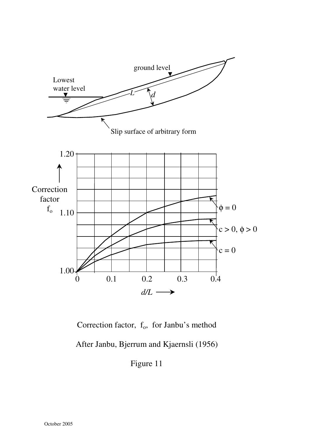

Correction factor,  $f_0$ , for Janbu's method

After Janbu, Bjerrum and Kjaernsli (1956)

Figure 11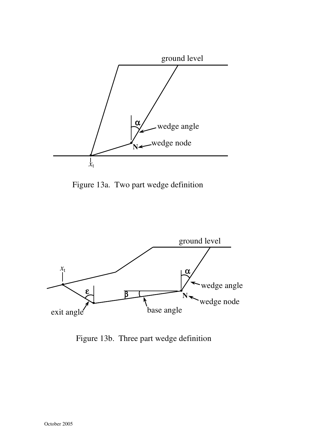

Figure 13a. Two part wedge definition



Figure 13b. Three part wedge definition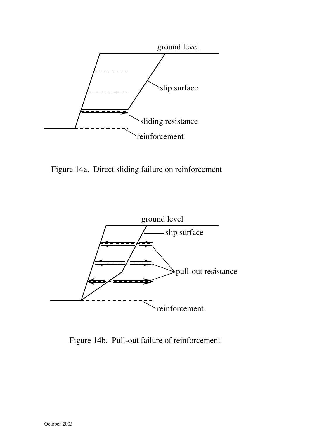

Figure 14a. Direct sliding failure on reinforcement



Figure 14b. Pull-out failure of reinforcement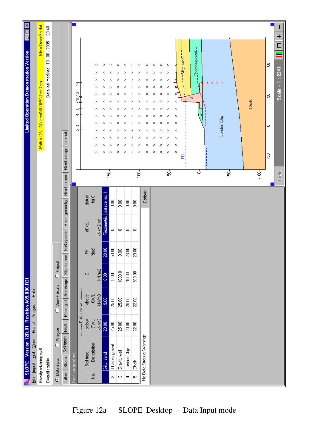| ×                                              |                       |                                     | 20:48                             |                      |                                                                        |            |                        |                |             |                                    |                 |                |                           |                       |                            |             |             |             |             |           |              |   |       |             |    |       |       |         | ٠                  |
|------------------------------------------------|-----------------------|-------------------------------------|-----------------------------------|----------------------|------------------------------------------------------------------------|------------|------------------------|----------------|-------------|------------------------------------|-----------------|----------------|---------------------------|-----------------------|----------------------------|-------------|-------------|-------------|-------------|-----------|--------------|---|-------|-------------|----|-------|-------|---------|--------------------|
|                                                |                       | File = Demo9a.dat                   | Data last modified 10 - 08 - 2005 |                      |                                                                        |            |                        |                |             |                                    |                 |                |                           |                       |                            |             |             |             |             |           |              |   |       |             |    |       |       |         |                    |
| <b>Limited Operation Demonstration Version</b> |                       |                                     |                                   |                      |                                                                        |            |                        |                | ×<br>×      | ×<br>×                             | ×<br>×          | ×<br>$\times$  | ×<br>×                    | ×<br>×<br>×<br>×      | ×<br>×                     | ×<br>×      | ×<br>×      | ×<br>×      |             | Sity sand | James gravel |   |       |             |    |       |       | ξē      |                    |
|                                                |                       |                                     |                                   |                      |                                                                        |            | ご                      |                | ×<br>×      | ×<br>×                             | ×<br>×          | ×<br>×         | $\times$<br>×             | ×<br>×<br>×<br>×      | ×<br>×                     | ×<br>×      | ×<br>×      | ×<br>×      |             |           |              | ж | x x x |             |    |       |       |         | $Scale = 1 : 2241$ |
|                                                |                       |                                     |                                   |                      |                                                                        |            | 쬮<br>머                 |                | ×<br>×      | ×<br>×<br>×                        | ×<br>×<br>×     | ×<br>×<br>×    | ×<br>$\times$<br>×        | ×<br>×<br>×<br>×<br>× | ×<br>×<br>×                | ×<br>×<br>× | ×<br>×      | ×<br>×      | ×<br>×<br>× |           | Ō,           |   |       |             |    | Chalk |       | łз      |                    |
|                                                |                       |                                     |                                   |                      |                                                                        |            | 4                      |                | ×<br>×<br>× | ×<br>×                             | ×<br>×          | ×<br>×         | ×<br>×                    | ×<br>×<br>×<br>×<br>× | ×<br>×                     | ×<br>×      | ×<br>×<br>× | ×<br>×<br>× | ×<br>×      |           |              |   |       |             |    |       |       |         |                    |
|                                                |                       | Path = C.\  \Current\SLOPE\TestData |                                   |                      |                                                                        |            | 않                      |                | ×<br>×      | ×<br>×                             | ×<br>×          | ×<br>×         | ×<br>×                    | ×<br>×<br>×<br>×      | ×<br>×                     | ×<br>×      | ×<br>×      | ×<br>×      | ×<br>×      |           |              |   |       | London Clay |    |       |       | $\circ$ |                    |
|                                                |                       |                                     |                                   |                      |                                                                        |            |                        |                | ×<br>×      | ×<br>×                             | ×<br>×          | ×<br>×         | ×<br>×                    | ×<br>×<br>×<br>×      | ×<br>×                     | ×<br>×      | ×<br>×      | ×<br>×      | ×<br>×      |           |              |   |       |             |    |       |       | ķ       |                    |
|                                                |                       |                                     |                                   |                      |                                                                        |            |                        |                |             |                                    | $150 -$         |                |                           | ioo-                  |                            |             |             | \$          |             |           | उ            |   |       |             | នុ |       | iool: |         |                    |
|                                                |                       |                                     |                                   |                      |                                                                        |            |                        |                |             |                                    |                 |                |                           |                       |                            |             |             |             |             |           |              |   |       |             |    |       |       |         |                    |
|                                                |                       |                                     |                                   |                      |                                                                        |            |                        | datum          | for $C$     |                                    | $\frac{8}{10}$  | $\frac{8}{5}$  | 8                         | $\Xi$                 | Options                    |             |             |             |             |           |              |   |       |             |    |       |       |         |                    |
|                                                |                       |                                     |                                   |                      | FoS options   Reint. geometry   Reint. props.   Reint. design   Dutput |            |                        | dC/dy          |             | Piezometric surface no.<br>kN/m2/m | $\circ$         | $\circ$        | $\circ$                   | $\circ$               |                            |             |             |             |             |           |              |   |       |             |    |       |       |         |                    |
|                                                |                       |                                     |                                   |                      |                                                                        |            |                        | 阁              | (deg)       | 8<br> ೫                            | g<br>ន          | $\frac{8}{10}$ | 23.00                     | 8<br>8                |                            |             |             |             |             |           |              |   |       |             |    |       |       |         |                    |
|                                                |                       |                                     |                                   | $C$ Report           | Soil types   GWL   Piezo grid   Surcharge   Slip surface               |            |                        | $\cup$         |             | kN/m2<br>$\frac{8}{9}$             | $_{0.00}^\circ$ | 1000.0         | 10.00                     | 300,00                |                            |             |             |             |             |           |              |   |       |             |    |       |       |         |                    |
|                                                | Help                  |                                     |                                   | C View Results       |                                                                        |            |                        | above          | <b>GWL</b>  | kN/m3<br>$\frac{1}{90}$            | 25.00           | 25.00          | $\mathop{20.00}\nolimits$ | 2200                  |                            |             |             |             |             |           |              |   |       |             |    |       |       |         |                    |
| SLOPE Version 12R.01 Revision A09.B06.R31      | Format Analysis       |                                     |                                   |                      |                                                                        |            | ---- Bulk unit wt. --- | below          | <b>GWL</b>  | kN/m3<br>20.00                     | <b>25.00</b>    | 25.00          | $\mathop{20.00}\nolimits$ | $22.00\,$             |                            |             |             |             |             |           |              |   |       |             |    |       |       |         |                    |
|                                                |                       |                                     |                                   | C Analyse            |                                                                        |            |                        |                |             |                                    |                 |                |                           |                       | No Data Errors or Warnings |             |             |             |             |           |              |   |       |             |    |       |       |         |                    |
|                                                |                       |                                     |                                   |                      |                                                                        |            |                        |                | Description |                                    | Thames gravel   | Gravity wall   | London Clay               |                       |                            |             |             |             |             |           |              |   |       |             |    |       |       |         |                    |
|                                                | Eile Import Edit View | Gravity retaining wall              | Overall stability                 | $\bullet$ Data input | Titles Strata                                                          | properties |                        | - Soil type -- |             | Sility sand                        |                 |                |                           | Chalk                 |                            |             |             |             |             |           |              |   |       |             |    |       |       |         |                    |